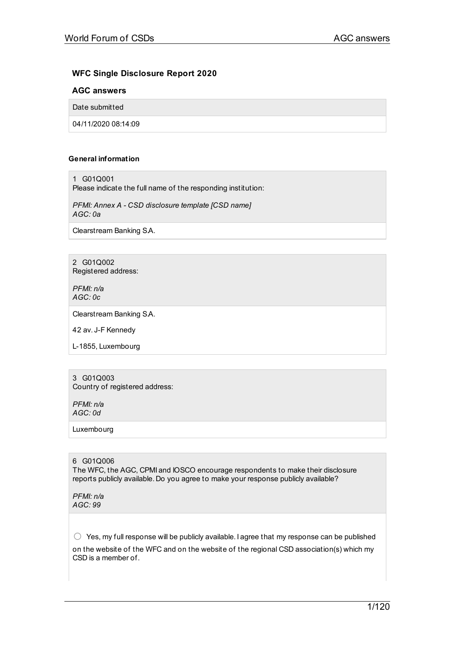# **WFC Single Disclosure Report 2020**

# **AGC answers**

Date submitted

04/11/2020 08:14:09

# **General information**

1 G01Q001

Please indicate the full name of the responding institution:

*PFMI: Annex A - CSD disclosure template [CSD name] AGC: 0a*

Clearstream Banking S.A.

2 G01Q002 Registered address:

*PFMI: n/a AGC: 0c*

Clearstream Banking S.A.

42 av. J-F Kennedy

L-1855, Luxembourg

3 G01Q003 Country of registered address:

*PFMI: n/a AGC: 0d*

Luxembourg

6 G01Q006 The WFC, the AGC, CPMI and IOSCO encourage respondents to make their disclosure reports publicly available. Do you agree to make your response publicly available?

*PFMI: n/a AGC: 99*

 $\bigcirc$  Yes, my full response will be publicly available. I agree that my response can be published on the website of the WFC and on the website of the regional CSD association(s) which my CSD is a member of.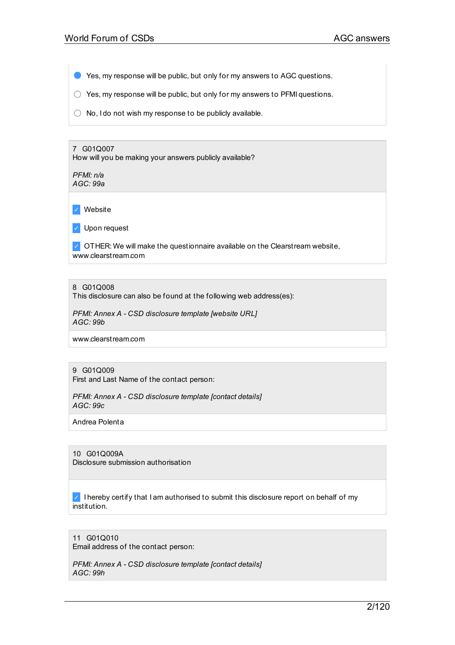● Yes, my response will be public, but only for my answers to AGC questions.

 $\bigcirc$  Yes, my response will be public, but only for my answers to PFMI questions.

 $\bigcirc$  No, I do not wish my response to be publicly available.

7 G01Q007 How will you be making your answers publicly available?

*PFMI: n/a AGC: 99a*

✓ Website

✓ Upon request

 $\triangledown$  OTHER: We will make the questionnaire available on the Clearstream website, www.clearstream.com

8 G01Q008

This disclosure can also be found at the following web address(es):

*PFMI: Annex A - CSD disclosure template [website URL] AGC: 99b*

www.clearstream.com

## 9 G01Q009

First and Last Name of the contact person:

*PFMI: Annex A - CSD disclosure template [contact details] AGC: 99c*

Andrea Polenta

10 G01Q009A Disclosure submission authorisation

 $\vee$  I hereby certify that I am authorised to submit this disclosure report on behalf of my institution.

11 G01Q010 Email address of the contact person:

*PFMI: Annex A - CSD disclosure template [contact details] AGC: 99h*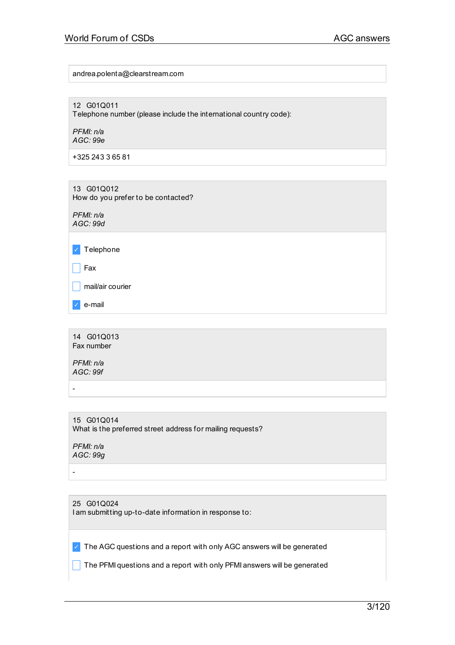andrea.polenta@clearstream.com

12 G01Q011

Telephone number (please include the international country code):

*PFMI: n/a AGC: 99e*

+325 243 3 65 81

13 G01Q012 How do you prefer to be contacted?

*PFMI: n/a AGC: 99d*

✓ Telephone

 $\Box$  Fax

 $\Box$  mail/air courier

✓ e-mail

14 G01Q013 Fax number

*PFMI: n/a AGC: 99f*

-

15 G01Q014 What is the preferred street address for mailing requests?

*PFMI: n/a AGC: 99g*

-

25 G01Q024 I am submitting up-to-date information in response to:

 $\vee$  The AGC questions and a report with only AGC answers will be generated

 $\Box$  The PFMI questions and a report with only PFMI answers will be generated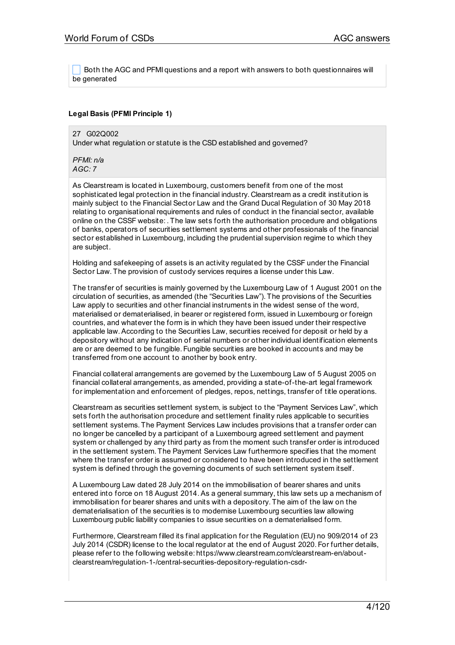Both the AGC and PFMI questions and a report with answers to both questionnaires will be generated

# **Legal Basis (PFMI Principle 1)**

27 G02Q002 Under what regulation or statute is the CSD established and governed?

*PFMI: n/a AGC: 7*

As Clearstream is located in Luxembourg, customers benefit from one of the most sophisticated legal protection in the financial industry. Clearstream as a credit institution is mainly subject to the Financial Sector Law and the Grand Ducal Regulation of 30 May 2018 relating to organisational requirements and rules of conduct in the financial sector, available online on the CSSF website: . The law sets forth the authorisation procedure and obligations of banks, operators of securities settlement systems and other professionals of the financial sector established in Luxembourg, including the prudential supervision regime to which they are subject.

Holding and safekeeping of assets is an activity regulated by the CSSF under the Financial Sector Law. The provision of custody services requires a license under this Law.

The transfer of securities is mainly governed by the Luxembourg Law of 1 August 2001 on the circulation of securities, as amended (the "Securities Law"). The provisions of the Securities Law apply to securities and other financial instruments in the widest sense of the word, materialised or dematerialised, in bearer or registered form, issued in Luxembourg or foreign countries, and whatever the form is in which they have been issued under their respective applicable law.According to the Securities Law, securities received for deposit or held by a depository without any indication of serial numbers or other individual identification elements are or are deemed to be fungible. Fungible securities are booked in accounts and may be transferred from one account to another by book entry.

Financial collateral arrangements are governed by the Luxembourg Law of 5 August 2005 on financial collateral arrangements, as amended, providing a state-of-the-art legal framework for implementation and enforcement of pledges, repos, nettings, transfer of title operations.

Clearstream as securities settlement system, is subject to the "Payment Services Law", which sets forth the authorisation procedure and settlement finality rules applicable to securities settlement systems. The Payment Services Law includes provisions that a transfer order can no longer be cancelled by a participant of a Luxembourg agreed settlement and payment system or challenged by any third party as from the moment such transfer order is introduced in the settlement system. The Payment Services Law furthermore specifies that the moment where the transfer order is assumed or considered to have been introduced in the settlement system is defined through the governing documents of such settlement system itself.

A Luxembourg Law dated 28 July 2014 on the immobilisation of bearer shares and units entered into force on 18 August 2014.As a general summary, this law sets up a mechanism of immobilisation for bearer shares and units with a depository. The aim of the law on the dematerialisation of the securities is to modernise Luxembourg securities law allowing Luxembourg public liability companies to issue securities on a dematerialised form.

Furthermore, Clearstream filled its final application for the Regulation (EU) no 909/2014 of 23 July 2014 (CSDR) license to the local regulator at the end of August 2020. For further details, please refer to the following website: https://www.clearstream.com/clearstream-en/aboutclearstream/regulation-1-/central-securities-depository-regulation-csdr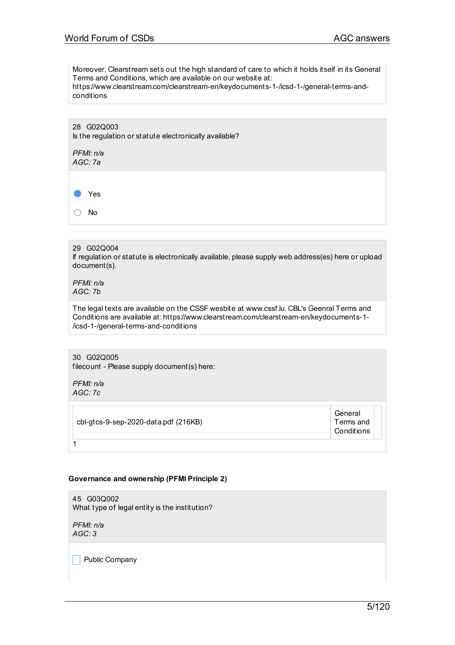Moreover, Clearstream sets out the high standard of care to which it holds itself in its General Terms and Conditions, which are available on our website at: https://www.clearstream.com/clearstream-en/keydocuments-1-/icsd-1-/general-terms-and-

conditions

28 G02Q003 Is the regulation or statute electronically available?

*PFMI: n/a AGC: 7a* Yes ○ No

### 29 G02Q004

If regulation or statute is electronically available, please supply web address(es) here or upload document(s).

*PFMI: n/a AGC: 7b*

The legal texts are available on the CSSF wesbite at www.cssf.lu. CBL's Geenral Terms and Conditions are available at: https://www.clearstream.com/clearstream-en/keydocuments-1- /icsd-1-/general-terms-and-conditions

30 G02Q005 filecount - Please supply document(s) here:

*PFMI: n/a AGC: 7c*

| cbl-gtcs-9-sep-2020-data.pdf (216KB) | General<br>Terms and<br>Conditions |  |
|--------------------------------------|------------------------------------|--|
|                                      |                                    |  |

### **Governance and ownership (PFMI Principle 2)**

45 G03Q002 What type of legal entity is the institution?

*PFMI: n/a AGC: 3*

 $\Box$  Public Company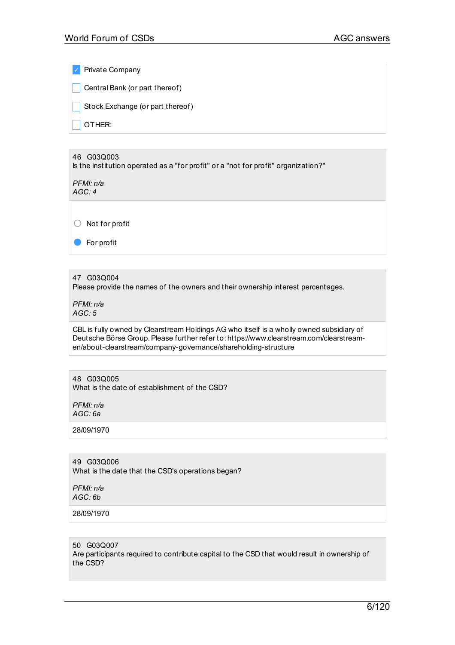✓ Private Company  $\Box$  Central Bank (or part thereof)  $\Box$  Stock Exchange (or part thereof) \_ OTHER: 46 G03Q003 Is the institution operated as a "for profit" or a "not for profit" organization?" *PFMI: n/a AGC: 4* ○ Not for profit ● For profit 47 G03Q004 Please provide the names of the owners and their ownership interest percentages.

*PFMI: n/a AGC: 5*

CBL is fully owned by Clearstream Holdings AG who itself is a wholly owned subsidiary of Deutsche Börse Group. Please further refer to: https://www.clearstream.com/clearstreamen/about-clearstream/company-governance/shareholding-structure

48 G03Q005 What is the date of establishment of the CSD?

*PFMI: n/a AGC: 6a*

28/09/1970

49 G03Q006 What is the date that the CSD's operations began?

*PFMI: n/a AGC: 6b*

28/09/1970

50 G03Q007

Are participants required to contribute capital to the CSD that would result in ownership of the CSD?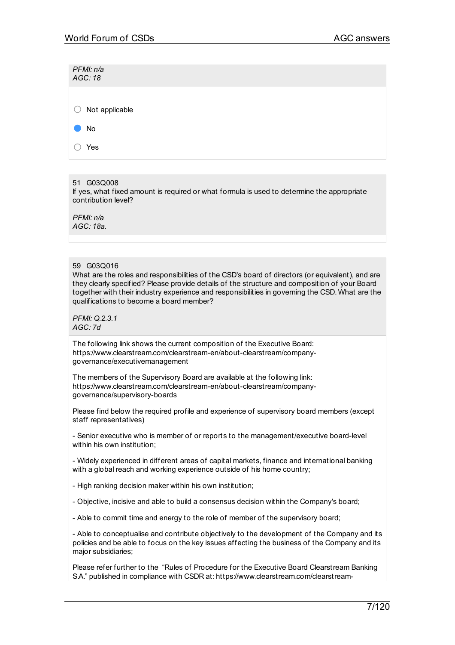| PFMI: n/a<br>AGC: 18 |  |  |
|----------------------|--|--|
| Not applicable<br>U  |  |  |
| No                   |  |  |
| Yes                  |  |  |

# 51 G03Q008

If yes, what fixed amount is required or what formula is used to determine the appropriate contribution level?

*PFMI: n/a AGC: 18a.*

# 59 G03Q016

What are the roles and responsibilities of the CSD's board of directors (or equivalent), and are they clearly specified? Please provide details of the structure and composition of your Board together with their industry experience and responsibilities in governing the CSD. What are the qualifications to become a board member?

*PFMI: Q.2.3.1 AGC: 7d*

The following link shows the current composition of the Executive Board: https://www.clearstream.com/clearstream-en/about-clearstream/companygovernance/executivemanagement

The members of the Supervisory Board are available at the following link: https://www.clearstream.com/clearstream-en/about-clearstream/companygovernance/supervisory-boards

Please find below the required profile and experience of supervisory board members (except staff representatives)

- Senior executive who is member of or reports to the management/executive board-level within his own institution;

- Widely experienced in different areas of capital markets, finance and international banking with a global reach and working experience outside of his home country;

- High ranking decision maker within his own institution;

- Objective, incisive and able to build a consensus decision within the Company's board;

- Able to commit time and energy to the role of member of the supervisory board;

- Able to conceptualise and contribute objectively to the development of the Company and its policies and be able to focus on the key issues affecting the business of the Company and its major subsidiaries;

Please refer further to the "Rules of Procedure for the Executive Board Clearstream Banking S.A." published in compliance with CSDR at: https://www.clearstream.com/clearstream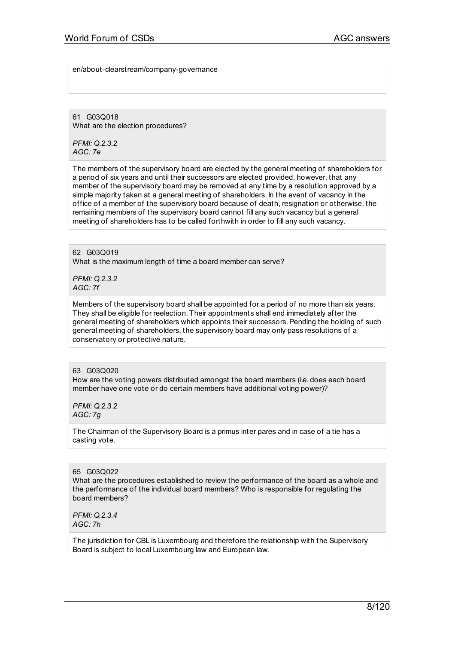en/about-clearstream/company-governance

61 G03Q018 What are the election procedures?

*PFMI: Q.2.3.2 AGC: 7e*

The members of the supervisory board are elected by the general meeting of shareholders for a period of six years and until their successors are elected provided, however, that any member of the supervisory board may be removed at any time by a resolution approved by a simple majority taken at a general meeting of shareholders. In the event of vacancy in the office of a member of the supervisory board because of death, resignation or otherwise, the remaining members of the supervisory board cannot fill any such vacancy but a general meeting of shareholders has to be called forthwith in order to fill any such vacancy.

62 G03Q019 What is the maximum length of time a board member can serve?

*PFMI: Q.2.3.2 AGC: 7f*

Members of the supervisory board shall be appointed for a period of no more than six years. They shall be eligible for reelection. Their appointments shall end immediately after the general meeting of shareholders which appoints their successors.Pending the holding of such general meeting of shareholders, the supervisory board may only pass resolutions of a conservatory or protective nature.

### 63 G03Q020

How are the voting powers distributed amongst the board members (i.e. does each board member have one vote or do certain members have additional voting power)?

*PFMI: Q.2.3.2 AGC: 7g*

The Chairman of the Supervisory Board is a primus inter pares and in case of a tie has a casting vote.

## 65 G03Q022

What are the procedures established to review the performance of the board as a whole and the performance of the individual board members? Who is responsible for regulating the board members?

*PFMI: Q.2.3.4 AGC: 7h*

The jurisdiction for CBL is Luxembourg and therefore the relationship with the Supervisory Board is subject to local Luxembourg law and European law.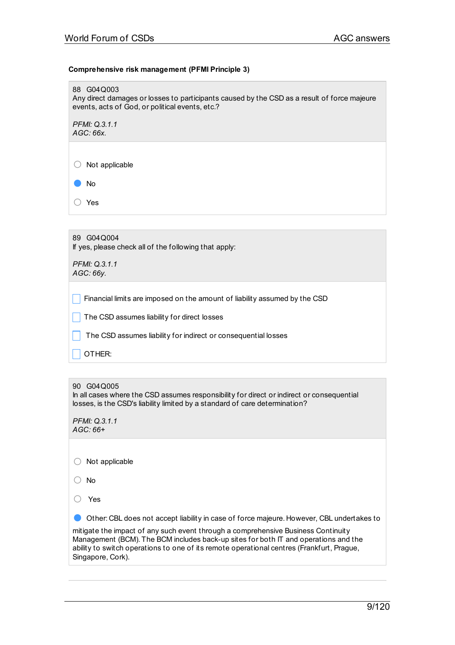# **Comprehensive risk management (PFMI Principle 3)**

88 G04Q003 Any direct damages or losses to participants caused by the CSD as a result of force majeure events, acts of God, or political events, etc.? *PFMI: Q.3.1.1 AGC: 66x.* ○ Not applicable

● No

○ Yes

89 G04Q004 If yes, please check all of the following that apply:

*PFMI: Q.3.1.1 AGC: 66y.*

 $\Box$  Financial limits are imposed on the amount of liability assumed by the CSD

 $\Box$  The CSD assumes liability for direct losses

 $\Box$  The CSD assumes liability for indirect or consequential losses

 $\overline{\phantom{a}}$  OTHER: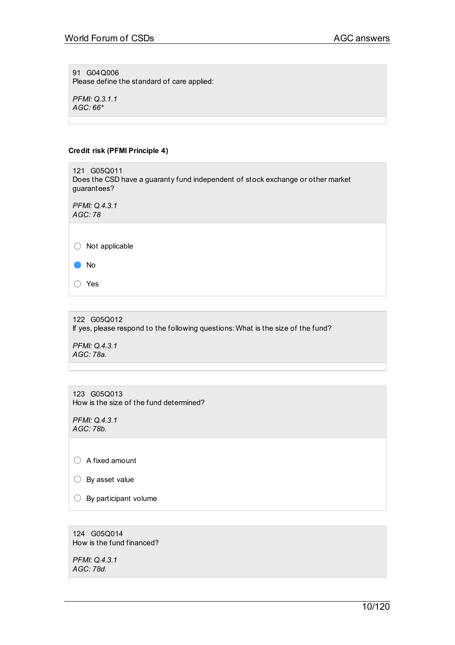91 G04Q006 Please define the standard of care applied:

*PFMI: Q.3.1.1 AGC: 66\**

# **Credit risk (PFMI Principle 4)**

121 G05Q011 Does the CSD have a guaranty fund independent of stock exchange or other market guarantees?

*PFMI: Q.4.3.1 AGC: 78*

○ Not applicable

● No

○ Yes

122 G05Q012 If yes, please respond to the following questions: What is the size of the fund? *PFMI: Q.4.3.1 AGC: 78a.*

123 G05Q013 How is the size of the fund determined?

*PFMI: Q.4.3.1 AGC: 78b.*

○ A fixed amount

○ By asset value

 $\bigcirc$  By participant volume

124 G05Q014 How is the fund financed?

*PFMI: Q.4.3.1 AGC: 78d.*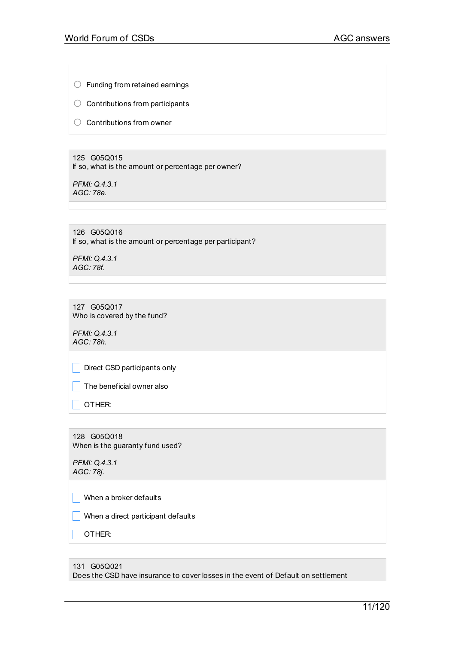○ Funding from retained earnings

○ Contributions from participants

○ Contributions from owner

125 G05Q015 If so, what is the amount or percentage per owner?

*PFMI: Q.4.3.1 AGC: 78e.*

126 G05Q016 If so, what is the amount or percentage per participant?

*PFMI: Q.4.3.1 AGC: 78f.*

127 G05Q017 Who is covered by the fund?

*PFMI: Q.4.3.1 AGC: 78h.*

Direct CSD participants only

 $\Box$  The beneficial owner also

 $\vert$  OTHER:

128 G05Q018 When is the guaranty fund used?

*PFMI: Q.4.3.1 AGC: 78j.*

 $\parallel$  When a broker defaults

 $\Box$  When a direct participant defaults

 $\Box$  OTHER:

131 G05Q021 Does the CSD have insurance to cover losses in the event of Default on settlement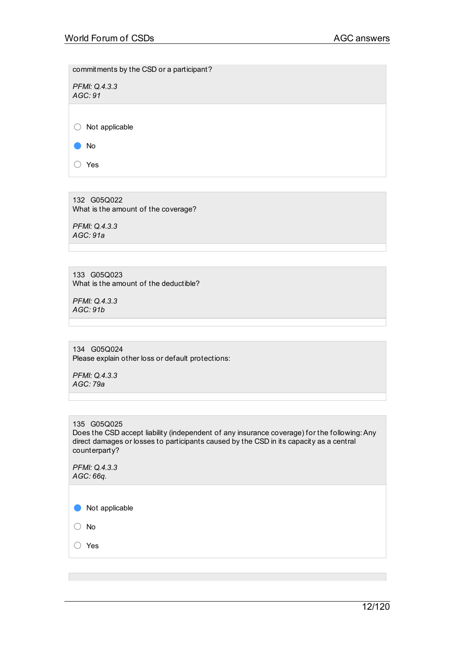commitments by the CSD or a participant?

*PFMI: Q.4.3.3 AGC: 91*

○ Not applicable

● No

○ Yes

132 G05Q022 What is the amount of the coverage?

*PFMI: Q.4.3.3 AGC: 91a*

133 G05Q023 What is the amount of the deductible?

*PFMI: Q.4.3.3 AGC: 91b*

134 G05Q024 Please explain other loss or default protections:

*PFMI: Q.4.3.3 AGC: 79a*

135 G05Q025

Does the CSD accept liability (independent of any insurance coverage) for the following:Any direct damages or losses to participants caused by the CSD in its capacity as a central counterparty?

*PFMI: Q.4.3.3 AGC: 66q.*

● Not applicable

○ No

○ Yes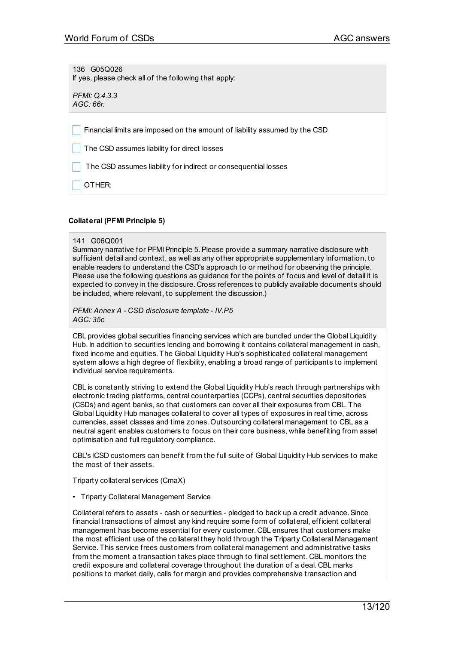136 G05Q026 If yes, please check all of the following that apply:

*PFMI: Q.4.3.3 AGC: 66r.*

Financial limits are imposed on the amount of liability assumed by the CSD

The CSD assumes liability for direct losses

The CSD assumes liability for indirect or consequential losses

\_ OTHER:

# **Collateral (PFMI Principle 5)**

#### 141 G06Q001

Summary narrative for PFMI Principle 5. Please provide a summary narrative disclosure with sufficient detail and context, as well as any other appropriate supplementary information, to enable readers to understand the CSD's approach to or method for observing the principle. Please use the following questions as guidance for the points of focus and level of detail it is expected to convey in the disclosure. Cross references to publicly available documents should be included, where relevant, to supplement the discussion.)

*PFMI: Annex A - CSD disclosure template - IV.P5 AGC: 35c*

CBL provides global securities financing services which are bundled under the Global Liquidity Hub. In addition to securities lending and borrowing it contains collateral management in cash, fixed income and equities. The Global Liquidity Hub's sophisticated collateral management system allows a high degree of flexibility, enabling a broad range of participants to implement individual service requirements.

CBL is constantly striving to extend the Global Liquidity Hub's reach through partnerships with electronic trading platforms, central counterparties (CCPs), central securities depositories (CSDs) and agent banks, so that customers can cover all their exposures from CBL. The Global Liquidity Hub manages collateral to cover all types of exposures in real time, across currencies, asset classes and time zones. Outsourcing collateral management to CBL as a neutral agent enables customers to focus on their core business, while benefiting from asset optimisation and full regulatory compliance.

CBL's ICSD customers can benefit from the full suite of Global Liquidity Hub services to make the most of their assets.

Triparty collateral services (CmaX)

• Triparty Collateral Management Service

Collateral refers to assets - cash or securities - pledged to back up a credit advance. Since financial transactions of almost any kind require some form of collateral, efficient collateral management has become essential for every customer. CBL ensures that customers make the most efficient use of the collateral they hold through the Triparty Collateral Management Service. This service frees customers from collateral management and administrative tasks from the moment a transaction takes place through to final settlement. CBL monitors the credit exposure and collateral coverage throughout the duration of a deal. CBL marks positions to market daily, calls for margin and provides comprehensive transaction and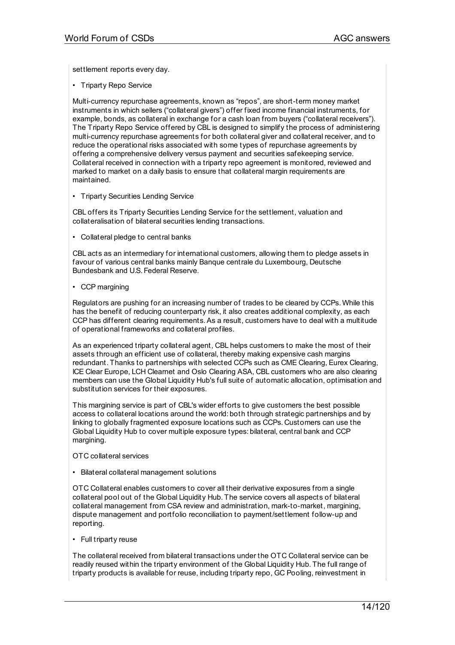settlement reports every day.

• Triparty Repo Service

Multi-currency repurchase agreements, known as "repos", are short-term money market instruments in which sellers ("collateral givers") offer fixed income financial instruments, for example, bonds, as collateral in exchange for a cash loan from buyers ("collateral receivers"). The Triparty Repo Service offered by CBL is designed to simplify the process of administering multi-currency repurchase agreements for both collateral giver and collateral receiver, and to reduce the operational risks associated with some types of repurchase agreements by offering a comprehensive delivery versus payment and securities safekeeping service. Collateral received in connection with a triparty repo agreement is monitored, reviewed and marked to market on a daily basis to ensure that collateral margin requirements are maintained.

• Triparty Securities Lending Service

CBL offers its Triparty Securities Lending Service for the settlement, valuation and collateralisation of bilateral securities lending transactions.

• Collateral pledge to central banks

CBL acts as an intermediary for international customers, allowing them to pledge assets in favour of various central banks mainly Banque centrale du Luxembourg, Deutsche Bundesbank and U.S. Federal Reserve.

• CCP margining

Regulators are pushing for an increasing number of trades to be cleared by CCPs. While this has the benefit of reducing counterparty risk, it also creates additional complexity, as each CCP has different clearing requirements.As a result, customers have to deal with a multitude of operational frameworks and collateral profiles.

As an experienced triparty collateral agent, CBL helps customers to make the most of their assets through an efficient use of collateral, thereby making expensive cash margins redundant. Thanks to partnerships with selected CCPs such as CME Clearing, Eurex Clearing, ICE Clear Europe, LCH Clearnet and Oslo Clearing ASA, CBL customers who are also clearing members can use the Global Liquidity Hub's full suite of automatic allocation, optimisation and substitution services for their exposures.

This margining service is part of CBL's wider efforts to give customers the best possible access to collateral locations around the world: both through strategic partnerships and by linking to globally fragmented exposure locations such as CCPs. Customers can use the Global Liquidity Hub to cover multiple exposure types: bilateral, central bank and CCP margining.

- OTC collateral services
- Bilateral collateral management solutions

OTC Collateral enables customers to cover all their derivative exposures from a single collateral pool out of the Global Liquidity Hub. The service covers all aspects of bilateral collateral management from CSA review and administration, mark-to-market, margining, dispute management and portfolio reconciliation to payment/settlement follow-up and reporting.

• Full triparty reuse

The collateral received from bilateral transactions under the OTC Collateral service can be readily reused within the triparty environment of the Global Liquidity Hub. The full range of triparty products is available for reuse, including triparty repo, GC Pooling, reinvestment in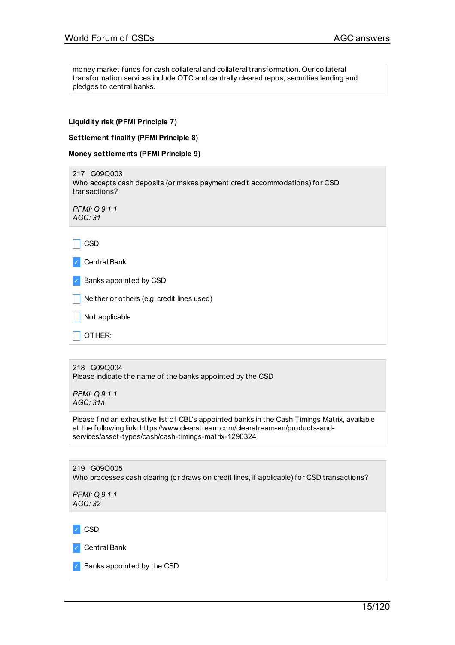money market funds for cash collateral and collateral transformation. Our collateral transformation services include OTC and centrally cleared repos, securities lending and pledges to central banks.

### **Liquidity risk (PFMI Principle 7)**

#### **Settlement finality (PFMI Principle 8)**

|  | Money settlements (PFMI Principle 9) |  |  |  |
|--|--------------------------------------|--|--|--|
|--|--------------------------------------|--|--|--|

217 G09Q003 Who accepts cash deposits (or makes payment credit accommodations) for CSD transactions? *PFMI: Q.9.1.1 AGC: 31*  $\Box$  CSD ✓ Central Bank ✓ Banks appointed by CSD  $\Box$  Neither or others (e.g. credit lines used)  $\vert$  Not applicable  $\Box$  OTHER:

# 218 G09Q004

Please indicate the name of the banks appointed by the CSD

*PFMI: Q.9.1.1 AGC: 31a*

Please find an exhaustive list of CBL's appointed banks in the Cash Timings Matrix, available at the following link: https://www.clearstream.com/clearstream-en/products-andservices/asset-types/cash/cash-timings-matrix-1290324

219 G09Q005 Who processes cash clearing (or draws on credit lines, if applicable) for CSD transactions? *PFMI: Q.9.1.1 AGC: 32* ✓ CSD

✓ Central Bank

✓ Banks appointed by the CSD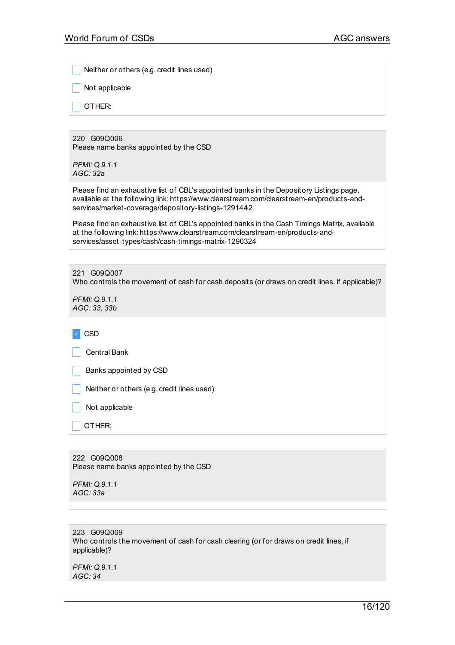Neither or others (e.g. credit lines used)

Not applicable

\_ OTHER:

220 G09Q006 Please name banks appointed by the CSD

*PFMI: Q.9.1.1 AGC: 32a*

Please find an exhaustive list of CBL's appointed banks in the Depository Listings page, available at the following link: https://www.clearstream.com/clearstream-en/products-andservices/market-coverage/depository-listings-1291442

Please find an exhaustive list of CBL's appointed banks in the Cash Timings Matrix, available at the following link: https://www.clearstream.com/clearstream-en/products-andservices/asset-types/cash/cash-timings-matrix-1290324

221 G09Q007

Who controls the movement of cash for cash deposits (or draws on credit lines, if applicable)?

*PFMI: Q.9.1.1 AGC: 33, 33b*

|  | w<br>۰, |
|--|---------|
|--|---------|

\_ Central Bank

|  | Banks appointed by CSD |
|--|------------------------|
|--|------------------------|

Neither or others (e.g. credit lines used)

Not applicable

\_ OTHER:

222 G09Q008 Please name banks appointed by the CSD

*PFMI: Q.9.1.1 AGC: 33a*

223 G09Q009 Who controls the movement of cash for cash clearing (or for draws on credit lines, if applicable)?

*PFMI: Q.9.1.1 AGC: 34*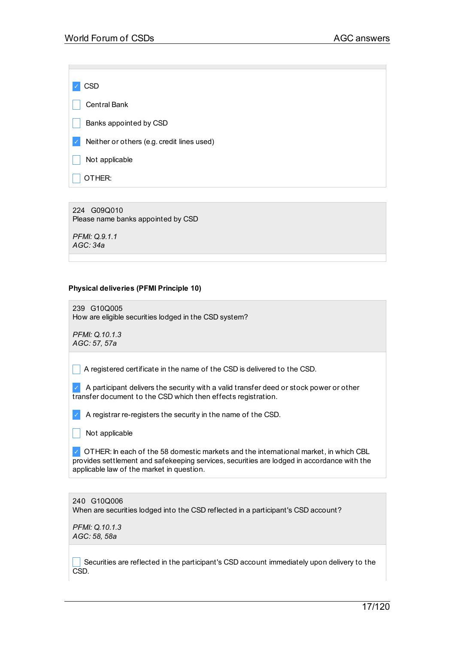✓ CSD Central Bank Banks appointed by CSD ✓ Neither or others (e.g. credit lines used) Not applicable  $\vert$  OTHER:

224 G09Q010 Please name banks appointed by CSD

*PFMI: Q.9.1.1 AGC: 34a*

# **Physical deliveries (PFMI Principle 10)**

239 G10Q005 How are eligible securities lodged in the CSD system?

*PFMI: Q.10.1.3 AGC: 57, 57a*

 $\Box$  A registered certificate in the name of the CSD is delivered to the CSD.

 $\angle$  A participant delivers the security with a valid transfer deed or stock power or other transfer document to the CSD which then effects registration.

 $\blacktriangleright$  A registrar re-registers the security in the name of the CSD.

 $\vert \vert$  Not applicable

 $\vee$  OTHER: In each of the 58 domestic markets and the international market, in which CBL provides settlement and safekeeping services, securities are lodged in accordance with the applicable law of the market in question.

240 G10Q006 When are securities lodged into the CSD reflected in a participant's CSD account?

*PFMI: Q.10.1.3 AGC: 58, 58a*

Securities are reflected in the participant's CSD account immediately upon delivery to the CSD.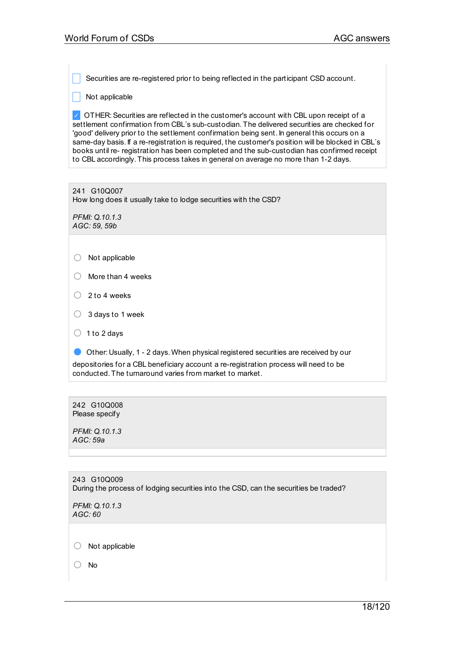Securities are re-registered prior to being reflected in the participant CSD account.

 $\Box$  Not applicable

✓ OTHER:Securities are reflected in the customer's account with CBL upon receipt of a settlement confirmation from CBL´s sub-custodian. The delivered securities are checked for 'good' delivery prior to the settlement confirmation being sent. In general this occurs on a same-day basis. If a re-registration is required, the customer's position will be blocked in CBL's books until re- registration has been completed and the sub-custodian has confirmed receipt to CBL accordingly. This process takes in general on average no more than 1-2 days.

241 G10Q007 How long does it usually take to lodge securities with the CSD?

*PFMI: Q.10.1.3 AGC: 59, 59b*

- More than <sup>4</sup> weeks
- $\bigcirc$  2 to 4 weeks
- $\bigcirc$  3 days to 1 week
- $\bigcirc$  1 to 2 days

● Other: Usually, 1 - 2 days. When physical registered securities are received by our depositories for a CBL beneficiary account a re-registration process will need to be conducted. The turnaround varies from market to market.

242 G10Q008 Please specify

*PFMI: Q.10.1.3 AGC: 59a*

243 G10Q009 During the process of lodging securities into the CSD, can the securities be traded?

*PFMI: Q.10.1.3 AGC: 60*

○ Not applicable

○ No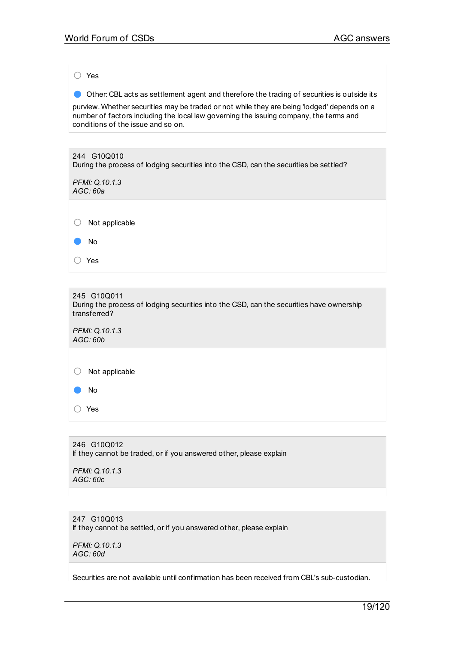○ Yes

● Other: CBL acts as settlement agent and therefore the trading of securities is outside its

purview. Whether securities may be traded or not while they are being 'lodged' depends on a number of factors including the local law governing the issuing company, the terms and conditions of the issue and so on.

# 244 G10Q010 During the process of lodging securities into the CSD, can the securities be settled? *PFMI: Q.10.1.3 AGC: 60a*

○ Not applicable

● No

○ Yes

#### 245 G10Q011 During the process of lodging securities into the CSD, can the securities have ownership transferred?

*PFMI: Q.10.1.3 AGC: 60b*

 $\bigcirc$  Not applicable

● No

○ Yes

# 246 G10Q012 If they cannot be traded, or if you answered other, please explain

*PFMI: Q.10.1.3 AGC: 60c*

# 247 G10Q013 If they cannot be settled, or if you answered other, please explain

*PFMI: Q.10.1.3 AGC: 60d*

Securities are not available until confirmation has been received from CBL's sub-custodian.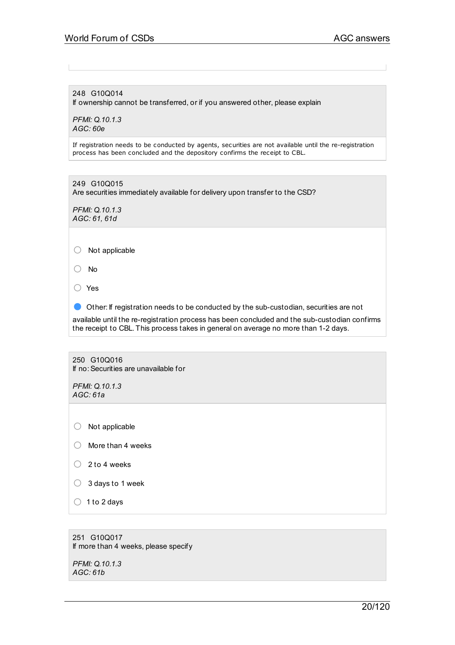248 G10Q014

If ownership cannot be transferred, or if you answered other, please explain

*PFMI: Q.10.1.3 AGC: 60e*

If registration needs to be conducted by agents, securities are not available until the re-registration process has been concluded and the depository confirms the receipt to CBL.

249 G10Q015 Are securities immediately available for delivery upon transfer to the CSD?

*PFMI: Q.10.1.3 AGC: 61, 61d*

○ Not applicable

○ No

○ Yes

● Other: If registration needs to be conducted by the sub-custodian, securities are not

available until the re-registration process has been concluded and the sub-custodian confirms the receipt to CBL. This process takes in general on average no more than 1-2 days.

250 G10Q016 If no:Securities are unavailable for

*PFMI: Q.10.1.3 AGC: 61a*

○ Not applicable

- More than <sup>4</sup> weeks
- $\bigcirc$  2 to 4 weeks
- $\bigcirc$  3 days to 1 week
- $\bigcirc$  1 to 2 days

251 G10Q017 If more than 4 weeks, please specify

*PFMI: Q.10.1.3 AGC: 61b*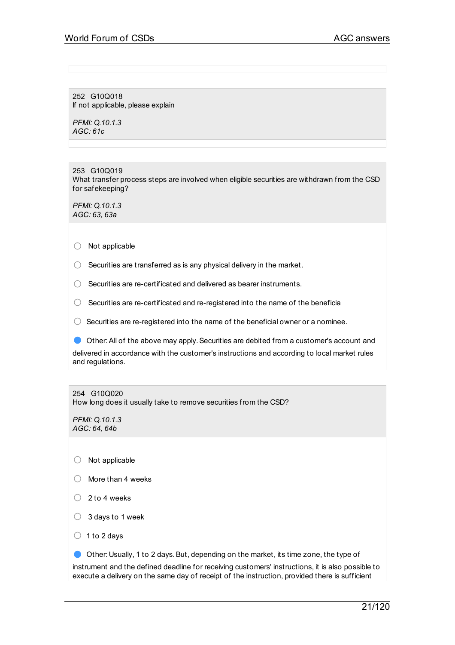252 G10Q018 If not applicable, please explain

*PFMI: Q.10.1.3 AGC: 61c*

253 G10Q019 What transfer process steps are involved when eligible securities are withdrawn from the CSD for safekeeping?

*PFMI: Q.10.1.3 AGC: 63, 63a*

○ Not applicable

 $\bigcirc$  Securities are transferred as is any physical delivery in the market.

○ Securities are re-certificated and delivered as bearer instruments.

 $\bigcirc$  Securities are re-certificated and re-registered into the name of the beneficia

 $\bigcirc$  Securities are re-registered into the name of the beneficial owner or a nominee.

● Other:All of the above may apply.Securities are debited from <sup>a</sup> customer's account and delivered in accordance with the customer's instructions and according to local market rules and regulations.

254 G10Q020

How long does it usually take to remove securities from the CSD?

*PFMI: Q.10.1.3 AGC: 64, 64b*

- Not applicable
- More than <sup>4</sup> weeks
- $\bigcirc$  2 to 4 weeks
- $\bigcirc$  3 days to 1 week
- $\bigcirc$  1 to 2 days

Other: Usually, 1 to 2 days. But, depending on the market, its time zone, the type of

instrument and the defined deadline for receiving customers' instructions, it is also possible to execute a delivery on the same day of receipt of the instruction, provided there is sufficient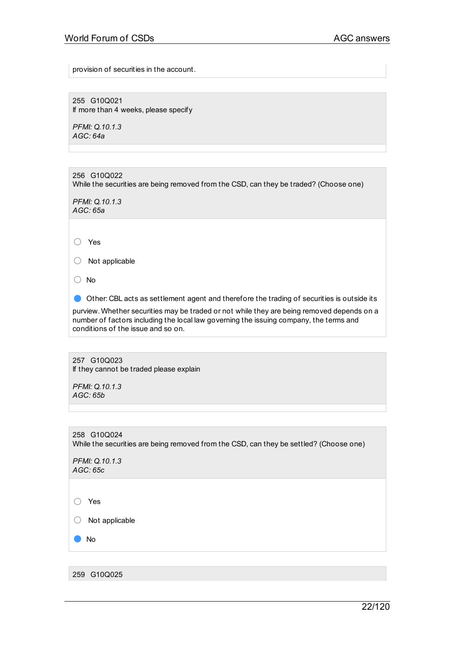provision of securities in the account.

255 G10Q021 If more than 4 weeks, please specify

*PFMI: Q.10.1.3 AGC: 64a*

256 G10Q022 While the securities are being removed from the CSD, can they be traded? (Choose one)

*PFMI: Q.10.1.3 AGC: 65a*

○ Yes

○ Not applicable

○ No

● Other: CBL acts as settlement agent and therefore the trading of securities is outside its

purview. Whether securities may be traded or not while they are being removed depends on a number of factors including the local law governing the issuing company, the terms and conditions of the issue and so on.

257 G10Q023 If they cannot be traded please explain

*PFMI: Q.10.1.3 AGC: 65b*

258 G10Q024 While the securities are being removed from the CSD, can they be settled? (Choose one)

*PFMI: Q.10.1.3 AGC: 65c*

○ Yes

○ Not applicable

● No

259 G10Q025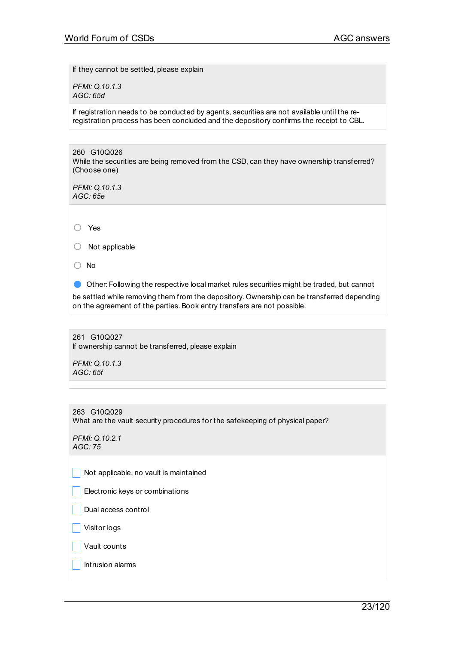If they cannot be settled, please explain

*PFMI: Q.10.1.3 AGC: 65d*

If registration needs to be conducted by agents, securities are not available until the reregistration process has been concluded and the depository confirms the receipt to CBL.

260 G10Q026 While the securities are being removed from the CSD, can they have ownership transferred? (Choose one)

*PFMI: Q.10.1.3 AGC: 65e*

○ Yes

○ Not applicable

○ No

● Other: Following the respective local market rules securities might be traded, but cannot

be settled while removing them from the depository. Ownership can be transferred depending on the agreement of the parties. Book entry transfers are not possible.

261 G10Q027 If ownership cannot be transferred, please explain

*PFMI: Q.10.1.3 AGC: 65f*

263 G10Q029 What are the vault security procedures for the safekeeping of physical paper?

*PFMI: Q.10.2.1 AGC: 75*

Not applicable, no vault is maintained

 $\Box$  Electronic keys or combinations

\_ Dual access control

\_ Visitor logs

 $\Box$  Vault counts

| Intrusion alarms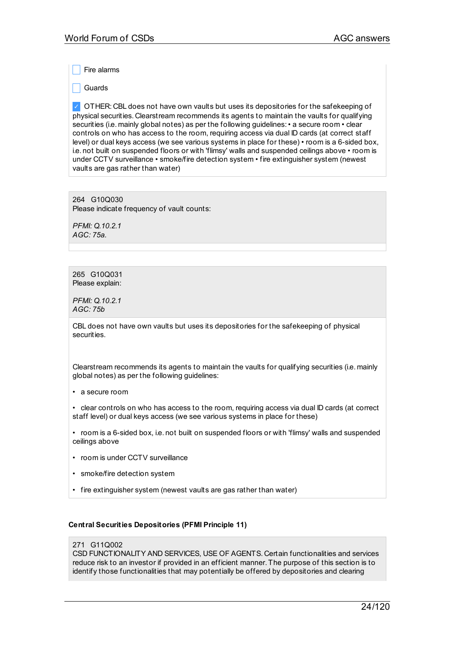Fire alarms

**Guards** 

✓ OTHER: CBL does not have own vaults but uses its depositories for the safekeeping of physical securities. Clearstream recommends its agents to maintain the vaults for qualifying securities (i.e. mainly global notes) as per the following guidelines:• a secure room • clear controls on who has access to the room, requiring access via dual ID cards (at correct staff level) or dual keys access (we see various systems in place for these) • room is a 6-sided box, i.e. not built on suspended floors or with 'flimsy' walls and suspended ceilings above • room is under CCTV surveillance • smoke/fire detection system • fire extinguisher system (newest vaults are gas rather than water)

264 G10Q030 Please indicate frequency of vault counts:

*PFMI: Q.10.2.1 AGC: 75a.*

265 G10Q031 Please explain:

*PFMI: Q.10.2.1 AGC: 75b*

CBL does not have own vaults but uses its depositories for the safekeeping of physical securities.

Clearstream recommends its agents to maintain the vaults for qualifying securities (i.e. mainly global notes) as per the following guidelines:

• a secure room

• clear controls on who has access to the room, requiring access via dual ID cards (at correct staff level) or dual keys access (we see various systems in place for these)

• room is a 6-sided box, i.e. not built on suspended floors or with 'flimsy' walls and suspended ceilings above

- room is under CCTV surveillance
- smoke/fire detection system
- fire extinguisher system (newest vaults are gas rather than water)

# **Central Securities Depositories (PFMI Principle 11)**

#### 271 G11Q002

CSD FUNCTIONALITY AND SERVICES, USE OF AGENTS. Certain functionalities and services reduce risk to an investor if provided in an efficient manner. The purpose of this section is to identify those functionalities that may potentially be offered by depositories and clearing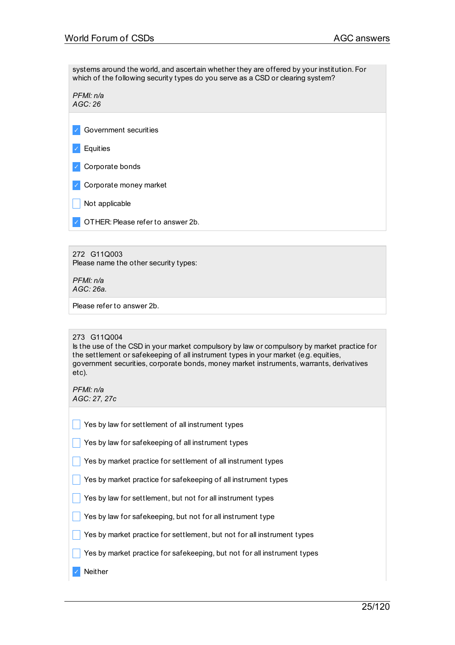systems around the world, and ascertain whether they are offered by your institution. For which of the following security types do you serve as a CSD or clearing system?

*PFMI: n/a AGC: 26*

✓ Government securities

✓ Equities

✓ Corporate bonds

✓ Corporate money market

 $\vert$  Not applicable

✓ OTHER:Please refer to answer 2b.

272 G11Q003 Please name the other security types:

*PFMI: n/a AGC: 26a.*

Please refer to answer 2b.

### 273 G11Q004

Is the use of the CSD in your market compulsory by law or compulsory by market practice for the settlement or safekeeping of all instrument types in your market (e.g. equities, government securities, corporate bonds, money market instruments, warrants, derivatives etc).

*PFMI: n/a AGC: 27, 27c*

|  | $\sqrt{\phantom{a}}$ Yes by law for settlement of all instrument types |
|--|------------------------------------------------------------------------|
|  |                                                                        |

 $\vert$  Yes by law for safekeeping of all instrument types

 $\blacksquare$  Yes by market practice for settlement of all instrument types

 $\Box$  Yes by market practice for safekeeping of all instrument types

 $\frac{1}{2}$  Yes by law for settlement, but not for all instrument types

 $\Box$  Yes by law for safekeeping, but not for all instrument type

 $\Box$  Yes by market practice for settlement, but not for all instrument types

 $\Box$  Yes by market practice for safekeeping, but not for all instrument types

✓ Neither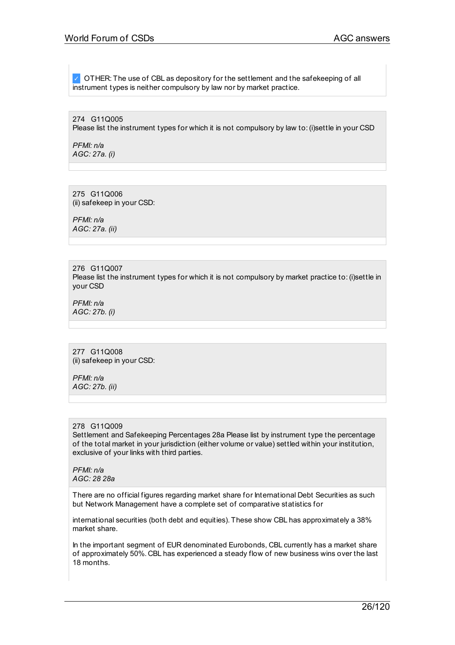✓ OTHER: The use of CBL as depository for the settlement and the safekeeping of all instrument types is neither compulsory by law nor by market practice.

274 G11Q005 Please list the instrument types for which it is not compulsory by law to:(i)settle in your CSD

*PFMI: n/a AGC: 27a. (i)*

275 G11Q006 (ii) safekeep in your CSD:

*PFMI: n/a AGC: 27a. (ii)*

276 G11Q007 Please list the instrument types for which it is not compulsory by market practice to: (i)settle in your CSD

*PFMI: n/a AGC: 27b. (i)*

277 G11Q008 (ii) safekeep in your CSD:

*PFMI: n/a AGC: 27b. (ii)*

### 278 G11Q009

Settlement and Safekeeping Percentages 28a Please list by instrument type the percentage of the total market in your jurisdiction (either volume or value) settled within your institution, exclusive of your links with third parties.

*PFMI: n/a AGC: 28 28a*

There are no official figures regarding market share for International Debt Securities as such but Network Management have a complete set of comparative statistics for

international securities (both debt and equities). These show CBL has approximately a 38% market share.

In the important segment of EUR denominated Eurobonds, CBL currently has a market share of approximately 50%. CBL has experienced a steady flow of new business wins over the last 18 months.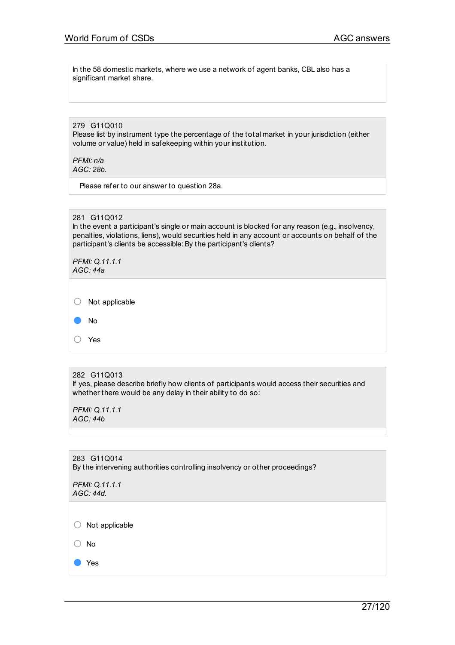In the 58 domestic markets, where we use a network of agent banks, CBL also has a significant market share.

279 G11Q010 Please list by instrument type the percentage of the total market in your jurisdiction (either volume or value) held in safekeeping within your institution.

*PFMI: n/a AGC: 28b.*

Please refer to our answer to question 28a.

281 G11Q012

In the event a participant's single or main account is blocked for any reason (e.g., insolvency, penalties, violations, liens), would securities held in any account or accounts on behalf of the participant's clients be accessible: By the participant's clients?

| PFMI: Q.11.1.1<br>AGC: 44a |                |
|----------------------------|----------------|
| O                          | Not applicable |
|                            | No             |
|                            | Yes            |

#### 282 G11Q013

If yes, please describe briefly how clients of participants would access their securities and whether there would be any delay in their ability to do so:

*PFMI: Q.11.1.1 AGC: 44b*

283 G11Q014 By the intervening authorities controlling insolvency or other proceedings?

| PFMI: Q.11.1.1 |
|----------------|
| AGC: 44d.      |

○ Not applicable

○ No

● Yes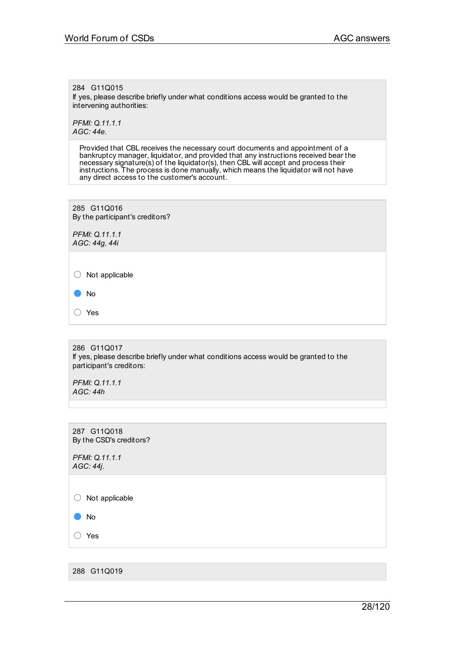284 G11Q015

If yes, please describe briefly under what conditions access would be granted to the intervening authorities:

*PFMI: Q.11.1.1 AGC: 44e.*

> Provided that CBL receives the necessary court documents and appointment of a bankruptcy manager, liquidator, and provided that any instructions received bear the necessary signature(s) of the liquidator(s), then CBL will accept and process their instructions. The process is done manually, which means the liquidator will not have any direct access to the customer's account.

285 G11Q016 By the participant's creditors?

*PFMI: Q.11.1.1 AGC: 44g, 44i*

 $\bigcirc$  Not applicable

● No

○ Yes

286 G11Q017 If yes, please describe briefly under what conditions access would be granted to the participant's creditors:

*PFMI: Q.11.1.1 AGC: 44h*

287 G11Q018 By the CSD's creditors?

*PFMI: Q.11.1.1 AGC: 44j.*

○ Not applicable

● No

○ Yes

288 G11Q019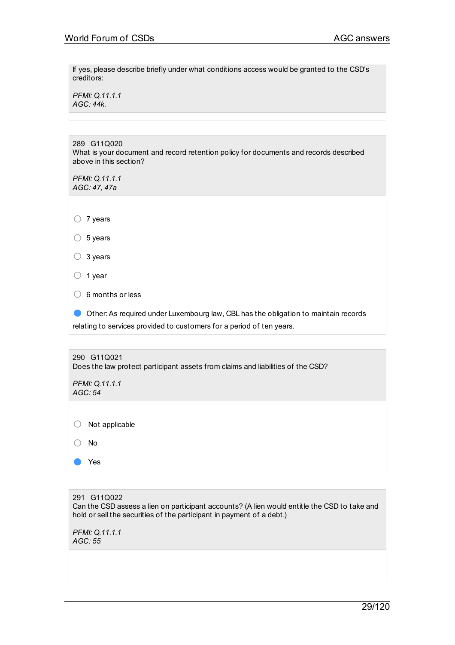If yes, please describe briefly under what conditions access would be granted to the CSD's creditors:

*PFMI: Q.11.1.1 AGC: 44k.*

289 G11Q020 What is your document and record retention policy for documents and records described above in this section?

*PFMI: Q.11.1.1 AGC: 47, 47a*

○ <sup>7</sup> years

 $\circ$  5 years

○ <sup>3</sup> years

○ <sup>1</sup> year

 $\bigcirc$  6 months or less

● Other:As required under Luxembourg law, CBL has the obligation to maintain records relating to services provided to customers for a period of ten years.

| 290 G11Q021<br>Does the law protect participant assets from claims and liabilities of the CSD? |                |  |  |  |
|------------------------------------------------------------------------------------------------|----------------|--|--|--|
| PFMI: Q.11.1.1<br>AGC: 54                                                                      |                |  |  |  |
|                                                                                                |                |  |  |  |
|                                                                                                | Not applicable |  |  |  |
|                                                                                                | No.            |  |  |  |
|                                                                                                | Yes            |  |  |  |

291 G11Q022 Can the CSD assess a lien on participant accounts? (A lien would entitle the CSD to take and hold or sell the securities of the participant in payment of a debt.)

*PFMI: Q.11.1.1 AGC: 55*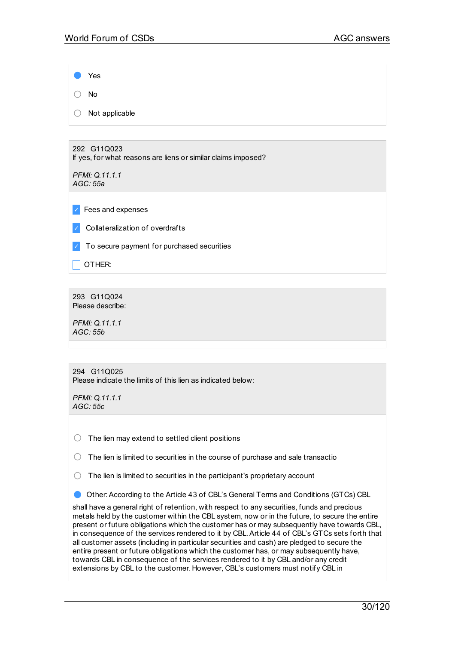Yes ○ No  $\bigcirc$  Not applicable

292 G11Q023 If yes, for what reasons are liens or similar claims imposed?

*PFMI: Q.11.1.1 AGC: 55a*

✓ Fees and expenses

✓ Collateralization of overdrafts

✓ To secure payment for purchased securities

 $\overline{\phantom{a}}$  OTHER:

293 G11Q024 Please describe:

*PFMI: Q.11.1.1 AGC: 55b*

| 294 G11Q025 |  |                                                             |  |
|-------------|--|-------------------------------------------------------------|--|
|             |  | Please indicate the limits of this lien as indicated below: |  |

*PFMI: Q.11.1.1 AGC: 55c*

 $\bigcirc$  The lien may extend to settled client positions

 $\bigcirc$  The lien is limited to securities in the course of purchase and sale transactio

 $\bigcirc$  The lien is limited to securities in the participant's proprietary account

● Other:According to the Article <sup>43</sup> of CBL's General Terms and Conditions (GTCs) CBL

shall have a general right of retention, with respect to any securities, funds and precious metals held by the customer within the CBL system, now or in the future, to secure the entire present or future obligations which the customer has or may subsequently have towards CBL, in consequence of the services rendered to it by CBL.Article 44 of CBL's GTCs sets forth that all customer assets (including in particular securities and cash) are pledged to secure the entire present or future obligations which the customer has, or may subsequently have, towards CBL in consequence of the services rendered to it by CBL and/or any credit extensions by CBL to the customer. However, CBL's customers must notify CBL in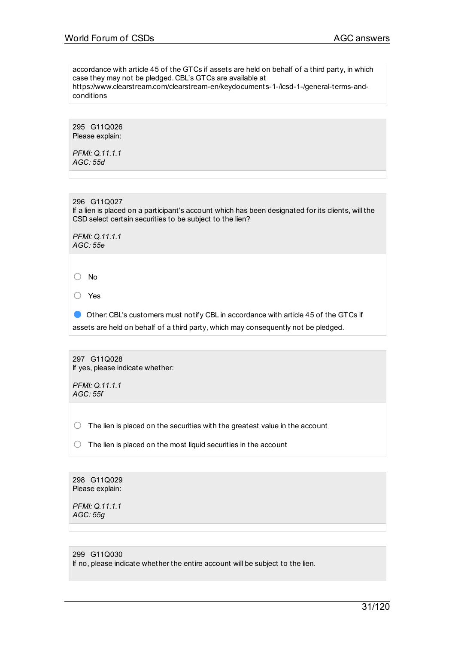accordance with article 45 of the GTCs if assets are held on behalf of a third party, in which case they may not be pledged. CBL's GTCs are available at https://www.clearstream.com/clearstream-en/keydocuments-1-/icsd-1-/general-terms-andconditions

295 G11Q026 Please explain:

*PFMI: Q.11.1.1 AGC: 55d*

296 G11Q027 If a lien is placed on a participant's account which has been designated for its clients, will the CSD select certain securities to be subject to the lien?

*PFMI: Q.11.1.1 AGC: 55e*

○ No

○ Yes

● Other: CBL's customers must notify CBL in accordance with article 45 of the GTCs if assets are held on behalf of a third party, which may consequently not be pledged.

297 G11Q028 If yes, please indicate whether:

*PFMI: Q.11.1.1 AGC: 55f*

 $\bigcirc$  The lien is placed on the securities with the greatest value in the account

 $\bigcirc$  The lien is placed on the most liquid securities in the account

298 G11Q029 Please explain:

*PFMI: Q.11.1.1 AGC: 55g*

299 G11Q030 If no, please indicate whether the entire account will be subject to the lien.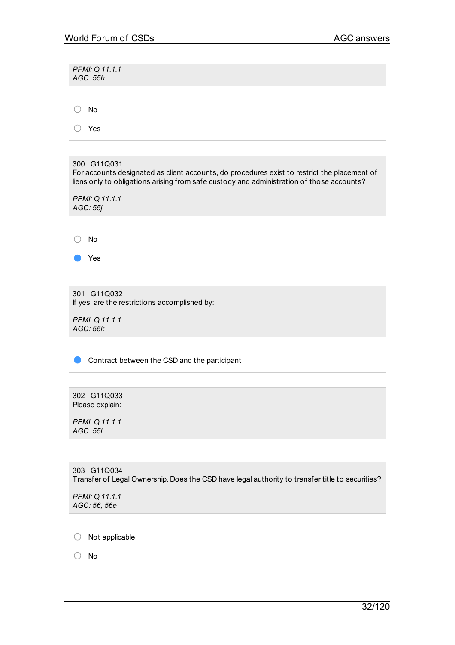| PFMI: Q.11.1.1<br>AGC: 55h |  |  |  |  |
|----------------------------|--|--|--|--|
| No                         |  |  |  |  |
| Yes                        |  |  |  |  |

| 300 G11Q031<br>For accounts designated as client accounts, do procedures exist to restrict the placement of<br>liens only to obligations arising from safe custody and administration of those accounts? |
|----------------------------------------------------------------------------------------------------------------------------------------------------------------------------------------------------------|
| PFMI: Q.11.1.1<br>AGC: 55j                                                                                                                                                                               |
|                                                                                                                                                                                                          |
| No                                                                                                                                                                                                       |
| Yes                                                                                                                                                                                                      |

301 G11Q032 If yes, are the restrictions accomplished by:

*PFMI: Q.11.1.1 AGC: 55k*

● Contract between the CSD and the participant

302 G11Q033 Please explain:

*PFMI: Q.11.1.1 AGC: 55l*

303 G11Q034 Transfer of Legal Ownership. Does the CSD have legal authority to transfer title to securities?

*PFMI: Q.11.1.1 AGC: 56, 56e*

○ Not applicable

○ No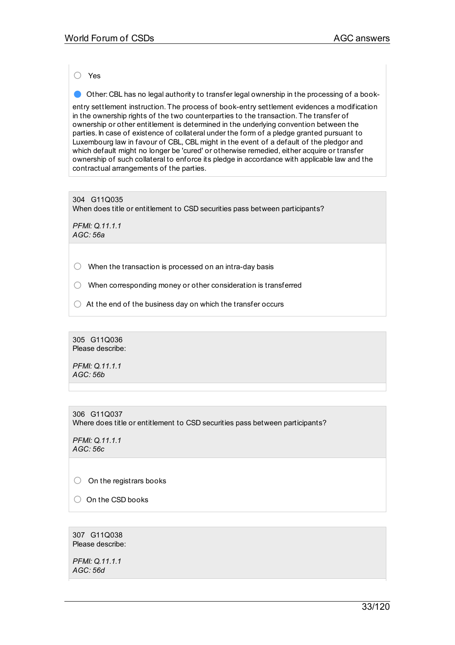○ Yes

● Other: CBL has no legal authority to transfer legal ownership in the processing of <sup>a</sup> book-

entry settlement instruction. The process of book-entry settlement evidences a modification in the ownership rights of the two counterparties to the transaction. The transfer of ownership or other entitlement is determined in the underlying convention between the parties. In case of existence of collateral under the form of a pledge granted pursuant to Luxembourg law in favour of CBL, CBL might in the event of a default of the pledgor and which default might no longer be 'cured' or otherwise remedied, either acquire or transfer ownership of such collateral to enforce its pledge in accordance with applicable law and the contractual arrangements of the parties.

# 304 G11Q035

When does title or entitlement to CSD securities pass between participants?

*PFMI: Q.11.1.1 AGC: 56a*

 $\bigcirc$  When the transaction is processed on an intra-day basis

○ When corresponding money or other consideration is transferred

 $\bigcirc$  At the end of the business day on which the transfer occurs

305 G11Q036 Please describe:

*PFMI: Q.11.1.1 AGC: 56b*

306 G11Q037 Where does title or entitlement to CSD securities pass between participants?

*PFMI: Q.11.1.1 AGC: 56c*

 $\bigcirc$  On the registrars books

○ On the CSD books

307 G11Q038 Please describe:

*PFMI: Q.11.1.1 AGC: 56d*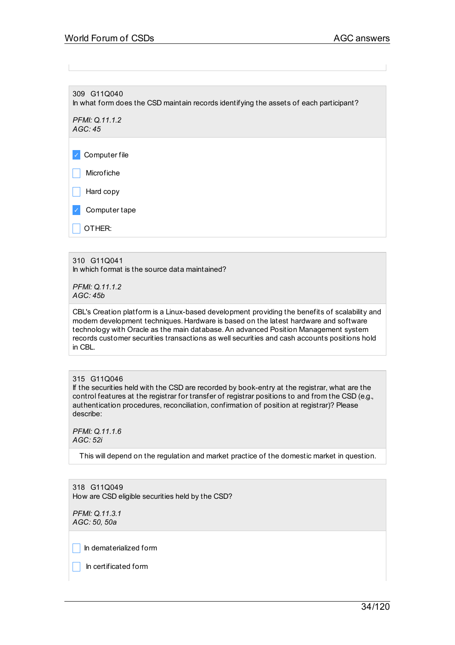309 G11Q040 In what form does the CSD maintain records identifying the assets of each participant?

*PFMI: Q.11.1.2 AGC: 45*

✓ Computer file

 $\blacksquare$  Microfiche

Hard copy

✓ Computer tape

OTHER:

### 310 G11Q041

In which format is the source data maintained?

*PFMI: Q.11.1.2 AGC: 45b*

CBL's Creation platform is a Linux-based development providing the benefits of scalability and modern development techniques. Hardware is based on the latest hardware and software technology with Oracle as the main database. An advanced Position Management system records customer securities transactions as well securities and cash accounts positions hold in CBL.

### 315 G11Q046

If the securities held with the CSD are recorded by book-entry at the registrar, what are the control features at the registrar for transfer of registrar positions to and from the CSD (e.g., authentication procedures, reconciliation, confirmation of position at registrar)? Please describe:

*PFMI: Q.11.1.6 AGC: 52i*

This will depend on the regulation and market practice of the domestic market in question.

318 G11Q049 How are CSD eligible securities held by the CSD?

*PFMI: Q.11.3.1 AGC: 50, 50a*

 $\|$  In dematerialized form

 $\Box$  In certificated form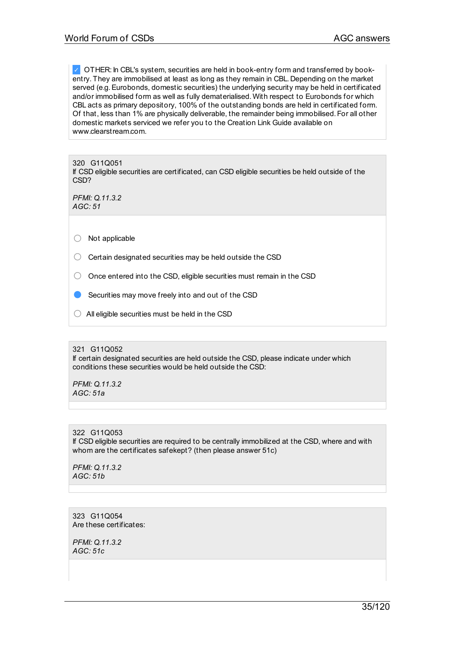✓ OTHER: In CBL's system, securities are held in book-entry form and transferred by bookentry. They are immobilised at least as long as they remain in CBL. Depending on the market served (e.g. Eurobonds, domestic securities) the underlying security may be held in certificated and/or immobilised form as well as fully dematerialised. With respect to Eurobonds for which CBL acts as primary depository, 100% of the outstanding bonds are held in certificated form. Of that, less than 1% are physically deliverable, the remainder being immobilised. For all other domestic markets serviced we refer you to the Creation Link Guide available on www.clearstream.com.

320 G11Q051 If CSD eligible securities are certificated, can CSD eligible securities be held outside of the CSD?

*PFMI: Q.11.3.2 AGC: 51*

○ Not applicable

 $\bigcirc$  Certain designated securities may be held outside the CSD

 $\bigcirc$  Once entered into the CSD, eligible securities must remain in the CSD

Securities may move freely into and out of the CSD

 $\bigcirc$  All eligible securities must be held in the CSD

321 G11Q052 If certain designated securities are held outside the CSD, please indicate under which conditions these securities would be held outside the CSD:

*PFMI: Q.11.3.2 AGC: 51a*

322 G11Q053 If CSD eligible securities are required to be centrally immobilized at the CSD, where and with whom are the certificates safekept? (then please answer 51c)

*PFMI: Q.11.3.2 AGC: 51b*

323 G11Q054 Are these certificates:

*PFMI: Q.11.3.2 AGC: 51c*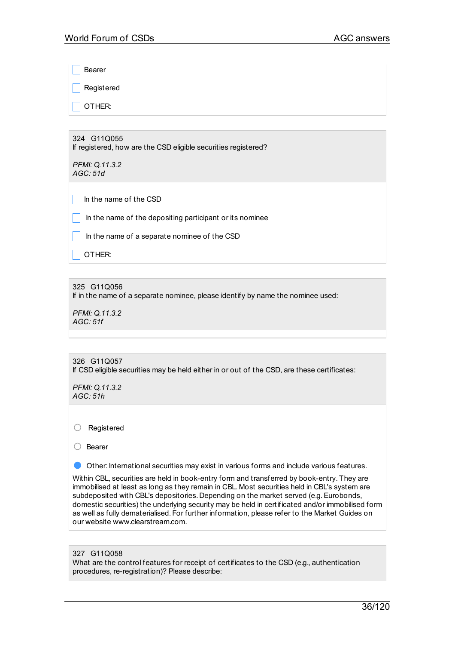**Bearer Registered** 

\_ OTHER:

324 G11Q055 If registered, how are the CSD eligible securities registered?

*PFMI: Q.11.3.2 AGC: 51d*

 $\Box$  In the name of the CSD

In the name of the depositing participant or its nominee

\_ In the name of a separate nominee of the CSD

 $\vert$  OTHER:

325 G11Q056

If in the name of a separate nominee, please identify by name the nominee used:

*PFMI: Q.11.3.2 AGC: 51f*

# 326 G11Q057

If CSD eligible securities may be held either in or out of the CSD, are these certificates:

*PFMI: Q.11.3.2 AGC: 51h*

○ Registered

○ Bearer

Other: International securities may exist in various forms and include various features.

Within CBL, securities are held in book-entry form and transferred by book-entry. They are immobilised at least as long as they remain in CBL. Most securities held in CBL's system are subdeposited with CBL's depositories. Depending on the market served (e.g. Eurobonds, domestic securities) the underlying security may be held in certificated and/or immobilised form as well as fully dematerialised. For further information, please refer to the Market Guides on our website www.clearstream.com.

### 327 G11Q058

What are the control features for receipt of certificates to the CSD (e.g., authentication procedures, re-registration)? Please describe: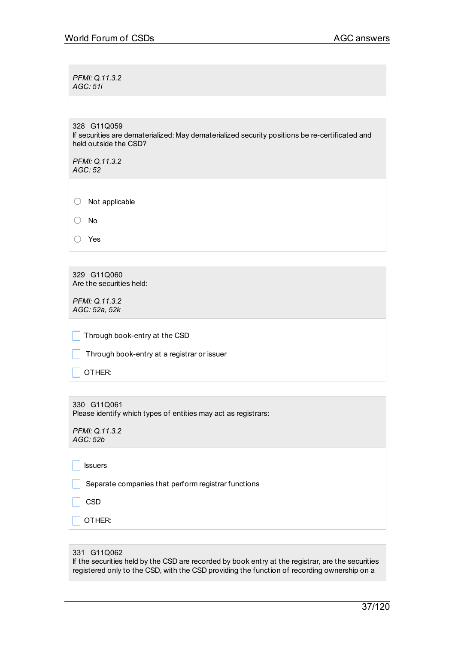*PFMI: Q.11.3.2 AGC: 51i*

328 G11Q059 If securities are dematerialized: May dematerialized security positions be re-certificated and held outside the CSD?

*PFMI: Q.11.3.2 AGC: 52*

| Not applicable |
|----------------|
|----------------|

○ No

329 G11Q060 Are the securities held:

*PFMI: Q.11.3.2 AGC: 52a, 52k*

 $\Box$  Through book-entry at the CSD

**Through book-entry at a registrar or issuer** 

 $\overline{\phantom{a}}$  OTHER:

330 G11Q061 Please identify which types of entities may act as registrars:

*PFMI: Q.11.3.2 AGC: 52b*

 $\Box$  Issuers

 $\Box$  Separate companies that perform registrar functions

 $\Box$  CSD

 $\Box$  OTHER:

#### 331 G11Q062

If the securities held by the CSD are recorded by book entry at the registrar, are the securities registered only to the CSD, with the CSD providing the function of recording ownership on a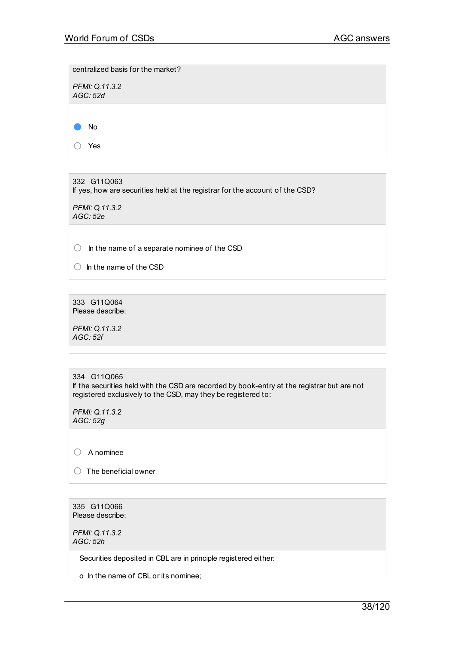centralized basis for the market?

*PFMI: Q.11.3.2 AGC: 52d*

● No

○ Yes

332 G11Q063 If yes, how are securities held at the registrar for the account of the CSD?

*PFMI: Q.11.3.2 AGC: 52e*

○ In the name of a separate nominee of the CSD

 $\bigcirc$  In the name of the CSD

333 G11Q064 Please describe:

*PFMI: Q.11.3.2 AGC: 52f*

334 G11Q065 If the securities held with the CSD are recorded by book-entry at the registrar but are not registered exclusively to the CSD, may they be registered to:

*PFMI: Q.11.3.2 AGC: 52g*

○ A nominee

 $\bigcirc$  The beneficial owner

335 G11Q066 Please describe:

*PFMI: Q.11.3.2 AGC: 52h*

Securities deposited in CBL are in principle registered either:

o In the name of CBL or its nominee;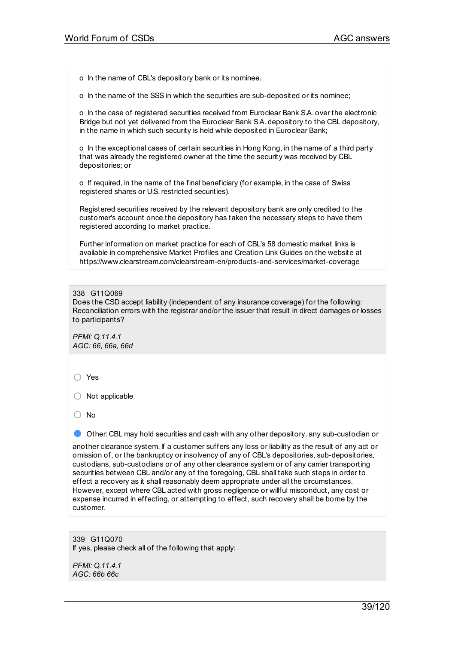o In the name of CBL's depository bank or its nominee.

o In the name of the SSS in which the securities are sub-deposited or its nominee;

o In the case of registered securities received from Euroclear Bank S.A. over the electronic Bridge but not yet delivered from the Euroclear Bank S.A. depository to the CBL depository, in the name in which such security is held while deposited in Euroclear Bank;

o In the exceptional cases of certain securities in Hong Kong, in the name of a third party that was already the registered owner at the time the security was received by CBL depositories; or

o If required, in the name of the final beneficiary (for example, in the case of Swiss registered shares or U.S. restricted securities).

Registered securities received by the relevant depository bank are only credited to the customer's account once the depository has taken the necessary steps to have them registered according to market practice.

Further information on market practice for each of CBL's 58 domestic market links is available in comprehensive Market Profiles and Creation Link Guides on the website at https://www.clearstream.com/clearstream-en/products-and-services/market-coverage

#### 338 G11Q069

Does the CSD accept liability (independent of any insurance coverage) for the following: Reconciliation errors with the registrar and/or the issuer that result in direct damages or losses to participants?

*PFMI: Q.11.4.1 AGC: 66, 66a, 66d*

○ Yes

 $\bigcirc$  Not applicable

○ No

● Other: CBL may hold securities and cash with any other depository, any sub-custodian or

another clearance system. If a customer suffers any loss or liability as the result of any act or omission of, or the bankruptcy or insolvency of any of CBL's depositories, sub-depositories, custodians, sub-custodians or of any other clearance system or of any carrier transporting securities between CBL and/or any of the foregoing, CBL shall take such steps in order to effect a recovery as it shall reasonably deem appropriate under all the circumstances. However, except where CBL acted with gross negligence or willful misconduct, any cost or expense incurred in effecting, or attempting to effect, such recovery shall be borne by the customer.

339 G11Q070 If yes, please check all of the following that apply:

*PFMI: Q.11.4.1 AGC: 66b 66c*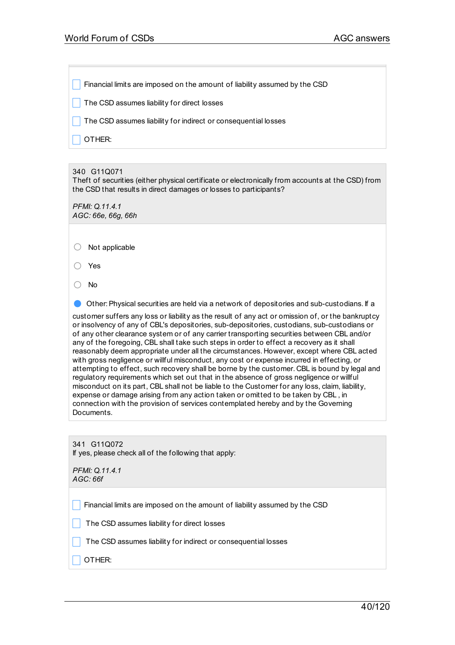\_ Financial limits are imposed on the amount of liability assumed by the CSD

 $\Box$  The CSD assumes liability for direct losses

The CSD assumes liability for indirect or consequential losses

OTHER:

340 G11Q071

Theft of securities (either physical certificate or electronically from accounts at the CSD) from the CSD that results in direct damages or losses to participants?

*PFMI: Q.11.4.1 AGC: 66e, 66g, 66h*

○ Not applicable

○ Yes

○ No

● Other: Physical securities are held via a network of depositories and sub-custodians. If a

customer suffers any loss or liability as the result of any act or omission of, or the bankruptcy or insolvency of any of CBL's depositories, sub-depositories, custodians, sub-custodians or of any other clearance system or of any carrier transporting securities between CBL and/or any of the foregoing, CBL shall take such steps in order to effect a recovery as it shall reasonably deem appropriate under all the circumstances. However, except where CBL acted with gross negligence or willful misconduct, any cost or expense incurred in effecting, or attempting to effect, such recovery shall be borne by the customer. CBL is bound by legal and regulatory requirements which set out that in the absence of gross negligence or willful misconduct on its part, CBL shall not be liable to the Customer for any loss, claim, liability, expense or damage arising from any action taken or omitted to be taken by CBL , in connection with the provision of services contemplated hereby and by the Governing Documents.

341 G11Q072 If yes, please check all of the following that apply:

*PFMI: Q.11.4.1 AGC: 66f*

**Financial limits are imposed on the amount of liability assumed by the CSD** 

 $\Box$  The CSD assumes liability for direct losses

 $\Box$  The CSD assumes liability for indirect or consequential losses

 $\overline{\phantom{a}}$  OTHER: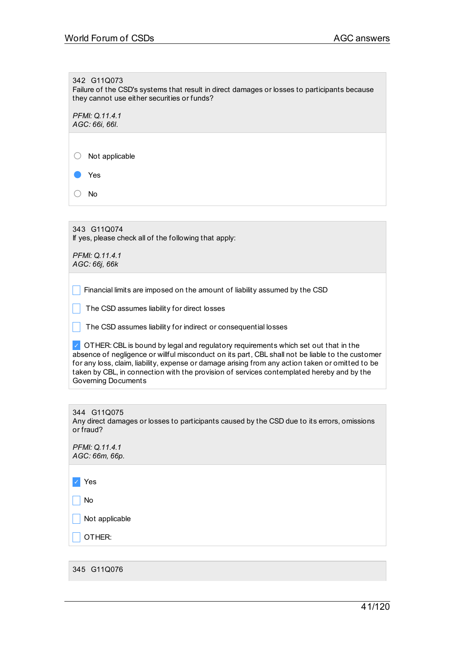342 G11Q073 Failure of the CSD's systems that result in direct damages or losses to participants because they cannot use either securities or funds?

*PFMI: Q.11.4.1 AGC: 66i, 66l.*

○ Not applicable

Yes

○ No

343 G11Q074 If yes, please check all of the following that apply:

*PFMI: Q.11.4.1 AGC: 66j, 66k*

 $\vert \vert$  Financial limits are imposed on the amount of liability assumed by the CSD

 $\Box$  The CSD assumes liability for direct losses

 $\Box$  The CSD assumes liability for indirect or consequential losses

 $\vee$  OTHER: CBL is bound by legal and regulatory requirements which set out that in the absence of negligence or willful misconduct on its part, CBL shall not be liable to the customer for any loss, claim, liability, expense or damage arising from any action taken or omitted to be taken by CBL, in connection with the provision of services contemplated hereby and by the Governing Documents

| 344 G11Q075 |                                                                                             |
|-------------|---------------------------------------------------------------------------------------------|
|             | Any direct damages or losses to participants caused by the CSD due to its errors, omissions |
| or fraud?   |                                                                                             |

*PFMI: Q.11.4.1 AGC: 66m, 66p.*

✓ Yes

 $\overline{\phantom{a}}$  No

Not applicable

 $\Box$  OTHER:

345 G11Q076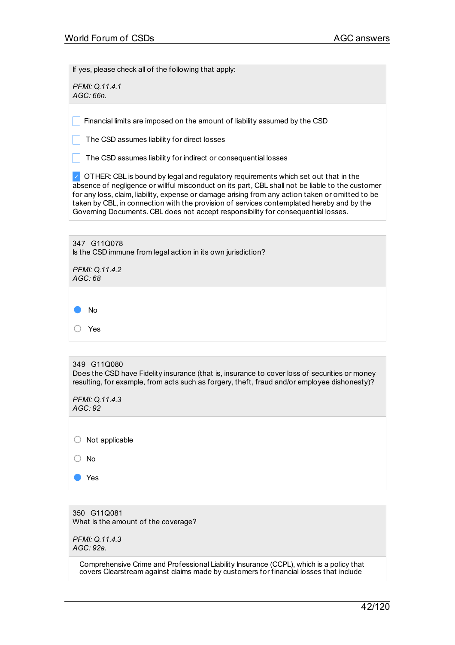If yes, please check all of the following that apply:

*PFMI: Q.11.4.1 AGC: 66n.*

Financial limits are imposed on the amount of liability assumed by the CSD

The CSD assumes liability for direct losses

The CSD assumes liability for indirect or consequential losses

◯ OTHER: CBL is bound by legal and regulatory requirements which set out that in the absence of negligence or willful misconduct on its part, CBL shall not be liable to the customer for any loss, claim, liability, expense or damage arising from any action taken or omitted to be taken by CBL, in connection with the provision of services contemplated hereby and by the Governing Documents. CBL does not accept responsibility for consequential losses.

347 G11Q078 Is the CSD immune from legal action in its own jurisdiction?

*PFMI: Q.11.4.2 AGC: 68*

● No

○ Yes

349 G11Q080

Does the CSD have Fidelity insurance (that is, insurance to cover loss of securities or money resulting, for example, from acts such as forgery, theft, fraud and/or employee dishonesty)?

*PFMI: Q.11.4.3 AGC: 92*

 $\bigcirc$  Not applicable

○ No

Yes

350 G11Q081 What is the amount of the coverage?

*PFMI: Q.11.4.3 AGC: 92a.*

> Comprehensive Crime and Professional Liability Insurance (CCPL), which is a policy that covers Clearstream against claims made by customers for financial losses that include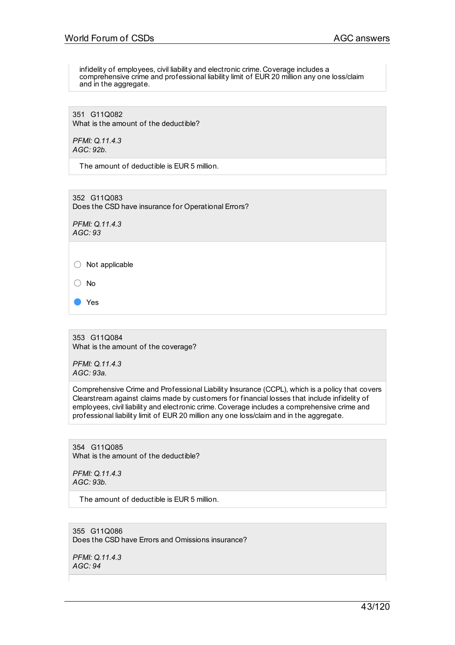infidelity of employees, civil liability and electronic crime. Coverage includes a comprehensive crime and professional liability limit of EUR 20 million any one loss/claim and in the aggregate.

351 G11Q082 What is the amount of the deductible?

*PFMI: Q.11.4.3 AGC: 92b.*

The amount of deductible is EUR 5 million.

352 G11Q083 Does the CSD have insurance for Operational Errors?

*PFMI: Q.11.4.3 AGC: 93*

○ Not applicable

○ No

● Yes

353 G11Q084 What is the amount of the coverage?

*PFMI: Q.11.4.3 AGC: 93a.*

Comprehensive Crime and Professional Liability Insurance (CCPL), which is a policy that covers Clearstream against claims made by customers for financial losses that include infidelity of employees, civil liability and electronic crime. Coverage includes a comprehensive crime and professional liability limit of EUR 20 million any one loss/claim and in the aggregate.

354 G11Q085 What is the amount of the deductible?

*PFMI: Q.11.4.3 AGC: 93b.*

The amount of deductible is EUR 5 million.

355 G11Q086 Does the CSD have Errors and Omissions insurance?

*PFMI: Q.11.4.3 AGC: 94*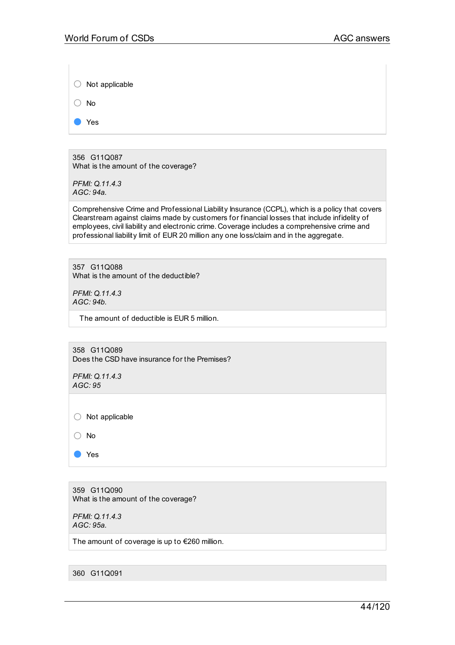| $\bigcirc$ Not applicable |
|---------------------------|
| $()$ No                   |

● Yes

356 G11Q087 What is the amount of the coverage?

*PFMI: Q.11.4.3 AGC: 94a.*

Comprehensive Crime and Professional Liability Insurance (CCPL), which is a policy that covers Clearstream against claims made by customers for financial losses that include infidelity of employees, civil liability and electronic crime. Coverage includes a comprehensive crime and professional liability limit of EUR 20 million any one loss/claim and in the aggregate.

357 G11Q088 What is the amount of the deductible?

*PFMI: Q.11.4.3 AGC: 94b.*

The amount of deductible is EUR 5 million.

358 G11Q089 Does the CSD have insurance for the Premises?

*PFMI: Q.11.4.3 AGC: 95*

 $\bigcirc$  Not applicable

○ No

● Yes

359 G11Q090 What is the amount of the coverage?

*PFMI: Q.11.4.3 AGC: 95a.*

The amount of coverage is up to €260 million.

360 G11Q091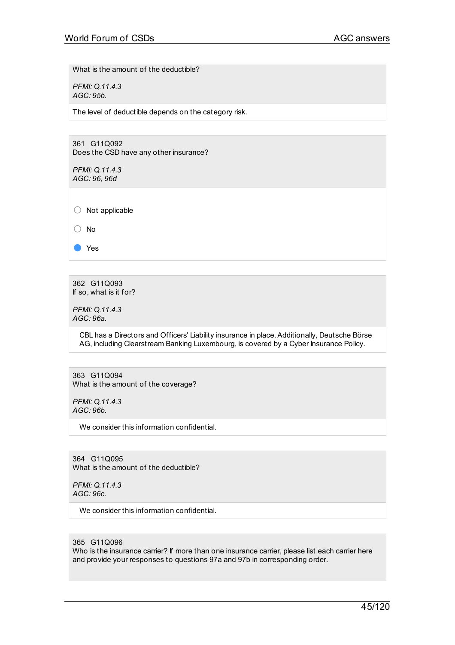What is the amount of the deductible?

*PFMI: Q.11.4.3 AGC: 95b.*

The level of deductible depends on the category risk.

361 G11Q092 Does the CSD have any other insurance?

*PFMI: Q.11.4.3 AGC: 96, 96d*

○ Not applicable

○ No

● Yes

362 G11Q093 If so, what is it for?

*PFMI: Q.11.4.3 AGC: 96a.*

> CBL has a Directors and Officers' Liability insurance in place.Additionally, Deutsche Börse AG, including Clearstream Banking Luxembourg, is covered by a Cyber Insurance Policy.

363 G11Q094 What is the amount of the coverage?

*PFMI: Q.11.4.3 AGC: 96b.*

We consider this information confidential.

364 G11Q095 What is the amount of the deductible?

*PFMI: Q.11.4.3 AGC: 96c.*

We consider this information confidential.

365 G11Q096

Who is the insurance carrier? If more than one insurance carrier, please list each carrier here and provide your responses to questions 97a and 97b in corresponding order.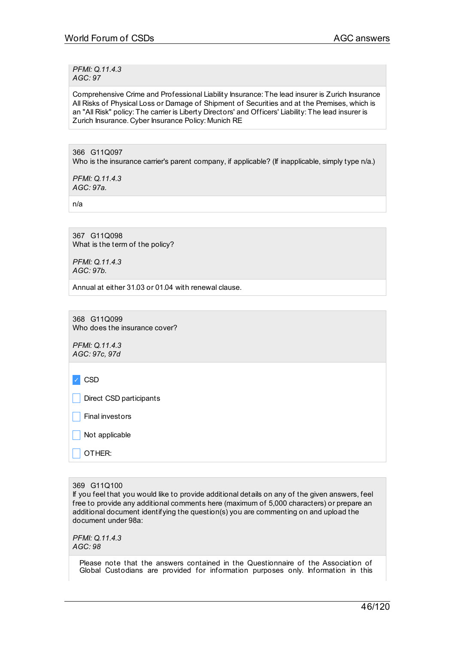*PFMI: Q.11.4.3 AGC: 97*

Comprehensive Crime and Professional Liability Insurance: The lead insurer is Zurich Insurance All Risks of Physical Loss or Damage of Shipment of Securities and at the Premises, which is an "All Risk" policy: The carrier is Liberty Directors' and Officers' Liability: The lead insurer is Zurich Insurance. Cyber Insurance Policy: Munich RE

366 G11Q097 Who is the insurance carrier's parent company, if applicable? (If inapplicable, simply type n/a.)

*PFMI: Q.11.4.3 AGC: 97a.*

n/a

367 G11Q098 What is the term of the policy?

*PFMI: Q.11.4.3 AGC: 97b.*

Annual at either 31.03 or 01.04 with renewal clause.

368 G11Q099 Who does the insurance cover?

*PFMI: Q.11.4.3 AGC: 97c, 97d*

✓ CSD

Direct CSD participants

\_ Final investors

Not applicable

\_ OTHER:

369 G11Q100

If you feel that you would like to provide additional details on any of the given answers, feel free to provide any additional comments here (maximum of 5,000 characters) or prepare an additional document identifying the question(s) you are commenting on and upload the document under 98a:

*PFMI: Q.11.4.3 AGC: 98*

> Please note that the answers contained in the Questionnaire of the Association of Global Custodians are provided for information purposes only. Information in this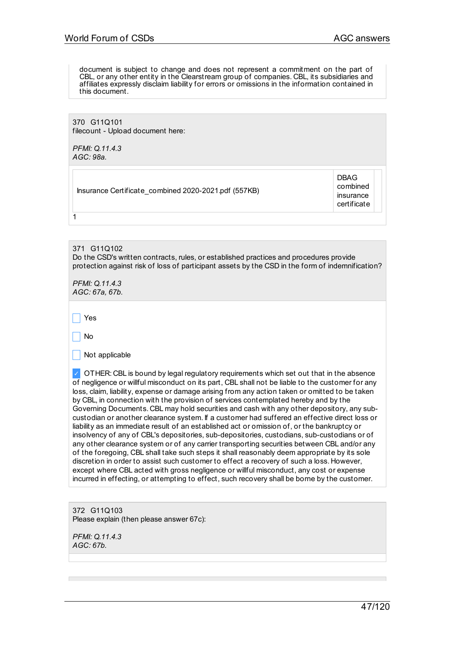document is subject to change and does not represent a commitment on the part of CBL, or any other entity in the Clearstream group of companies. CBL, its subsidiaries and affiliates expressly disclaim liability for errors or omissions in the information contained in this document.

370 G11Q101 filecount - Upload document here:

*PFMI: Q.11.4.3 AGC: 98a.*

Insurance Certificate\_combined 2020-2021.pdf (557KB)

DBAG combined insurance certificate

371 G11Q102 Do the CSD's written contracts, rules, or established practices and procedures provide protection against risk of loss of participant assets by the CSD in the form of indemnification?

*PFMI: Q.11.4.3 AGC: 67a, 67b.*

\_ Yes

1

\_ No

 $\vert$  Not applicable

 $\vee$  OTHER: CBL is bound by legal regulatory requirements which set out that in the absence of negligence or willful misconduct on its part, CBL shall not be liable to the customer for any loss, claim, liability, expense or damage arising from any action taken or omitted to be taken by CBL, in connection with the provision of services contemplated hereby and by the Governing Documents. CBL may hold securities and cash with any other depository, any subcustodian or another clearance system. If a customer had suffered an effective direct loss or liability as an immediate result of an established act or omission of, or the bankruptcy or insolvency of any of CBL's depositories, sub-depositories, custodians, sub-custodians or of any other clearance system or of any carrier transporting securities between CBL and/or any of the foregoing, CBL shall take such steps it shall reasonably deem appropriate by its sole discretion in order to assist such customer to effect a recovery of such a loss. However, except where CBL acted with gross negligence or willful misconduct, any cost or expense incurred in effecting, or attempting to effect, such recovery shall be borne by the customer.

372 G11Q103 Please explain (then please answer 67c):

*PFMI: Q.11.4.3 AGC: 67b.*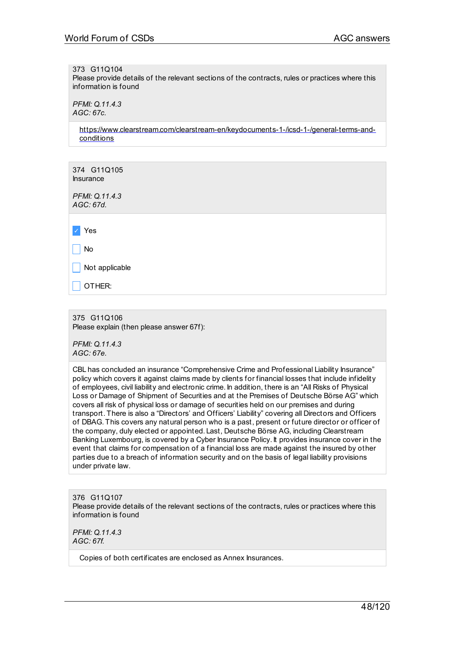#### 373 G11Q104

Please provide details of the relevant sections of the contracts, rules or practices where this information is found

*PFMI: Q.11.4.3 AGC: 67c.*

> [https://www.clearstream.com/clearstream-en/keydocuments-1-/icsd-1-/general-terms-and](http://www.clearstream.com/clearstream-en/keydocuments-1-/icsd-1-/general-terms-and-conditions)conditions

| 374 G11Q105<br><b>Insurance</b> |  |
|---------------------------------|--|
| PFMI: Q.11.4.3<br>AGC: 67d.     |  |
|                                 |  |
| Yes                             |  |
| No                              |  |
| Not applicable                  |  |
| OTHER:                          |  |

375 G11Q106 Please explain (then please answer 67f):

*PFMI: Q.11.4.3 AGC: 67e.*

CBL has concluded an insurance "Comprehensive Crime and Professional Liability Insurance" policy which covers it against claims made by clients for financial losses that include infidelity of employees, civil liability and electronic crime. In addition, there is an "All Risks of Physical Loss or Damage of Shipment of Securities and at the Premises of Deutsche Börse AG" which covers all risk of physical loss or damage of securities held on our premises and during transport. There is also a "Directors' and Officers' Liability" covering all Directors and Officers of DBAG. This covers any natural person who is a past, present or future director or officer of the company, duly elected or appointed. Last, Deutsche Börse AG, including Clearstream Banking Luxembourg, is covered by a Cyber Insurance Policy. It provides insurance cover in the event that claims for compensation of a financial loss are made against the insured by other parties due to a breach of information security and on the basis of legal liability provisions under private law.

376 G11Q107 Please provide details of the relevant sections of the contracts, rules or practices where this information is found

*PFMI: Q.11.4.3 AGC: 67f.*

Copies of both certificates are enclosed as Annex Insurances.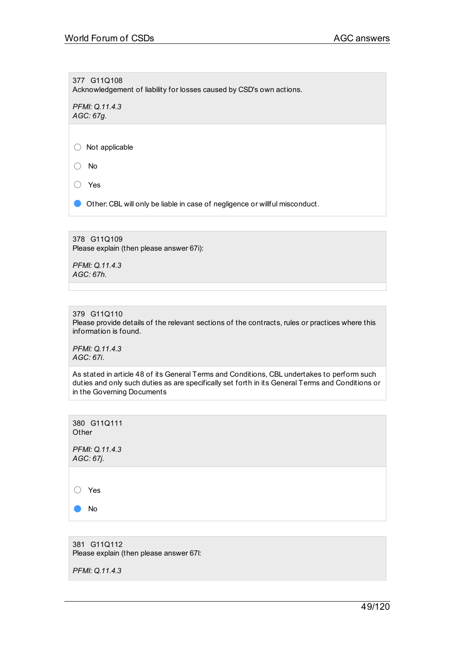377 G11Q108 Acknowledgement of liability for losses caused by CSD's own actions.

*PFMI: Q.11.4.3 AGC: 67g.*

○ Not applicable

○ No

○ Yes

**O** Other: CBL will only be liable in case of negligence or willful misconduct.

378 G11Q109 Please explain (then please answer 67i):

*PFMI: Q.11.4.3 AGC: 67h.*

379 G11Q110

Please provide details of the relevant sections of the contracts, rules or practices where this information is found.

*PFMI: Q.11.4.3 AGC: 67i.*

As stated in article 48 of its General Terms and Conditions, CBL undertakes to perform such duties and only such duties as are specifically set forth in its General Terms and Conditions or in the Governing Documents



381 G11Q112 Please explain (then please answer 67l:

*PFMI: Q.11.4.3*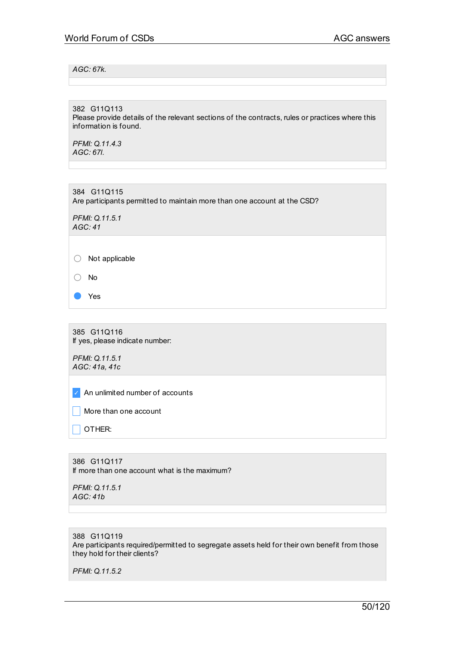## *AGC: 67k.*

382 G11Q113

Please provide details of the relevant sections of the contracts, rules or practices where this information is found.

*PFMI: Q.11.4.3 AGC: 67l.*

384 G11Q115 Are participants permitted to maintain more than one account at the CSD?

*PFMI: Q.11.5.1 AGC: 41*

○ Not applicable

○ No

● Yes

385 G11Q116 If yes, please indicate number:

*PFMI: Q.11.5.1 AGC: 41a, 41c*

✓ An unlimited number of accounts

 $\Box$  More than one account

 $\Box$  OTHER:

386 G11Q117 If more than one account what is the maximum?

*PFMI: Q.11.5.1 AGC: 41b*

## 388 G11Q119 Are participants required/permitted to segregate assets held for their own benefit from those they hold for their clients?

*PFMI: Q.11.5.2*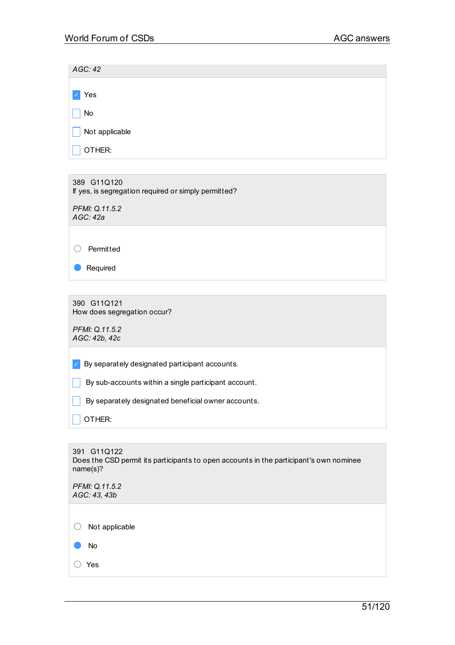| AGC:42                       |  |
|------------------------------|--|
|                              |  |
| $\mathcal{L}_{\rm c}$<br>Yes |  |
| No<br>L                      |  |
| $\Box$<br>Not applicable     |  |
| OTHER:<br>$\mathbf{L}$       |  |

389 G11Q120 If yes, is segregation required or simply permitted?

*PFMI: Q.11.5.2 AGC: 42a*

○ Permitted

● Required

390 G11Q121 How does segregation occur?

*PFMI: Q.11.5.2 AGC: 42b, 42c*

 $\triangledown$  By separately designated participant accounts.

 $\Box$  By sub-accounts within a single participant account.

 $\Box$  By separately designated beneficial owner accounts.

 $\Box$  Other:

391 G11Q122 Does the CSD permit its participants to open accounts in the participant's own nominee name(s)? *PFMI: Q.11.5.2 AGC: 43, 43b* ○ Not applicable ● No

○ Yes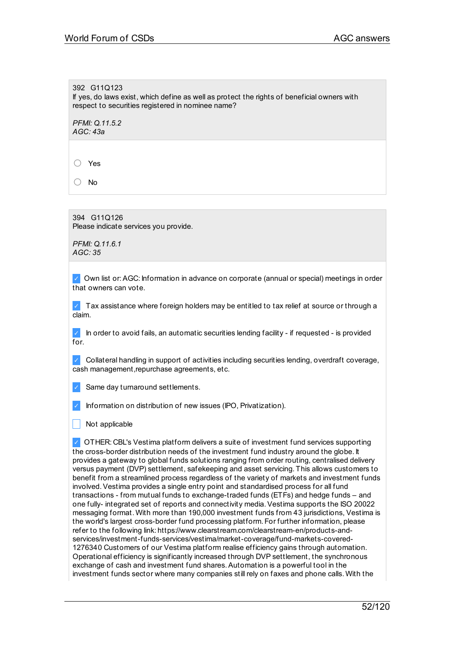392 G11Q123 If yes, do laws exist, which define as well as protect the rights of beneficial owners with respect to securities registered in nominee name?

*PFMI: Q.11.5.2 AGC: 43a*

○ Yes

○ No

394 G11Q126 Please indicate services you provide.

*PFMI: Q.11.6.1 AGC: 35*

✓ Own list or:AGC: Information in advance on corporate (annual or special) meetings in order that owners can vote.

✓ Tax assistance where foreign holders may be entitled to tax relief at source or through a claim.

✓ In order to avoid fails, an automatic securities lending facility - if requested - is provided  $for$ 

✓ Collateral handling in support of activities including securities lending, overdraft coverage, cash management,repurchase agreements, etc.

✓ Same day turnaround settlements.

Information on distribution of new issues (IPO, Privatization).

Not applicable

✓ OTHER: CBL's Vestima platform delivers a suite of investment fund services supporting the cross-border distribution needs of the investment fund industry around the globe. It provides a gateway to global funds solutions ranging from order routing, centralised delivery versus payment (DVP) settlement, safekeeping and asset servicing. This allows customers to benefit from a streamlined process regardless of the variety of markets and investment funds involved. Vestima provides a single entry point and standardised process for all fund transactions - from mutual funds to exchange-traded funds (ETFs) and hedge funds – and one fully- integrated set of reports and connectivity media. Vestima supports the ISO 20022 messaging format. With more than 190,000 investment funds from 43 jurisdictions, Vestima is the world's largest cross-border fund processing platform. For further information, please refer to the following link: https://www.clearstream.com/clearstream-en/products-andservices/investment-funds-services/vestima/market-coverage/fund-markets-covered-1276340 Customers of our Vestima platform realise efficiency gains through automation. Operational efficiency is significantly increased through DVP settlement, the synchronous exchange of cash and investment fund shares. Automation is a powerful tool in the investment funds sector where many companies still rely on faxes and phone calls. With the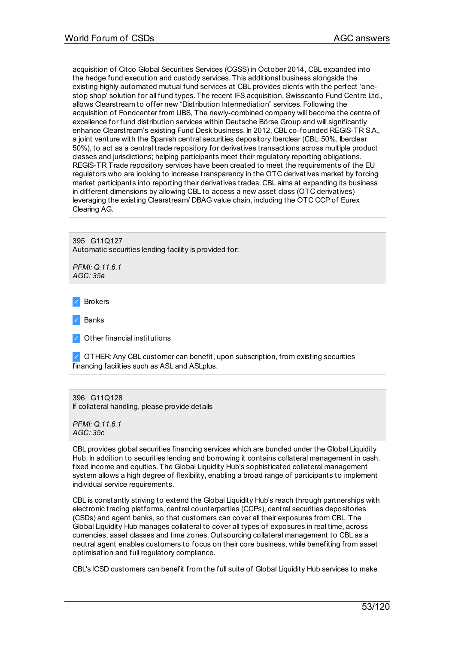acquisition of Citco Global Securities Services (CGSS) in October 2014, CBL expanded into the hedge fund execution and custody services. This additional business alongside the existing highly automated mutual fund services at CBL provides clients with the perfect 'onestop shop' solution for all fund types. The recent IFS acquisition, Swisscanto Fund Centre Ltd., allows Clearstream to offer new "Distribution Intermediation" services. Following the acquisition of Fondcenter from UBS, The newly-combined company will become the centre of excellence for fund distribution services within Deutsche Börse Group and will significantly enhance Clearstream's existing Fund Desk business. In 2012, CBL co-founded REGIS-TR SA., a joint venture with the Spanish central securities depository Iberclear (CBL: 50%, Iberclear 50%), to act as a central trade repository for derivatives transactions across multiple product classes and jurisdictions; helping participants meet their regulatory reporting obligations. REGIS-TR Trade repository services have been created to meet the requirements of the EU regulators who are looking to increase transparency in the OTC derivatives market by forcing market participants into reporting their derivatives trades. CBL aims at expanding its business in different dimensions by allowing CBL to access a new asset class (OTC derivatives) leveraging the existing Clearstream/ DBAG value chain, including the OTC CCP of Eurex Clearing AG.

395 G11Q127

Automatic securities lending facility is provided for:

*PFMI: Q.11.6.1 AGC: 35a*

**Brokers** 

**Banks** 

Other financial institutions

✓ OTHER:Any CBL customer can benefit, upon subscription, from existing securities financing facilities such as ASL and ASLplus.

### 396 G11Q128 If collateral handling, please provide details

*PFMI: Q.11.6.1 AGC: 35c*

CBL provides global securities financing services which are bundled under the Global Liquidity Hub. In addition to securities lending and borrowing it contains collateral management in cash, fixed income and equities. The Global Liquidity Hub's sophisticated collateral management system allows a high degree of flexibility, enabling a broad range of participants to implement individual service requirements.

CBL is constantly striving to extend the Global Liquidity Hub's reach through partnerships with electronic trading platforms, central counterparties (CCPs), central securities depositories (CSDs) and agent banks, so that customers can cover all their exposures from CBL. The Global Liquidity Hub manages collateral to cover all types of exposures in real time, across currencies, asset classes and time zones. Outsourcing collateral management to CBL as a neutral agent enables customers to focus on their core business, while benefiting from asset optimisation and full regulatory compliance.

CBL's ICSD customers can benefit from the full suite of Global Liquidity Hub services to make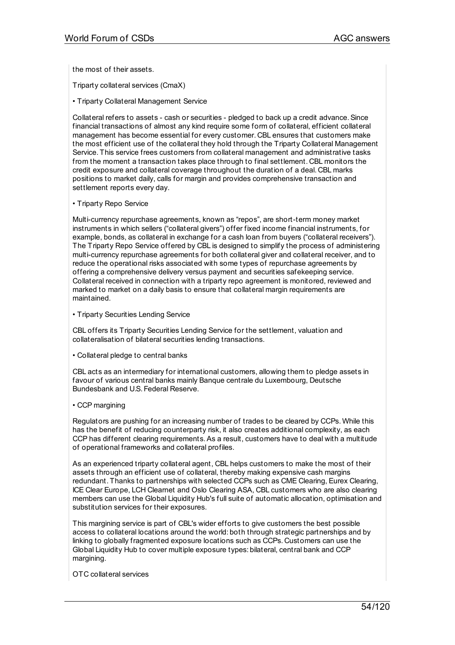the most of their assets.

Triparty collateral services (CmaX)

• Triparty Collateral Management Service

Collateral refers to assets - cash or securities - pledged to back up a credit advance.Since financial transactions of almost any kind require some form of collateral, efficient collateral management has become essential for every customer. CBL ensures that customers make the most efficient use of the collateral they hold through the Triparty Collateral Management Service. This service frees customers from collateral management and administrative tasks from the moment a transaction takes place through to final settlement. CBL monitors the credit exposure and collateral coverage throughout the duration of a deal. CBL marks positions to market daily, calls for margin and provides comprehensive transaction and settlement reports every day.

• Triparty Repo Service

Multi-currency repurchase agreements, known as "repos", are short-term money market instruments in which sellers ("collateral givers") offer fixed income financial instruments, for example, bonds, as collateral in exchange for a cash loan from buyers ("collateral receivers"). The Triparty Repo Service offered by CBL is designed to simplify the process of administering multi-currency repurchase agreements for both collateral giver and collateral receiver, and to reduce the operational risks associated with some types of repurchase agreements by offering a comprehensive delivery versus payment and securities safekeeping service. Collateral received in connection with a triparty repo agreement is monitored, reviewed and marked to market on a daily basis to ensure that collateral margin requirements are maintained.

• Triparty Securities Lending Service

CBL offers its Triparty Securities Lending Service for the settlement, valuation and collateralisation of bilateral securities lending transactions.

• Collateral pledge to central banks

CBL acts as an intermediary for international customers, allowing them to pledge assets in favour of various central banks mainly Banque centrale du Luxembourg, Deutsche Bundesbank and U.S. Federal Reserve.

• CCP margining

Regulators are pushing for an increasing number of trades to be cleared by CCPs. While this has the benefit of reducing counterparty risk, it also creates additional complexity, as each CCP has different clearing requirements.As a result, customers have to deal with a multitude of operational frameworks and collateral profiles.

As an experienced triparty collateral agent, CBL helps customers to make the most of their assets through an efficient use of collateral, thereby making expensive cash margins redundant. Thanks to partnerships with selected CCPs such as CME Clearing, Eurex Clearing, ICE Clear Europe, LCH Clearnet and Oslo Clearing ASA, CBL customers who are also clearing members can use the Global Liquidity Hub's full suite of automatic allocation, optimisation and substitution services for their exposures.

This margining service is part of CBL's wider efforts to give customers the best possible access to collateral locations around the world: both through strategic partnerships and by linking to globally fragmented exposure locations such as CCPs. Customers can use the Global Liquidity Hub to cover multiple exposure types: bilateral, central bank and CCP margining.

OTC collateral services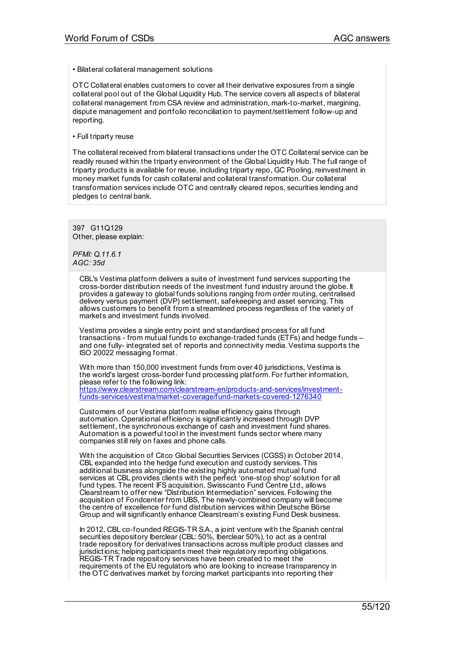• Bilateral collateral management solutions

OTC Collateral enables customers to cover all their derivative exposures from a single collateral pool out of the Global Liquidity Hub. The service covers all aspects of bilateral collateral management from CSA review and administration, mark-to-market, margining, dispute management and portfolio reconciliation to payment/settlement follow-up and reporting.

• Full triparty reuse

The collateral received from bilateral transactions under the OTC Collateral service can be readily reused within the triparty environment of the Global Liquidity Hub. The full range of triparty products is available for reuse, including triparty repo, GC Pooling, reinvestment in money market funds for cash collateral and collateral transformation. Our collateral transformation services include OTC and centrally cleared repos, securities lending and pledges to central bank.

397 G11Q129 Other, please explain:

*PFMI: Q.11.6.1 AGC: 35d*

> CBL's Vestima platform delivers a suite of investment fund services supporting the cross-border distribution needs of the investment fund industry around the globe. It provides a gateway to global funds solutions ranging from order routing, centralised delivery versus payment (DVP) settlement, safekeeping and asset servicing. This allows customers to benefit from a streamlined process regardless of the variety of markets and investment funds involved.

Vestima provides a single entry point and standardised process for all fund transactions - from mutual funds to exchange-traded funds (ETFs) and hedge funds – and one fully- integrated set of reports and connectivity media.Vestima supports the ISO 20022 messaging format.

With more than 150,000 investment funds from over 40 jurisdictions, Vestima is the world's largest cross-border fund processing platform. For further information, please refer to the following link: [https://www.clearstream.com/clearstream-en/products-and-services/investment-](http://www.clearstream.com/clearstream-en/products-and-services/investment-funds-services/vestima/market-coverage/fund-markets-covered-1276340)

funds-services/vestima/market-coverage/fund-markets-covered-1276340

Customers of our Vestima platform realise efficiency gains through automation. Operational efficiency is significantly increased through DVP settlement, the synchronous exchange of cash and investment fund shares. Automation is a powerful tool in the investment funds sector where many companies still rely on faxes and phone calls.

With the acquisition of Citco Global Securities Services (CGSS) in October 2014, CBL expanded into the hedge fund execution and custody services. This additional business alongside the existing highly automated mutual fund services at CBL provides clients with the perfect 'one-stop shop' solution for all fund types. The recent IFS acquisition, Swisscanto Fund Centre Ltd., allows Clearstream to offer new "Distribution Intermediation" services. Following the acquisition of Fondcenter from UBS, The newly-combined company will become the centre of excellence for fund distribution services within Deutsche Börse Group and will significantly enhance Clearstream's existing Fund Desk business.

In 2012, CBL co-founded REGIS-TR S.A., a joint venture with the Spanish central securities depository Iberclear (CBL: 50%, Iberclear 50%), to act as a central trade repository for derivatives transactions across multiple product classes and jurisdictions; helping participants meet their regulatory reporting obligations. REGIS-TR Trade repository services have been created to meet the requirements of the EU regulators who are looking to increase transparency in the OTC derivatives market by forcing market participants into reporting their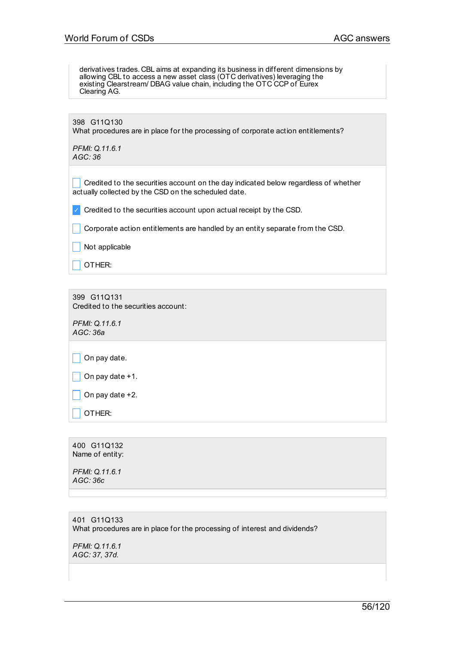derivatives trades. CBL aims at expanding its business in different dimensions by allowing CBL to access a new asset class (OTC derivatives) leveraging the existing Clearstream/ DBAG value chain, including the OTC CCP of Eurex Clearing AG.

| 398 G11Q130<br>What procedures are in place for the processing of corporate action entitlements?                                            |
|---------------------------------------------------------------------------------------------------------------------------------------------|
| PFMI: Q.11.6.1<br>AGC:36                                                                                                                    |
| Credited to the securities account on the day indicated below regardless of whether<br>actually collected by the CSD on the scheduled date. |
| Credited to the securities account upon actual receipt by the CSD.                                                                          |
| Corporate action entitlements are handled by an entity separate from the CSD.                                                               |
| Not applicable                                                                                                                              |
| OTHFR <sup>.</sup>                                                                                                                          |

399 G11Q131 Credited to the securities account:

*PFMI: Q.11.6.1 AGC: 36a*

 $\Box$  On pay date.

 $\Box$  On pay date +1.

 $\Box$  On pay date +2.

 $\overline{\phantom{a}}$  OTHER:

400 G11Q132 Name of entity:

*PFMI: Q.11.6.1 AGC: 36c*

401 G11Q133 What procedures are in place for the processing of interest and dividends?

*PFMI: Q.11.6.1 AGC: 37, 37d.*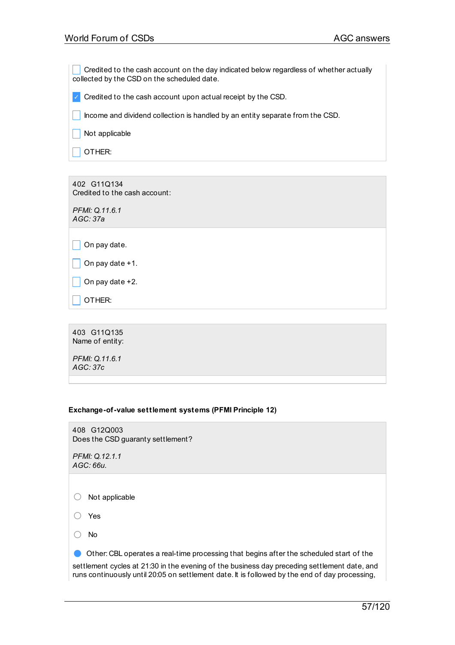Credited to the cash account on the day indicated below regardless of whether actually collected by the CSD on the scheduled date.

 $\triangledown$  Credited to the cash account upon actual receipt by the CSD.

 $\Box$  Income and dividend collection is handled by an entity separate from the CSD.

 $\Box$  Not applicable

 $\overline{\phantom{a}}$  OTHER:

402 G11Q134 Credited to the cash account:

*PFMI: Q.11.6.1 AGC: 37a*

 $\Box$  On pay date.

|  |  |  | On pay date $+1$ . |  |
|--|--|--|--------------------|--|
|--|--|--|--------------------|--|

 $\Box$  On pay date +2.

 $\Box$  Other:

403 G11Q135 Name of entity:

*PFMI: Q.11.6.1 AGC: 37c*

## **Exchange-of-value settlement systems (PFMI Principle 12)**

408 G12Q003 Does the CSD guaranty settlement?

*PFMI: Q.12.1.1 AGC: 66u.*

○ Not applicable

○ Yes

○ No

● Other: CBL operates <sup>a</sup> real-time processing that begins after the scheduled start of the settlement cycles at 21:30 in the evening of the business day preceding settlement date, and runs continuously until 20:05 on settlement date. It is followed by the end of day processing,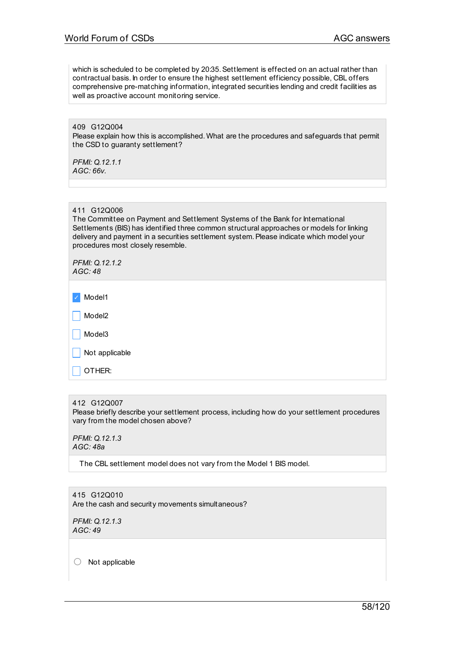which is scheduled to be completed by 20:35. Settlement is effected on an actual rather than contractual basis. In order to ensure the highest settlement efficiency possible, CBL offers comprehensive pre-matching information, integrated securities lending and credit facilities as well as proactive account monitoring service.

409 G12Q004 Please explain how this is accomplished. What are the procedures and safeguards that permit the CSD to guaranty settlement?

*PFMI: Q.12.1.1 AGC: 66v.*

### 411 G12Q006

The Committee on Payment and Settlement Systems of the Bank for International Settlements (BIS) has identified three common structural approaches or models for linking delivery and payment in a securities settlement system. Please indicate which model your procedures most closely resemble.

*PFMI: Q.12.1.2 AGC: 48*

| $\sqrt{\phantom{a}}$ Model1 |
|-----------------------------|
| $\vert$ Model2              |
| $\vert$ Model3              |
| $\vert$ Not applicable      |
|                             |

412 G12Q007

OTHER:

Please briefly describe your settlement process, including how do your settlement procedures vary from the model chosen above?

*PFMI: Q.12.1.3 AGC: 48a*

The CBL settlement model does not vary from the Model 1 BIS model.

415 G12Q010 Are the cash and security movements simultaneous?

*PFMI: Q.12.1.3 AGC: 49*

○ Not applicable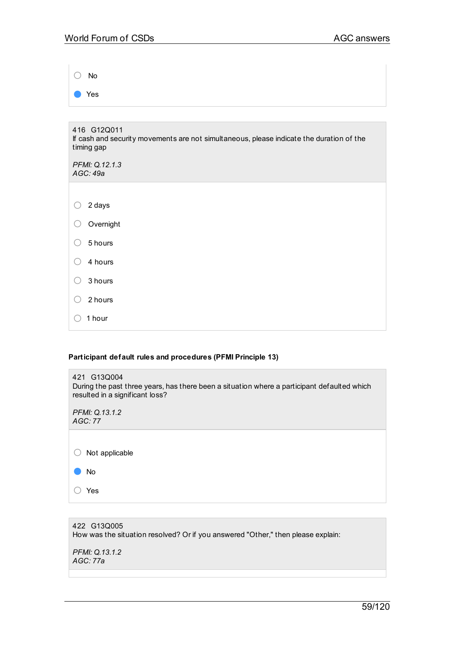| No                                                                                                                    |
|-----------------------------------------------------------------------------------------------------------------------|
| Yes                                                                                                                   |
|                                                                                                                       |
| 416 G12Q011<br>If cash and security movements are not simultaneous, please indicate the duration of the<br>timing gap |
| PFMI: Q.12.1.3<br>AGC: 49a                                                                                            |
|                                                                                                                       |
| 2 days<br>◯                                                                                                           |
| Overnight<br>◯                                                                                                        |
| 5 hours<br>∩                                                                                                          |
| 4 hours<br>( )                                                                                                        |
| 3 hours<br>∩                                                                                                          |
| 2 hours<br>( )                                                                                                        |
| 1 hour                                                                                                                |

## **Participant default rules and procedures (PFMI Principle 13)**

| 421 G13Q004<br>During the past three years, has there been a situation where a participant defaulted which<br>resulted in a significant loss? |
|-----------------------------------------------------------------------------------------------------------------------------------------------|
| PFMI: Q.13.1.2<br>AGC:77                                                                                                                      |
|                                                                                                                                               |
| Not applicable                                                                                                                                |
| No                                                                                                                                            |
| Yes                                                                                                                                           |
|                                                                                                                                               |

422 G13Q005 How was the situation resolved? Or if you answered "Other," then please explain:

*PFMI: Q.13.1.2 AGC: 77a*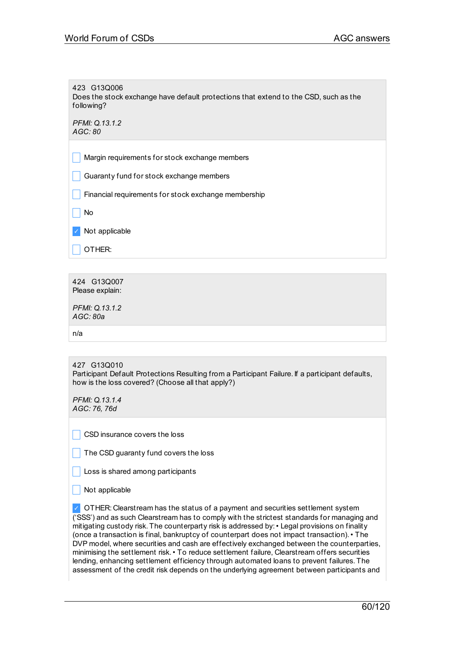423 G13Q006 Does the stock exchange have default protections that extend to the CSD, such as the following?

*PFMI: Q.13.1.2 AGC: 80*

Margin requirements for stock exchange members

 $\Box$  Guaranty fund for stock exchange members

 $\blacksquare$  Financial requirements for stock exchange membership

 $\vert$  No

✓ Not applicable

 $\Box$  OTHER:

424 G13Q007 Please explain:

*PFMI: Q.13.1.2 AGC: 80a*

n/a

427 G13Q010 Participant Default Protections Resulting from a Participant Failure. If a participant defaults, how is the loss covered? (Choose all that apply?)

*PFMI: Q.13.1.4 AGC: 76, 76d*

CSD insurance covers the loss

 $\vert \vert$  The CSD guaranty fund covers the loss

 $\Box$  Loss is shared among participants

 $\Box$  Not applicable

✓ OTHER: Clearstream has the status of a payment and securities settlement system ('SSS') and as such Clearstream has to comply with the strictest standards for managing and mitigating custody risk. The counterparty risk is addressed by:• Legal provisions on finality (once a transaction is final, bankruptcy of counterpart does not impact transaction).• The DVP model, where securities and cash are effectively exchanged between the counterparties, minimising the settlement risk.• To reduce settlement failure, Clearstream offers securities lending, enhancing settlement efficiency through automated loans to prevent failures. The assessment of the credit risk depends on the underlying agreement between participants and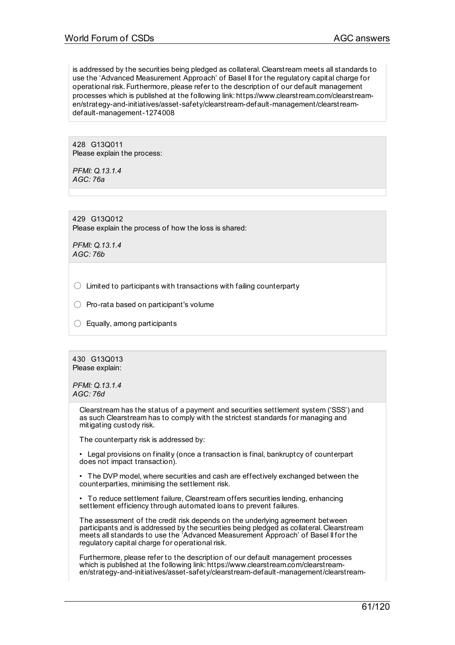is addressed by the securities being pledged as collateral. Clearstream meets all standards to use the 'Advanced Measurement Approach' of Basel II for the regulatory capital charge for operational risk. Furthermore, please refer to the description of our default management processes which is published at the following link: https://www.clearstream.com/clearstreamen/strategy-and-initiatives/asset-safety/clearstream-default-management/clearstreamdefault-management-1274008

428 G13Q011 Please explain the process:

*PFMI: Q.13.1.4 AGC: 76a*

429 G13Q012 Please explain the process of how the loss is shared:

*PFMI: Q.13.1.4 AGC: 76b*

 $\bigcirc$  Limited to participants with transactions with failing counterparty

 $\bigcirc$  Pro-rata based on participant's volume

 $\bigcirc$  Equally, among participants

430 G13Q013 Please explain:

*PFMI: Q.13.1.4 AGC: 76d*

> Clearstream has the status of a payment and securities settlement system ('SSS') and as such Clearstream has to comply with the strictest standards for managing and mitigating custody risk.

The counterparty risk is addressed by:

• Legal provisions on finality (once a transaction is final, bankruptcy of counterpart does not impact transaction).

• The DVP model, where securities and cash are effectively exchanged between the counterparties, minimising the settlement risk.

• To reduce settlement failure, Clearstream offers securities lending, enhancing settlement efficiency through automated loans to prevent failures.

The assessment of the credit risk depends on the underlying agreement between participants and is addressed by the securities being pledged as collateral. Clearstream meets all standards to use the 'Advanced Measurement Approach' of Basel II for the regulatory capital charge for operational risk.

Furthermore, please refer to the description of our default management processes which is published at the following link: https://www.clearstream.com/clearstreamen/strategy-and-initiatives/asset-safety/clearstream-default-management/clearstream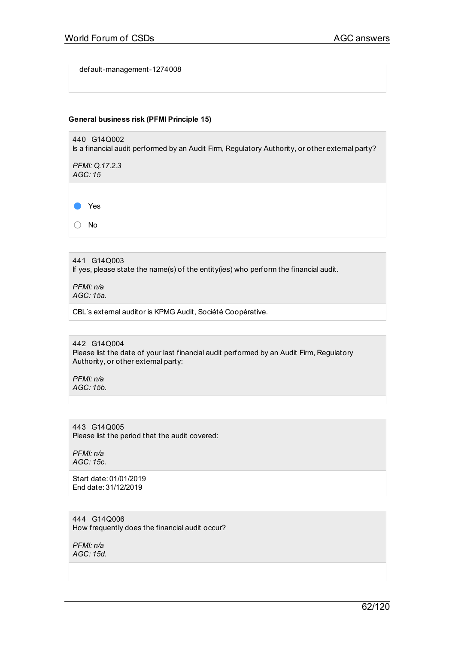default-management-1274008

### **General business risk (PFMI Principle 15)**



*PFMI: Q.17.2.3 AGC: 15*

● Yes

○ No

441 G14Q003 If yes, please state the name(s) of the entity(ies) who perform the financial audit.

*PFMI: n/a AGC: 15a.*

CBL´s external auditor is KPMG Audit, Société Coopérative.

442 G14Q004 Please list the date of your last financial audit performed by an Audit Firm, Regulatory Authority, or other external party:

*PFMI: n/a AGC: 15b.*

443 G14Q005 Please list the period that the audit covered:

*PFMI: n/a AGC: 15c.*

Start date: 01/01/2019 End date: 31/12/2019

444 G14Q006 How frequently does the financial audit occur?

*PFMI: n/a AGC: 15d.*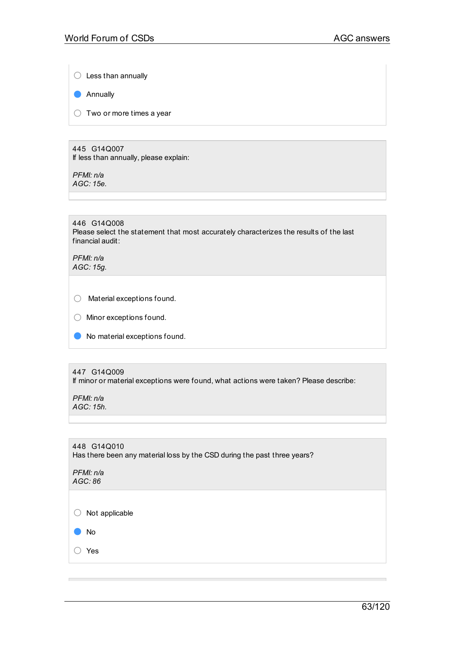$\bigcirc$  Less than annually

● Annually

 $\bigcirc$  Two or more times a year

445 G14Q007 If less than annually, please explain:

*PFMI: n/a AGC: 15e.*

446 G14Q008 Please select the statement that most accurately characterizes the results of the last financial audit:

*PFMI: n/a AGC: 15g.*

○ Material exceptions found.

● No material exceptions found.

#### 447 G14Q009

If minor or material exceptions were found, what actions were taken? Please describe:

*PFMI: n/a AGC: 15h.*

448 G14Q010 Has there been any material loss by the CSD during the past three years? *PFMI: n/a AGC: 86*

○ Not applicable

● No

○ Yes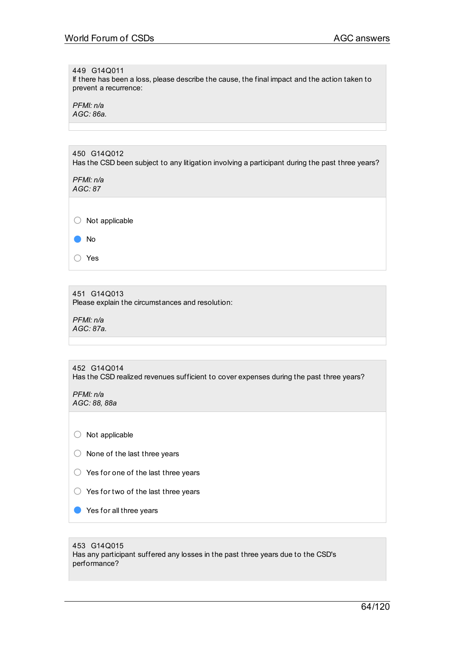#### 449 G14Q011

If there has been a loss, please describe the cause, the final impact and the action taken to prevent a recurrence:

*PFMI: n/a AGC: 86a.*

| 450 G14Q012<br>Has the CSD been subject to any litigation involving a participant during the past three years? |
|----------------------------------------------------------------------------------------------------------------|
| PFMI: n/a<br>AGC: 87                                                                                           |
|                                                                                                                |
| Not applicable                                                                                                 |
| No                                                                                                             |
|                                                                                                                |

○ Yes

451 G14Q013 Please explain the circumstances and resolution:

*PFMI: n/a AGC: 87a.*

### 452 G14Q014 Has the CSD realized revenues sufficient to cover expenses during the past three years?

*PFMI: n/a AGC: 88, 88a*

○ Not applicable

- None of the last three years
- Yes for one of the last three years
- $\bigcirc$  Yes for two of the last three years
- Yes for all three years

## 453 G14Q015

Has any participant suffered any losses in the past three years due to the CSD's performance?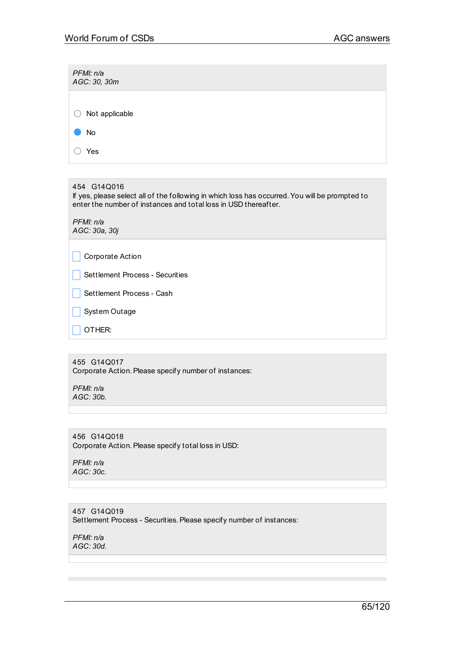| PFMI: n/a<br>AGC: 30, 30m |
|---------------------------|
|                           |
| Not applicable<br>U       |
| No                        |
| Yes                       |

454 G14Q016

If yes, please select all of the following in which loss has occurred.You will be prompted to enter the number of instances and total loss in USD thereafter.

*PFMI: n/a AGC: 30a, 30j*

 $\Box$  Corporate Action

Settlement Process - Securities

Settlement Process - Cash

 $\Box$  System Outage

 $\Box$  OTHER:

# 455 G14Q017

Corporate Action. Please specify number of instances:

*PFMI: n/a AGC: 30b.*

456 G14Q018 Corporate Action. Please specify total loss in USD:

*PFMI: n/a AGC: 30c.*

457 G14Q019 Settlement Process - Securities. Please specify number of instances:

*PFMI: n/a AGC: 30d.*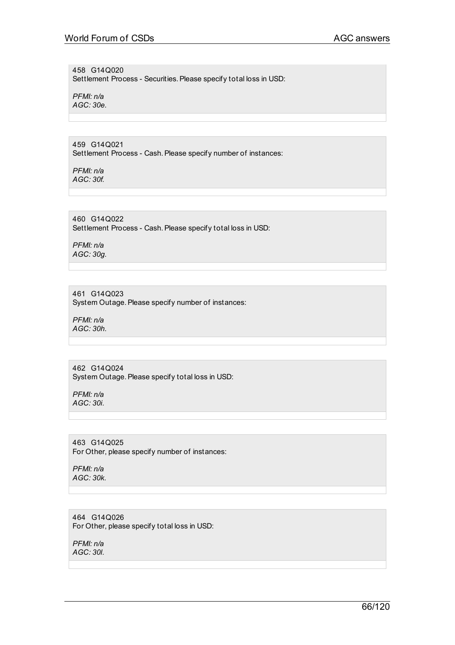458 G14Q020 Settlement Process - Securities. Please specify total loss in USD:

*PFMI: n/a AGC: 30e.*

459 G14Q021 Settlement Process - Cash. Please specify number of instances:

*PFMI: n/a AGC: 30f.*

460 G14Q022 Settlement Process - Cash. Please specify total loss in USD:

*PFMI: n/a AGC: 30g.*

## 461 G14Q023

System Outage. Please specify number of instances:

*PFMI: n/a AGC: 30h.*

## 462 G14Q024

System Outage. Please specify total loss in USD:

*PFMI: n/a AGC: 30i.*

463 G14Q025 For Other, please specify number of instances:

*PFMI: n/a AGC: 30k.*

464 G14Q026 For Other, please specify total loss in USD:

*PFMI: n/a AGC: 30l.*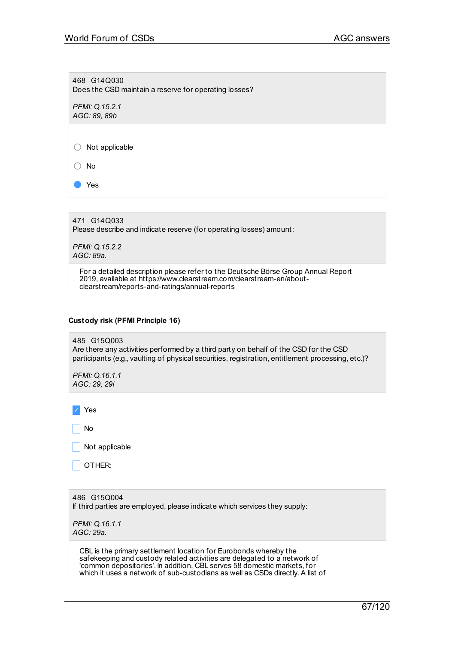468 G14Q030 Does the CSD maintain a reserve for operating losses?

*PFMI: Q.15.2.1 AGC: 89, 89b*

○ Not applicable

○ No

Yes

471 G14Q033

Please describe and indicate reserve (for operating losses) amount:

*PFMI: Q.15.2.2 AGC: 89a.*

> For a detailed description please refer to the Deutsche Börse Group Annual Report 2019, available at https://www.clearstream.com/clearstream-en/aboutclearstream/reports-and-ratings/annual-reports

### **Custody risk (PFMI Principle 16)**

485 G15Q003 Are there any activities performed by a third party on behalf of the CSD for the CSD participants (e.g., vaulting of physical securities, registration, entitlement processing, etc.)?

*PFMI: Q.16.1.1 AGC: 29, 29i*

✓ Yes

 $\Box$  No Not applicable

OTHER:

486 G15Q004 If third parties are employed, please indicate which services they supply: *PFMI: Q.16.1.1 AGC: 29a.*

CBL is the primary settlement location for Eurobonds whereby the safekeeping and custody related activities are delegated to a network of 'common depositories'. In addition, CBL serves 58 domestic markets, for which it uses a network of sub-custodians as well as CSDs directly. A list of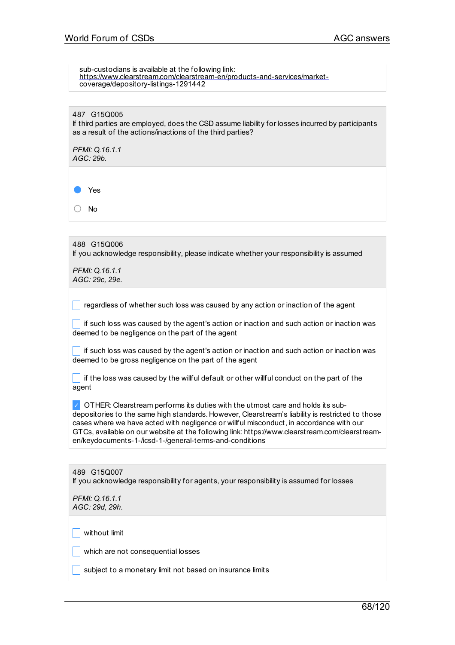| sub-custodians is available at the following link:<br>https://www.clearstream.com/clearstream-en/products-and-services/market-<br>coverage/depository-listings-1291442                                                                                                                                                                                                                                                                     |
|--------------------------------------------------------------------------------------------------------------------------------------------------------------------------------------------------------------------------------------------------------------------------------------------------------------------------------------------------------------------------------------------------------------------------------------------|
| 487 G15Q005<br>If third parties are employed, does the CSD assume liability for losses incurred by participants<br>as a result of the actions/inactions of the third parties?<br>PFMI: 0.16.1.1<br>AGC: 29b.                                                                                                                                                                                                                               |
| Yes<br><b>No</b>                                                                                                                                                                                                                                                                                                                                                                                                                           |
| 488 G15Q006<br>If you acknowledge responsibility, please indicate whether your responsibility is assumed<br>PFMI: Q.16.1.1<br>AGC: 29c, 29e.                                                                                                                                                                                                                                                                                               |
| regardless of whether such loss was caused by any action or inaction of the agent<br>if such loss was caused by the agent's action or inaction and such action or inaction was<br>deemed to be negligence on the part of the agent                                                                                                                                                                                                         |
| if such loss was caused by the agent's action or inaction and such action or inaction was<br>deemed to be gross negligence on the part of the agent                                                                                                                                                                                                                                                                                        |
| if the loss was caused by the willful default or other willful conduct on the part of the<br>agent                                                                                                                                                                                                                                                                                                                                         |
| OTHER: Clearstream performs its duties with the utmost care and holds its sub-<br>depositories to the same high standards. However, Clearstream's liability is restricted to those<br>cases where we have acted with negligence or willful misconduct, in accordance with our<br>GTCs, available on our website at the following link: https://www.clearstream.com/clearstream-<br>en/keydocuments-1-/icsd-1-/general-terms-and-conditions |
|                                                                                                                                                                                                                                                                                                                                                                                                                                            |
| 489 G15Q007<br>If you acknowledge responsibility for agents, your responsibility is assumed for losses                                                                                                                                                                                                                                                                                                                                     |
| PFMI: Q.16.1.1<br>AGC: 29d, 29h.                                                                                                                                                                                                                                                                                                                                                                                                           |
| without limit                                                                                                                                                                                                                                                                                                                                                                                                                              |
| which are not consequential losses                                                                                                                                                                                                                                                                                                                                                                                                         |
| subject to a monetary limit not based on insurance limits                                                                                                                                                                                                                                                                                                                                                                                  |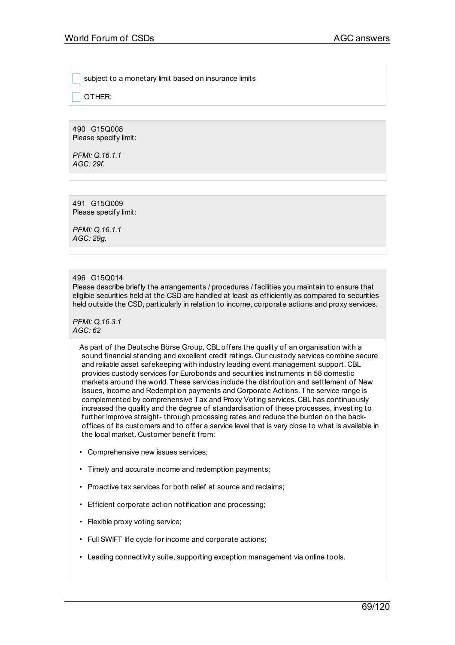subject to a monetary limit based on insurance limits

OTHER:

490 G15Q008 Please specify limit:

*PFMI: Q.16.1.1 AGC: 29f.*

491 G15Q009 Please specify limit:

*PFMI: Q.16.1.1 AGC: 29g.*

## 496 G15Q014

Please describe briefly the arrangements / procedures / facilities you maintain to ensure that eligible securities held at the CSD are handled at least as efficiently as compared to securities held outside the CSD, particularly in relation to income, corporate actions and proxy services.

*PFMI: Q.16.3.1 AGC: 62*

> As part of the Deutsche Börse Group, CBL offers the quality of an organisation with a sound financial standing and excellent credit ratings. Our custody services combine secure and reliable asset safekeeping with industry leading event management support. CBL provides custody services for Eurobonds and securities instruments in 58 domestic markets around the world. These services include the distribution and settlement of New Issues, Income and Redemption payments and Corporate Actions. The service range is complemented by comprehensive Tax and Proxy Voting services. CBL has continuously increased the quality and the degree of standardisation of these processes, investing to further improve straight- through processing rates and reduce the burden on the backoffices of its customers and to offer a service level that is very close to what is available in the local market. Customer benefit from:

- Comprehensive new issues services;
- Timely and accurate income and redemption payments;
- Proactive tax services for both relief at source and reclaims;
- Efficient corporate action notification and processing;
- Flexible proxy voting service;
- Full SWIFT life cycle for income and corporate actions;
- Leading connectivity suite, supporting exception management via online tools.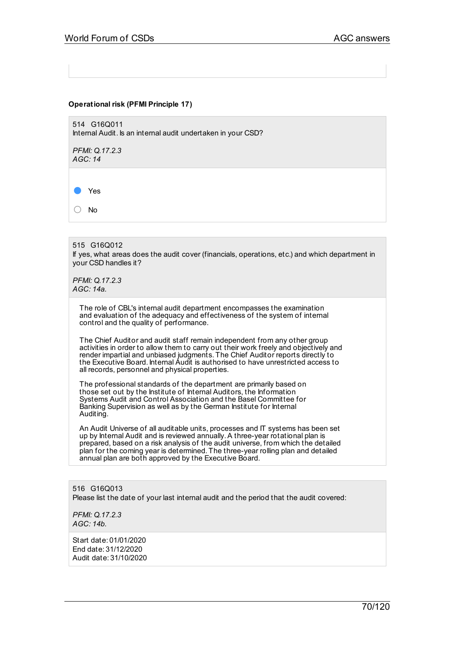### **Operational risk (PFMI Principle 17)**

514 G16Q011 Internal Audit. Is an internal audit undertaken in your CSD?

*PFMI: Q.17.2.3 AGC: 14*

Yes

○ No

515 G16Q012 If yes, what areas does the audit cover (financials, operations, etc.) and which department in your CSD handles it?

*PFMI: Q.17.2.3 AGC: 14a.*

> The role of CBL's internal audit department encompasses the examination and evaluation of the adequacy and effectiveness of the system of internal control and the quality of performance.

The Chief Auditor and audit staff remain independent from any other group activities in order to allow them to carry out their work freely and objectively and render impartial and unbiased judgments. The Chief Auditor reports directly to the Executive Board. Internal Audit is authorised to have unrestricted access to all records, personnel and physical properties.

The professional standards of the department are primarily based on those set out by the Institute of Internal Auditors, the Information Systems Audit and Control Association and the Basel Committee for Banking Supervision as well as by the German Institute for Internal Auditing.

An Audit Universe of all auditable units, processes and IT systems has been set up by Internal Audit and is reviewed annually.A three-year rotational plan is prepared, based on a risk analysis of the audit universe, from which the detailed plan for the coming year is determined. The three-year rolling plan and detailed annual plan are both approved by the Executive Board.

516 G16Q013 Please list the date of your last internal audit and the period that the audit covered:

*PFMI: Q.17.2.3 AGC: 14b.*

Start date: 01/01/2020 End date: 31/12/2020 Audit date: 31/10/2020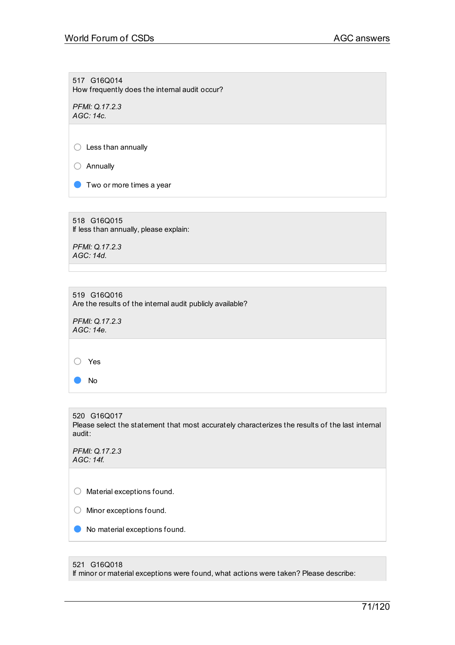517 G16Q014 How frequently does the internal audit occur?

*PFMI: Q.17.2.3 AGC: 14c.*

○ Less than annually

○ Annually

**O** Two or more times a year

518 G16Q015 If less than annually, please explain:

*PFMI: Q.17.2.3 AGC: 14d.*

519 G16Q016 Are the results of the internal audit publicly available?

*PFMI: Q.17.2.3 AGC: 14e.*

○ Yes

● No

520 G16Q017 Please select the statement that most accurately characterizes the results of the last internal audit:

*PFMI: Q.17.2.3 AGC: 14f.*

○ Material exceptions found.

○ Minor exceptions found.

● No material exceptions found.

#### 521 G16Q018

If minor or material exceptions were found, what actions were taken? Please describe: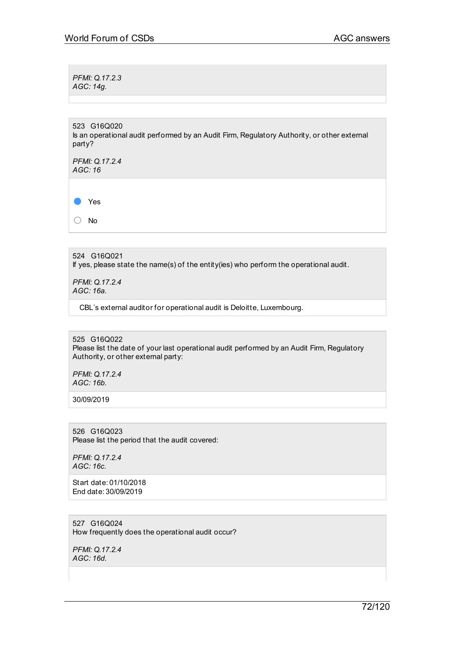*PFMI: Q.17.2.3 AGC: 14g.*

523 G16Q020

Is an operational audit performed by an Audit Firm, Regulatory Authority, or other external party?

*PFMI: Q.17.2.4 AGC: 16*

● Yes

○ No

524 G16Q021 If yes, please state the name(s) of the entity(ies) who perform the operational audit.

*PFMI: Q.17.2.4 AGC: 16a.*

CBL´s external auditor for operational audit is Deloitte, Luxembourg.

525 G16Q022 Please list the date of your last operational audit performed by an Audit Firm, Regulatory Authority, or other external party:

*PFMI: Q.17.2.4 AGC: 16b.*

30/09/2019

526 G16Q023 Please list the period that the audit covered:

*PFMI: Q.17.2.4 AGC: 16c.*

Start date: 01/10/2018 End date: 30/09/2019

527 G16Q024 How frequently does the operational audit occur?

*PFMI: Q.17.2.4 AGC: 16d.*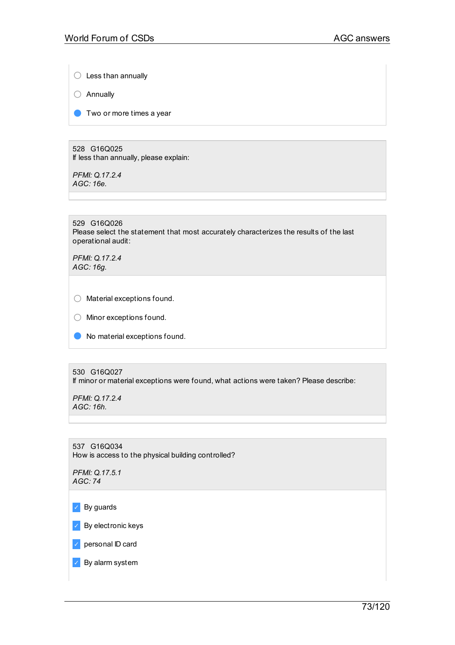$\bigcirc$  Less than annually

○ Annually

● Two or more times a year

528 G16Q025 If less than annually, please explain:

*PFMI: Q.17.2.4 AGC: 16e.*

529 G16Q026 Please select the statement that most accurately characterizes the results of the last operational audit:

*PFMI: Q.17.2.4 AGC: 16g.*

○ Material exceptions found.

- Minor exceptions found.
- No material exceptions found.

530 G16Q027

If minor or material exceptions were found, what actions were taken? Please describe:

*PFMI: Q.17.2.4 AGC: 16h.*

537 G16Q034 How is access to the physical building controlled?

*PFMI: Q.17.5.1 AGC: 74*

✓ By guards

✓ By electronic keys

✓ personal ID card

✓ By alarm system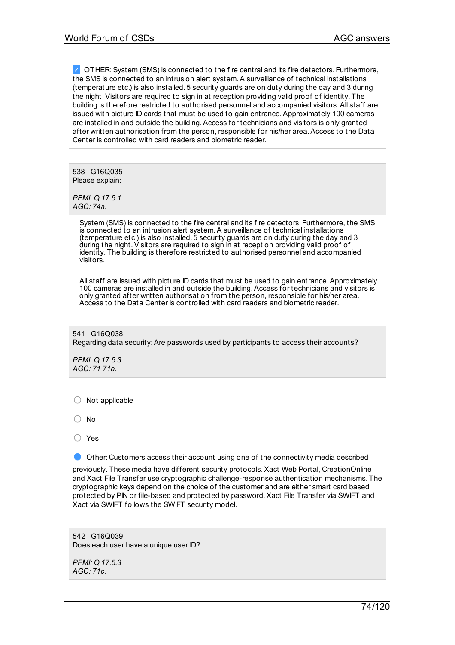✓ OTHER:System (SMS) is connected to the fire central and its fire detectors. Furthermore, the SMS is connected to an intrusion alert system.A surveillance of technical installations (temperature etc.) is also installed. 5 security guards are on duty during the day and 3 during the night.Visitors are required to sign in at reception providing valid proof of identity. The building is therefore restricted to authorised personnel and accompanied visitors.All staff are issued with picture ID cards that must be used to gain entrance.Approximately 100 cameras are installed in and outside the building.Access for technicians and visitors is only granted after written authorisation from the person, responsible for his/her area.Access to the Data Center is controlled with card readers and biometric reader.

538 G16Q035 Please explain:

*PFMI: Q.17.5.1 AGC: 74a.*

> System (SMS) is connected to the fire central and its fire detectors. Furthermore, the SMS is connected to an intrusion alert system.A surveillance of technical installations (temperature etc.) is also installed. 5 security guards are on duty during the day and 3 during the night. Visitors are required to sign in at reception providing valid proof of identity. The building is therefore restricted to authorised personnel and accompanied visitors.

> All staff are issued with picture ID cards that must be used to gain entrance.Approximately 100 cameras are installed in and outside the building.Access for technicians and visitors is only granted after written authorisation from the person, responsible for his/her area. Access to the Data Center is controlled with card readers and biometric reader.

541 G16Q038 Regarding data security:Are passwords used by participants to access their accounts?

*PFMI: Q.17.5.3 AGC: 71 71a.*

○ Not applicable

○ No

○ Yes

**• Other: Customers access their account using one of the connectivity media described** 

previously. These media have different security protocols.Xact Web Portal, CreationOnline and Xact File Transfer use cryptographic challenge-response authentication mechanisms. The cryptographic keys depend on the choice of the customer and are either smart card based protected by PIN or file-based and protected by password.Xact File Transfer via SWIFT and Xact via SWIFT follows the SWIFT security model.

542 G16Q039 Does each user have a unique user ID?

*PFMI: Q.17.5.3 AGC: 71c.*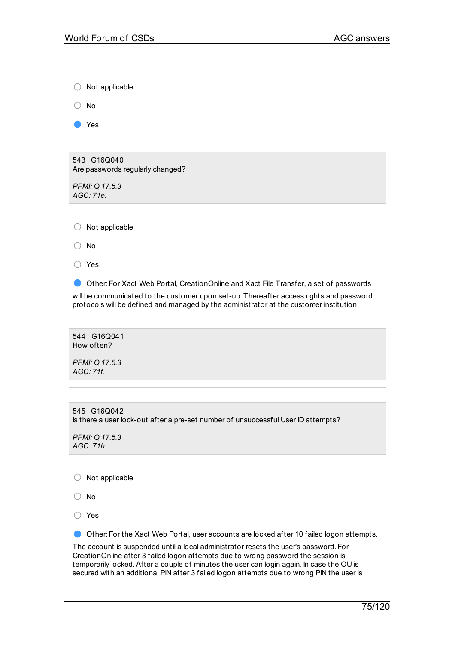| Not applicable                                                                                                                                                                                                                                                                                                                                                      |
|---------------------------------------------------------------------------------------------------------------------------------------------------------------------------------------------------------------------------------------------------------------------------------------------------------------------------------------------------------------------|
| <b>No</b>                                                                                                                                                                                                                                                                                                                                                           |
| Yes                                                                                                                                                                                                                                                                                                                                                                 |
|                                                                                                                                                                                                                                                                                                                                                                     |
| 543 G16Q040<br>Are passwords regularly changed?                                                                                                                                                                                                                                                                                                                     |
| PFMI: Q.17.5.3<br>AGC: 71e.                                                                                                                                                                                                                                                                                                                                         |
|                                                                                                                                                                                                                                                                                                                                                                     |
| Not applicable                                                                                                                                                                                                                                                                                                                                                      |
| <b>No</b>                                                                                                                                                                                                                                                                                                                                                           |
| Yes                                                                                                                                                                                                                                                                                                                                                                 |
| Other: For Xact Web Portal, CreationOnline and Xact File Transfer, a set of passwords<br>will be communicated to the customer upon set-up. Thereafter access rights and password<br>protocols will be defined and managed by the administrator at the customer institution.                                                                                         |
|                                                                                                                                                                                                                                                                                                                                                                     |
| 544 G16Q041<br>How often?                                                                                                                                                                                                                                                                                                                                           |
| PFMI: Q.17.5.3<br>AGC: 71f.                                                                                                                                                                                                                                                                                                                                         |
|                                                                                                                                                                                                                                                                                                                                                                     |
|                                                                                                                                                                                                                                                                                                                                                                     |
| 545 G16Q042<br>Is there a user lock-out after a pre-set number of unsuccessful User ID attempts?                                                                                                                                                                                                                                                                    |
| PFMI: Q.17.5.3<br>AGC: 71h.                                                                                                                                                                                                                                                                                                                                         |
|                                                                                                                                                                                                                                                                                                                                                                     |
| Not applicable                                                                                                                                                                                                                                                                                                                                                      |
| <b>No</b>                                                                                                                                                                                                                                                                                                                                                           |
| Yes                                                                                                                                                                                                                                                                                                                                                                 |
| Other: For the Xact Web Portal, user accounts are locked after 10 failed logon attempts.                                                                                                                                                                                                                                                                            |
| The account is suspended until a local administrator resets the user's password. For<br>CreationOnline after 3 failed logon attempts due to wrong password the session is<br>temporarily locked. After a couple of minutes the user can login again. In case the OU is<br>secured with an additional PIN after 3 failed logon attempts due to wrong PIN the user is |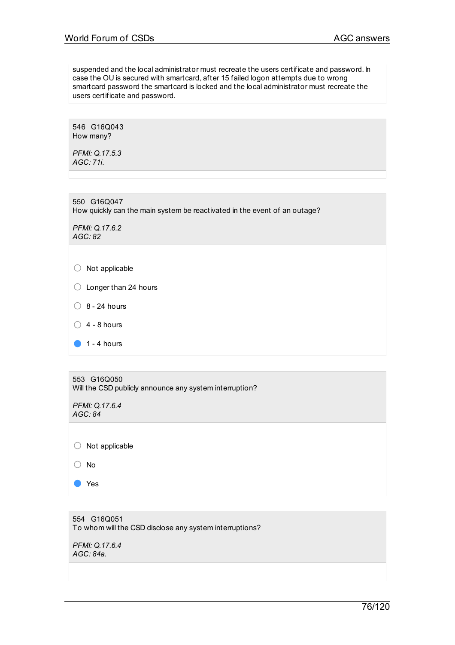suspended and the local administrator must recreate the users certificate and password. In case the OU is secured with smartcard, after 15 failed logon attempts due to wrong smartcard password the smartcard is locked and the local administrator must recreate the users certificate and password.

546 G16Q043 How many?

*PFMI: Q.17.5.3 AGC: 71i.*

550 G16Q047 How quickly can the main system be reactivated in the event of an outage?

*PFMI: Q.17.6.2 AGC: 82*

 $\bigcirc$  Longer than 24 hours

 $\bigcirc$  8 - 24 hours

 $\bigcirc$  4 - 8 hours

 $\bullet$  1 - 4 hours

553 G16Q050 Will the CSD publicly announce any system interruption?

*PFMI: Q.17.6.4 AGC: 84*

○ Not applicable

○ No

● Yes

554 G16Q051 To whom will the CSD disclose any system interruptions?

*PFMI: Q.17.6.4 AGC: 84a.*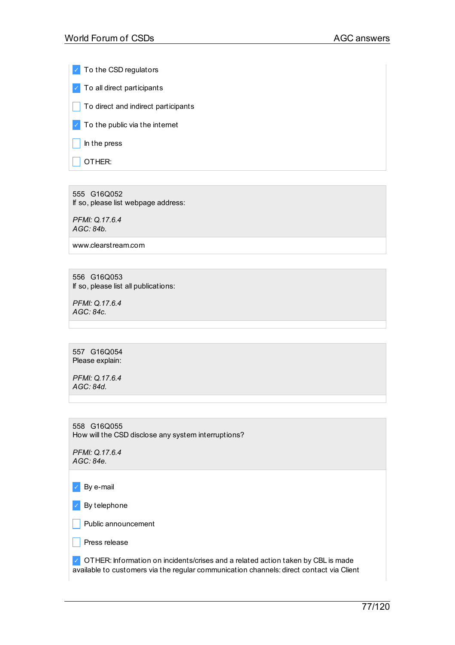✓ To the CSD regulators ✓ To all direct participants  $\Box$  To direct and indirect participants  $\triangledown$  To the public via the internet  $\Box$  In the press  $\Box$  OTHER:

555 G16Q052 If so, please list webpage address:

*PFMI: Q.17.6.4 AGC: 84b.*

www.clearstream.com

556 G16Q053 If so, please list all publications:

*PFMI: Q.17.6.4 AGC: 84c.*

557 G16Q054 Please explain:

*PFMI: Q.17.6.4 AGC: 84d.*

558 G16Q055 How will the CSD disclose any system interruptions?

*PFMI: Q.17.6.4 AGC: 84e.*

✓ By e-mail

✓ By telephone

 $\Box$  Public announcement

 $\Box$  Press release

◯ OTHER: Information on incidents/crises and a related action taken by CBL is made available to customers via the regular communication channels: direct contact via Client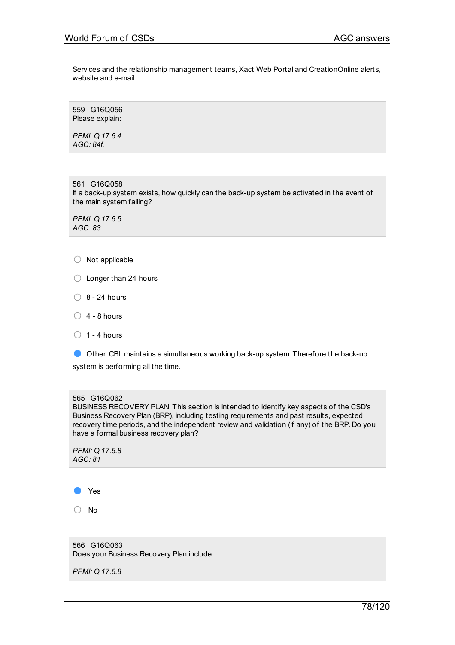Services and the relationship management teams, Xact Web Portal and CreationOnline alerts, website and e-mail.

559 G16Q056 Please explain:

*PFMI: Q.17.6.4 AGC: 84f.*

561 G16Q058 If a back-up system exists, how quickly can the back-up system be activated in the event of the main system failing?

*PFMI: Q.17.6.5 AGC: 83*

| $\bigcirc$ Not applicable |
|---------------------------|
|                           |

- Longer than 24 hours
- $\bigcirc$  8 24 hours
- $\bigcirc$  4 8 hours
- $\bigcirc$  1 4 hours

● Other: CBL maintains <sup>a</sup> simultaneous working back-up system. Therefore the back-up system is performing all the time.

# 565 G16Q062

BUSINESS RECOVERY PLAN. This section is intended to identify key aspects of the CSD's Business Recovery Plan (BRP), including testing requirements and past results, expected recovery time periods, and the independent review and validation (if any) of the BRP. Do you have a formal business recovery plan?

| AGC: 81 |  |
|---------|--|
|         |  |
| Yes     |  |
| No      |  |

566 G16Q063 Does your Business Recovery Plan include:

*PFMI: Q.17.6.8*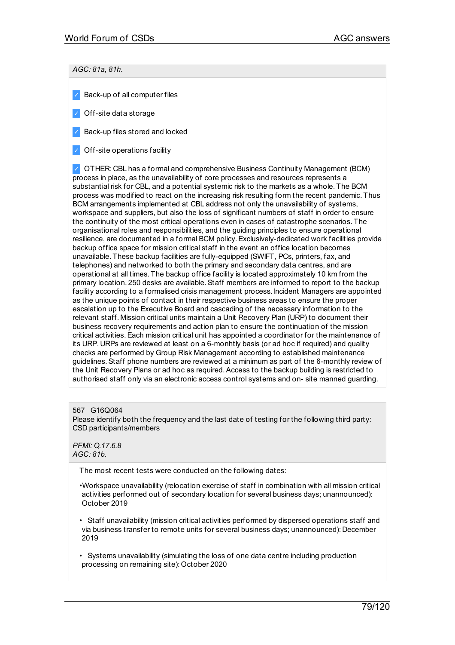# *AGC: 81a, 81h.*

- $\vee$  Back-up of all computer files
- ✓ Off-site data storage
- ✓ Back-up files stored and locked
- ✓ Off-site operations facility

✓ OTHER: CBL has a formal and comprehensive Business Continuity Management (BCM) process in place, as the unavailability of core processes and resources represents a substantial risk for CBL, and a potential systemic risk to the markets as a whole. The BCM process was modified to react on the increasing risk resulting form the recent pandemic. Thus BCM arrangements implemented at CBL address not only the unavailability of systems, workspace and suppliers, but also the loss of significant numbers of staff in order to ensure the continuity of the most critical operations even in cases of catastrophe scenarios. The organisational roles and responsibilities, and the guiding principles to ensure operational resilience, are documented in a formal BCM policy.Exclusively-dedicated work facilities provide backup office space for mission critical staff in the event an office location becomes unavailable. These backup facilities are fully-equipped (SWIFT, PCs, printers, fax, and telephones) and networked to both the primary and secondary data centres, and are operational at all times. The backup office facility is located approximately 10 km from the primary location. 250 desks are available.Staff members are informed to report to the backup facility according to a formalised crisis management process. Incident Managers are appointed as the unique points of contact in their respective business areas to ensure the proper escalation up to the Executive Board and cascading of the necessary information to the relevant staff. Mission critical units maintain a Unit Recovery Plan (URP) to document their business recovery requirements and action plan to ensure the continuation of the mission critical activities.Each mission critical unit has appointed a coordinator for the maintenance of its URP. URPs are reviewed at least on a 6-monhtly basis (or ad hoc if required) and quality checks are performed by Group Risk Management according to established maintenance guidelines.Staff phone numbers are reviewed at a minimum as part of the 6-monthly review of the Unit Recovery Plans or ad hoc as required.Access to the backup building is restricted to authorised staff only via an electronic access control systems and on- site manned guarding.

#### 567 G16Q064

Please identify both the frequency and the last date of testing for the following third party: CSD participants/members

*PFMI: Q.17.6.8 AGC: 81b.*

The most recent tests were conducted on the following dates:

- •Workspace unavailability (relocation exercise of staff in combination with all mission critical activities performed out of secondary location for several business days; unannounced): October 2019
- Staff unavailability (mission critical activities performed by dispersed operations staff and via business transfer to remote units for several business days; unannounced): December 2019
- Systems unavailability (simulating the loss of one data centre including production processing on remaining site): October 2020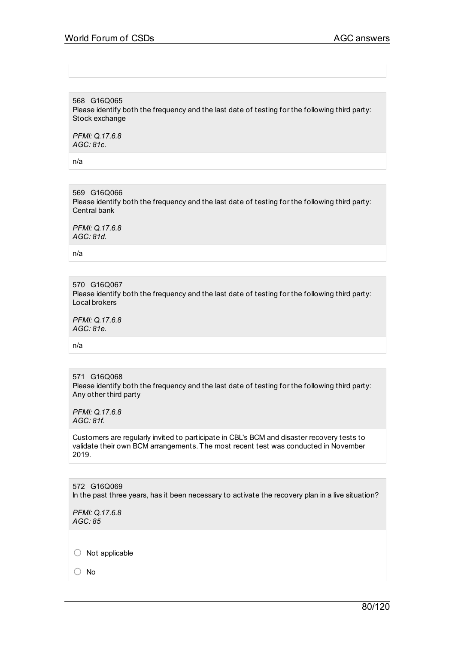568 G16Q065 Please identify both the frequency and the last date of testing for the following third party: Stock exchange

*PFMI: Q.17.6.8 AGC: 81c.*

n/a

569 G16Q066 Please identify both the frequency and the last date of testing for the following third party: Central bank

*PFMI: Q.17.6.8 AGC: 81d.*

n/a

570 G16Q067 Please identify both the frequency and the last date of testing for the following third party: Local brokers

*PFMI: Q.17.6.8 AGC: 81e.*

n/a

571 G16Q068 Please identify both the frequency and the last date of testing for the following third party: Any other third party

*PFMI: Q.17.6.8 AGC: 81f.*

Customers are regularly invited to participate in CBL's BCM and disaster recovery tests to validate their own BCM arrangements. The most recent test was conducted in November 2019.

572 G16Q069 In the past three years, has it been necessary to activate the recovery plan in a live situation?

*PFMI: Q.17.6.8 AGC: 85*

○ Not applicable

○ No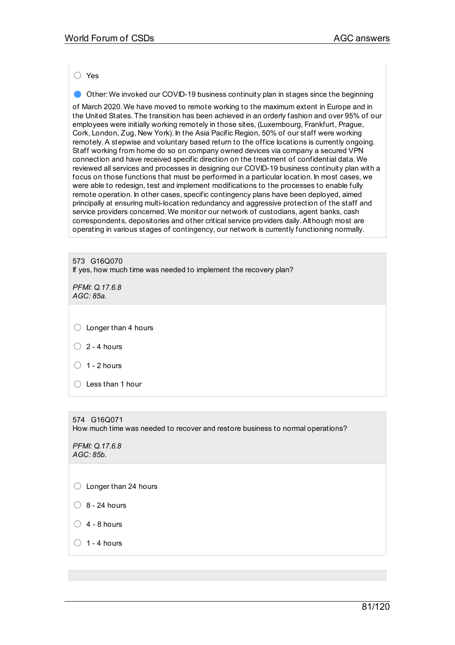○ Yes

**• Other: We invoked our COVID-19 business continuity plan in stages since the beginning** 

of March 2020. We have moved to remote working to the maximum extent in Europe and in the United States. The transition has been achieved in an orderly fashion and over 95% of our employees were initially working remotely in those sites, (Luxembourg, Frankfurt, Prague, Cork, London, Zug, New York). In the Asia Pacific Region, 50% of our staff were working remotely.A stepwise and voluntary based return to the office locations is currently ongoing. Staff working from home do so on company owned devices via company a secured VPN connection and have received specific direction on the treatment of confidential data. We reviewed all services and processes in designing our COVID-19 business continuity plan with a focus on those functions that must be performed in a particular location. In most cases, we were able to redesign, test and implement modifications to the processes to enable fully remote operation. In other cases, specific contingency plans have been deployed, aimed principally at ensuring multi-location redundancy and aggressive protection of the staff and service providers concerned. We monitor our network of custodians, agent banks, cash correspondents, depositories and other critical service providers daily.Although most are operating in various stages of contingency, our network is currently functioning normally.

573 G16Q070 If yes, how much time was needed to implement the recovery plan?

*PFMI: Q.17.6.8 AGC: 85a.*

 $\bigcirc$  Longer than 4 hours

 $\bigcirc$  2 - 4 hours

- $\bigcirc$  1 2 hours
- $\bigcirc$  Less than 1 hour

574 G16Q071

How much time was needed to recover and restore business to normal operations?

*PFMI: Q.17.6.8 AGC: 85b.*

○ Longer than 24 hours

 $\bigcirc$  8 - 24 hours

 $\bigcirc$  4 - 8 hours

 $\bigcap$  1 - 4 hours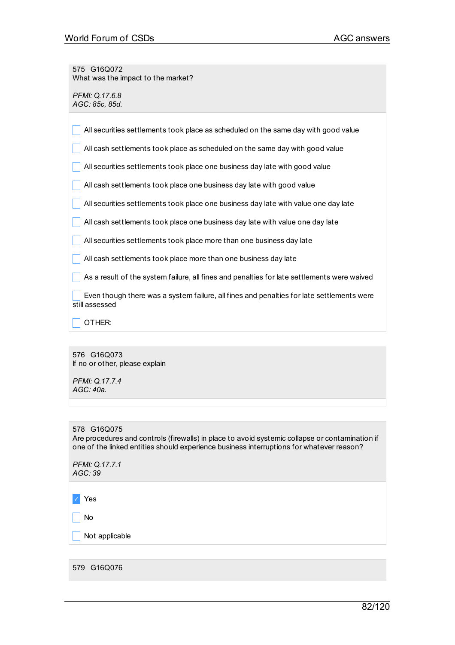575 G16Q072 What was the impact to the market?

*PFMI: Q.17.6.8 AGC: 85c, 85d.*

| All securities settlements took place as scheduled on the same day with good value                          |
|-------------------------------------------------------------------------------------------------------------|
| All cash settlements took place as scheduled on the same day with good value                                |
| All securities settlements took place one business day late with good value                                 |
| All cash settlements took place one business day late with good value                                       |
| All securities settlements took place one business day late with value one day late                         |
| All cash settlements took place one business day late with value one day late                               |
| All securities settlements took place more than one business day late                                       |
| All cash settlements took place more than one business day late                                             |
| As a result of the system failure, all fines and penalties for late settlements were waived                 |
| Even though there was a system failure, all fines and penalties for late settlements were<br>still assessed |
| OTHER:                                                                                                      |

576 G16Q073 If no or other, please explain

*PFMI: Q.17.7.4 AGC: 40a.*

#### 578 G16Q075

Are procedures and controls (firewalls) in place to avoid systemic collapse or contamination if one of the linked entities should experience business interruptions for whatever reason?

*PFMI: Q.17.7.1 AGC: 39*

✓ Yes

 $\Box$  No

 $\sqrt{\phantom{a}}$  Not applicable

579 G16Q076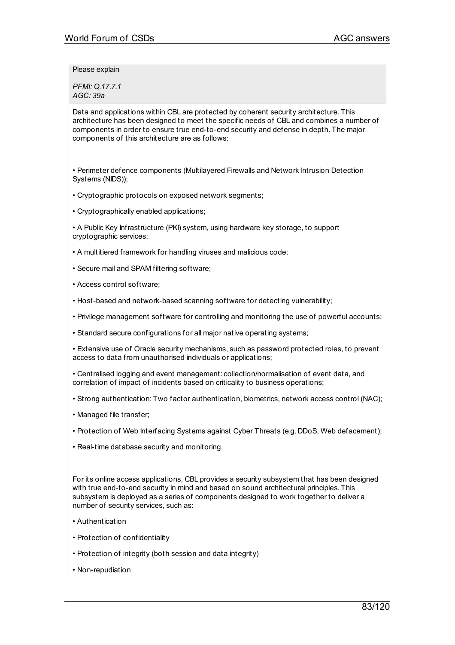Please explain

*PFMI: Q.17.7.1 AGC: 39a*

Data and applications within CBL are protected by coherent security architecture. This architecture has been designed to meet the specific needs of CBL and combines a number of components in order to ensure true end-to-end security and defense in depth. The major components of this architecture are as follows:

• Perimeter defence components (Multilayered Firewalls and Network Intrusion Detection Systems (NIDS));

- Cryptographic protocols on exposed network segments;
- Cryptographically enabled applications;

• A Public Key Infrastructure (PKI) system, using hardware key storage, to support cryptographic services;

- A multitiered framework for handling viruses and malicious code;
- Secure mail and SPAM filtering software;
- Access control software;
- Host-based and network-based scanning software for detecting vulnerability;
- Privilege management software for controlling and monitoring the use of powerful accounts;
- Standard secure configurations for all major native operating systems;
- Extensive use of Oracle security mechanisms, such as password protected roles, to prevent access to data from unauthorised individuals or applications;
- Centralised logging and event management: collection/normalisation of event data, and correlation of impact of incidents based on criticality to business operations;
- Strong authentication: Two factor authentication, biometrics, network access control (NAC);
- Managed file transfer;
- Protection of Web Interfacing Systems against Cyber Threats (e.g. DDoS, Web defacement);
- Real-time database security and monitoring.

For its online access applications, CBL provides a security subsystem that has been designed with true end-to-end security in mind and based on sound architectural principles. This subsystem is deployed as a series of components designed to work together to deliver a number of security services, such as:

- Authentication
- Protection of confidentiality
- Protection of integrity (both session and data integrity)
- Non-repudiation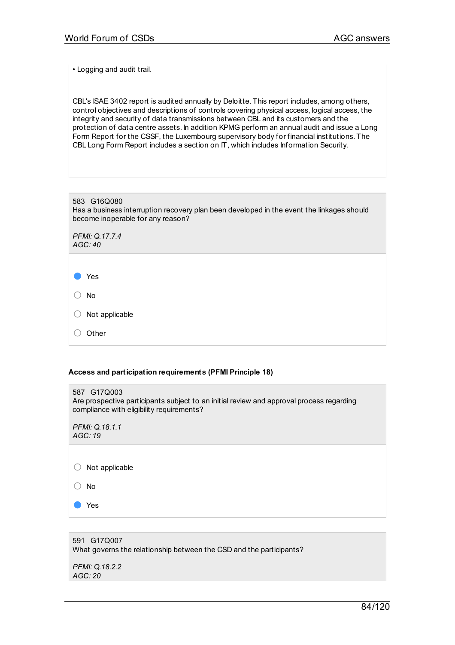• Logging and audit trail.

CBL's ISAE 3402 report is audited annually by Deloitte. This report includes, among others, control objectives and descriptions of controls covering physical access, logical access, the integrity and security of data transmissions between CBL and its customers and the protection of data centre assets. In addition KPMG perform an annual audit and issue a Long Form Report for the CSSF, the Luxembourg supervisory body for financial institutions. The CBL Long Form Report includes a section on IT, which includes Information Security.

| 583 G16Q080<br>Has a business interruption recovery plan been developed in the event the linkages should<br>become inoperable for any reason? |
|-----------------------------------------------------------------------------------------------------------------------------------------------|
| PFMI: Q.17.7.4<br>AGC:40                                                                                                                      |
|                                                                                                                                               |
| Yes                                                                                                                                           |
| <b>No</b>                                                                                                                                     |
| Not applicable                                                                                                                                |
| Other                                                                                                                                         |

#### **Access and participation requirements (PFMI Principle 18)**

| 587 G17Q003<br>Are prospective participants subject to an initial review and approval process regarding<br>compliance with eligibility requirements? |
|------------------------------------------------------------------------------------------------------------------------------------------------------|
| PFMI: Q.18.1.1<br>AGC:19                                                                                                                             |
|                                                                                                                                                      |
| Not applicable                                                                                                                                       |
| No.                                                                                                                                                  |
| Yes                                                                                                                                                  |
|                                                                                                                                                      |

591 G17Q007 What governs the relationship between the CSD and the participants? *PFMI: Q.18.2.2 AGC: 20*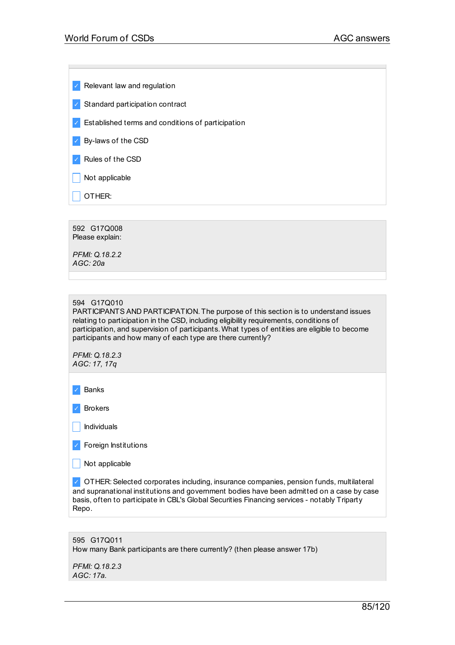$\vee$  Relevant law and regulation

✓ Standard participation contract

✓ Established terms and conditions of participation

✓ By-laws of the CSD

✓ Rules of the CSD

 $\Box$  Not applicable

 $\vert$  OTHER:

592 G17Q008 Please explain: *PFMI: Q.18.2.2 AGC: 20a*

## 594 G17Q010

PARTICIPANTS AND PARTICIPATION. The purpose of this section is to understand issues relating to participation in the CSD, including eligibility requirements, conditions of participation, and supervision of participants. What types of entities are eligible to become participants and how many of each type are there currently?

*PFMI: Q.18.2.3 AGC: 17, 17q*

✓ Banks

✓ Brokers

 $\Box$  Individuals

✓ Foreign Institutions

 $\Box$  Not applicable

 $\vee$  OTHER: Selected corporates including, insurance companies, pension funds, multilateral and supranational institutions and government bodies have been admitted on a case by case basis, often to participate in CBL's Global Securities Financing services - notably Triparty Repo.

595 G17Q011 How many Bank participants are there currently? (then please answer 17b)

*PFMI: Q.18.2.3 AGC: 17a.*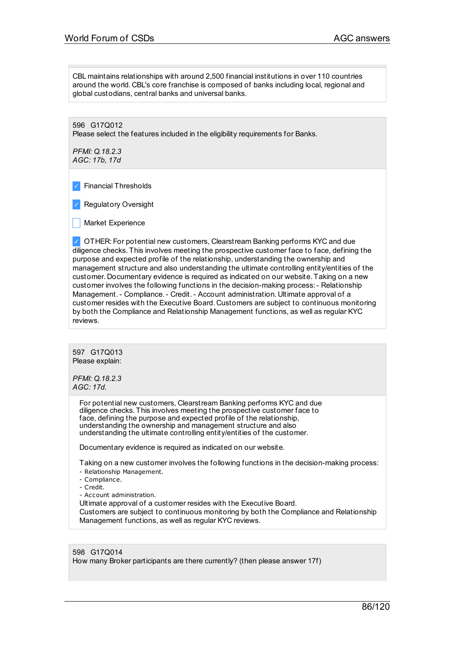CBL maintains relationships with around 2,500 financial institutions in over 110 countries around the world. CBL's core franchise is composed of banks including local, regional and global custodians, central banks and universal banks.

596 G17Q012 Please select the features included in the eligibility requirements for Banks.

*PFMI: Q.18.2.3 AGC: 17b, 17d*

✓ Financial Thresholds

✓ Regulatory Oversight

| Market Experience

✓ OTHER: For potential new customers, Clearstream Banking performs KYC and due diligence checks. This involves meeting the prospective customer face to face, defining the purpose and expected profile of the relationship, understanding the ownership and management structure and also understanding the ultimate controlling entity/entities of the customer. Documentary evidence is required as indicated on our website. Taking on a new customer involves the following functions in the decision-making process:- Relationship Management.- Compliance.- Credit.- Account administration. Ultimate approval of a customer resides with the Executive Board. Customers are subject to continuous monitoring by both the Compliance and Relationship Management functions, as well as regular KYC reviews.

597 G17Q013 Please explain:

*PFMI: Q.18.2.3 AGC: 17d.*

> For potential new customers, Clearstream Banking performs KYC and due diligence checks. This involves meeting the prospective customer face to face, defining the purpose and expected profile of the relationship, understanding the ownership and management structure and also understanding the ultimate controlling entity/entities of the customer.

Documentary evidence is required as indicated on our website.

Taking on a new customer involves the following functions in the decision-making process: - Relationship Management.

- Compliance.
- Credit.
- Account administration.

Ultimate approval of a customer resides with the Executive Board.

Customers are subject to continuous monitoring by both the Compliance and Relationship Management functions, as well as regular KYC reviews.

598 G17Q014 How many Broker participants are there currently? (then please answer 17f)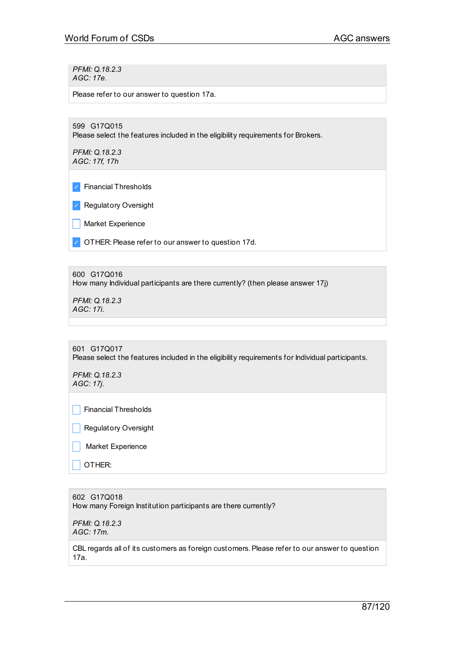*PFMI: Q.18.2.3 AGC: 17e.*

Please refer to our answer to question 17a.

599 G17Q015 Please select the features included in the eligibility requirements for Brokers.

*PFMI: Q.18.2.3 AGC: 17f, 17h*

✓ Financial Thresholds

✓ Regulatory Oversight

**Narket Experience** 

✓ OTHER:Please refer to our answer to question 17d.

600 G17Q016 How many Individual participants are there currently? (then please answer 17j)

*PFMI: Q.18.2.3 AGC: 17i.*

```
601 G17Q017
Please select the features included in the eligibility requirements for Individual participants.
```
*PFMI: Q.18.2.3 AGC: 17j.*

 $\Box$  Financial Thresholds

| Regulatory Oversight

| Market Experience

\_ OTHER:

602 G17Q018 How many Foreign Institution participants are there currently?

*PFMI: Q.18.2.3 AGC: 17m.*

CBL regards all of its customers as foreign customers. Please refer to our answer to question 17a.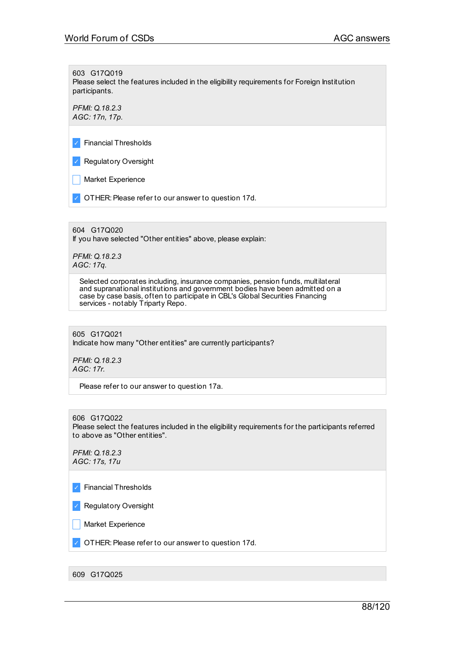603 G17Q019

Please select the features included in the eligibility requirements for Foreign Institution participants.

*PFMI: Q.18.2.3 AGC: 17n, 17p.*

✓ Financial Thresholds

✓ Regulatory Oversight

**Narket Experience** 

✓ OTHER:Please refer to our answer to question 17d.

604 G17Q020

If you have selected "Other entities" above, please explain:

*PFMI: Q.18.2.3 AGC: 17q.*

> Selected corporates including, insurance companies, pension funds, multilateral and supranational institutions and government bodies have been admitted on a case by case basis, often to participate in CBL's Global Securities Financing services - notably Triparty Repo.

605 G17Q021 Indicate how many "Other entities" are currently participants?

*PFMI: Q.18.2.3 AGC: 17r.*

Please refer to our answer to question 17a.

606 G17Q022

Please select the features included in the eligibility requirements for the participants referred to above as "Other entities".

*PFMI: Q.18.2.3 AGC: 17s, 17u*

✓ Financial Thresholds

✓ Regulatory Oversight

**Narket Experience** 

✓ OTHER:Please refer to our answer to question 17d.

609 G17Q025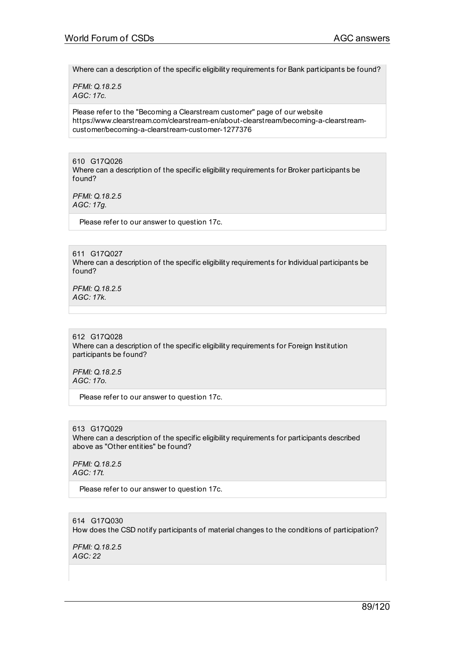Where can a description of the specific eligibility requirements for Bank participants be found?

*PFMI: Q.18.2.5 AGC: 17c.*

Please refer to the "Becoming a Clearstream customer" page of our website https://www.clearstream.com/clearstream-en/about-clearstream/becoming-a-clearstreamcustomer/becoming-a-clearstream-customer-1277376

610 G17Q026 Where can a description of the specific eligibility requirements for Broker participants be found?

*PFMI: Q.18.2.5 AGC: 17g.*

Please refer to our answer to question 17c.

611 G17Q027 Where can a description of the specific eligibility requirements for Individual participants be found?

*PFMI: Q.18.2.5 AGC: 17k.*

612 G17Q028 Where can a description of the specific eligibility requirements for Foreign Institution participants be found?

*PFMI: Q.18.2.5 AGC: 17o.*

Please refer to our answer to question 17c.

613 G17Q029 Where can a description of the specific eligibility requirements for participants described above as "Other entities" be found?

*PFMI: Q.18.2.5 AGC: 17t.*

Please refer to our answer to question 17c.

614 G17Q030 How does the CSD notify participants of material changes to the conditions of participation?

*PFMI: Q.18.2.5 AGC: 22*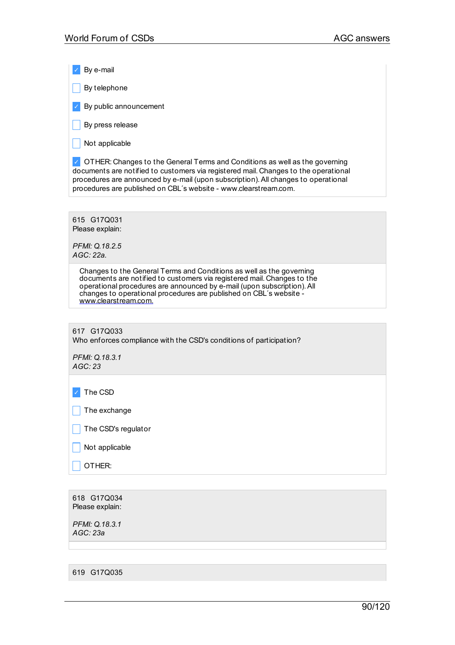✓ By e-mail

 $\Box$  By telephone

 $\vee$  By public announcement

 $\Box$  By press release

 $\Box$  Not applicable

◯ OTHER: Changes to the General Terms and Conditions as well as the governing documents are notified to customers via registered mail. Changes to the operational procedures are announced by e-mail (upon subscription).All changes to operational procedures are published on CBL´s website - www.clearstream.com.

615 G17Q031 Please explain:

*PFMI: Q.18.2.5 AGC: 22a.*

> Changes to the General Terms and Conditions as well as the governing documents are notified to customers via registered mail. Changes to the operational procedures are announced by e-mail (upon subscription).All changes to operational procedures are published on CBL´s website [www.clearstream.com.](http://www.clearstream.com/)

617 G17Q033 Who enforces compliance with the CSD's conditions of participation?

*PFMI: Q.18.3.1 AGC: 23*

✓ The CSD

The exchange

The CSD's regulator

 $\sqrt{\phantom{a}}$  Not applicable

\_ OTHER:

618 G17Q034 Please explain:

*PFMI: Q.18.3.1 AGC: 23a*

619 G17Q035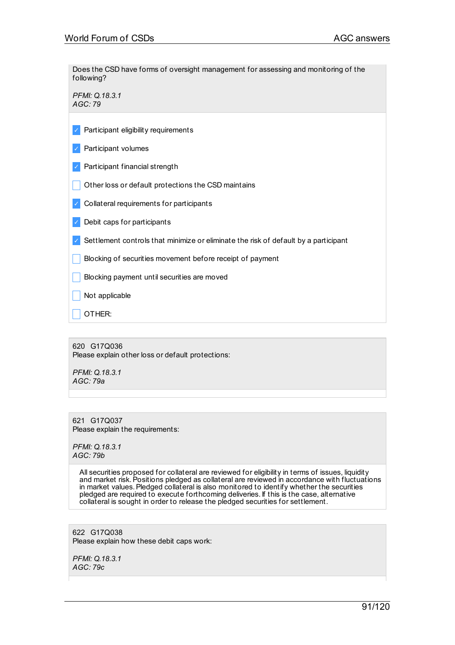Does the CSD have forms of oversight management for assessing and monitoring of the following?

*PFMI: Q.18.3.1 AGC: 79*

- $\vee$  Participant eligibility requirements
- ✓ Participant volumes
- ✓ Participant financial strength
- Other loss or default protections the CSD maintains
- ✓ Collateral requirements for participants
- $\triangledown$  Debit caps for participants
- $\vee$  Settlement controls that minimize or eliminate the risk of default by a participant
- Blocking of securities movement before receipt of payment
- Blocking payment until securities are moved
- $\Box$  Not applicable
- \_ OTHER:

620 G17Q036 Please explain other loss or default protections:

*PFMI: Q.18.3.1 AGC: 79a*

621 G17Q037 Please explain the requirements:

*PFMI: Q.18.3.1 AGC: 79b*

> All securities proposed for collateral are reviewed for eligibility in terms of issues, liquidity and market risk.Positions pledged as collateral are reviewed in accordance with fluctuations in market values. Pledged collateral is also monitored to identify whether the securities pledged are required to execute forthcoming deliveries. If this is the case, alternative collateral is sought in order to release the pledged securities for settlement.

622 G17Q038 Please explain how these debit caps work:

*PFMI: Q.18.3.1 AGC: 79c*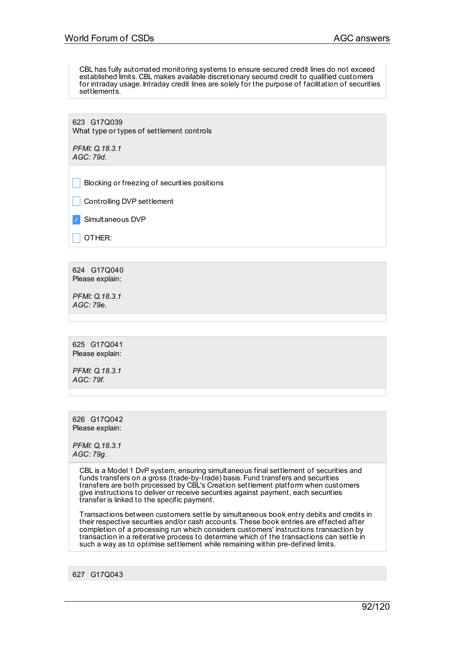CBL has fully automated monitoring systems to ensure secured credit lines do not exceed established limits. CBL makes available discretionary secured credit to qualified customers for intraday usage. Intraday credit lines are solely for the purpose of facilitation of securities settlements.

623 G17Q039 What type or types of settlement controls

*PFMI: Q.18.3.1 AGC: 79d.*

\_ Blocking or freezing of securities positions

Controlling DVP settlement

✓ Simultaneous DVP

OTHER:

624 G17Q040 Please explain:

*PFMI: Q.18.3.1 AGC: 79e.*

625 G17Q041 Please explain:

*PFMI: Q.18.3.1 AGC: 79f.*

626 G17Q042 Please explain:

*PFMI: Q.18.3.1 AGC: 79g.*

> CBL is a Model 1 DvP system, ensuring simultaneous final settlement of securities and funds transfers on a gross (trade-by-trade) basis. Fund transfers and securities transfers are both processed by CBL's Creation settlement platform when customers give instructions to deliver or receive securities against payment, each securities transfer is linked to the specific payment.

Transactions between customers settle by simultaneous book entry debits and credits in their respective securities and/or cash accounts. These book entries are effected after completion of a processing run which considers customers' instructions transaction by transaction in a reiterative process to determine which of the transactions can settle in such a way as to optimise settlement while remaining within pre-defined limits.

627 G17Q043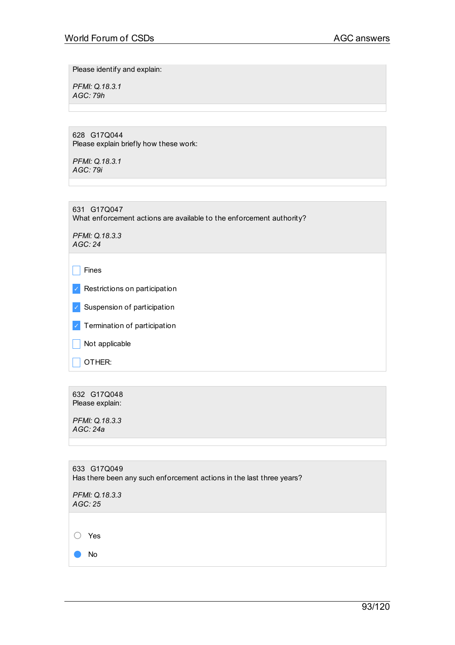Please identify and explain:

*PFMI: Q.18.3.1 AGC: 79h*

628 G17Q044 Please explain briefly how these work:

*PFMI: Q.18.3.1 AGC: 79i*

631 G17Q047 What enforcement actions are available to the enforcement authority?

*PFMI: Q.18.3.3 AGC: 24*

 $\Box$  Fines

- ✓ Restrictions on participation
- ✓ Suspension of participation
- ✓ Termination of participation

 $\Box$  Not applicable

 $\overline{\phantom{a}}$  OTHER:

632 G17Q048 Please explain:

*PFMI: Q.18.3.3 AGC: 24a*

| 633 G17Q049<br>Has there been any such enforcement actions in the last three years? |  |
|-------------------------------------------------------------------------------------|--|
| PFMI: Q.18.3.3<br>AGC: 25                                                           |  |
|                                                                                     |  |
| Yes                                                                                 |  |
| No.                                                                                 |  |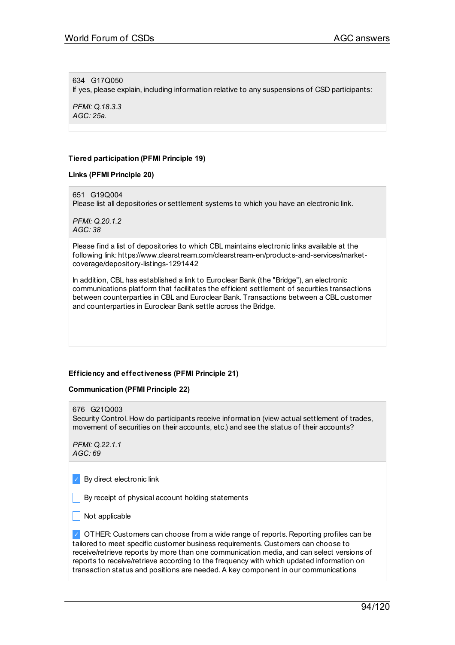634 G17Q050 If yes, please explain, including information relative to any suspensions of CSD participants:

*PFMI: Q.18.3.3 AGC: 25a.*

## **Tiered participation (PFMI Principle 19)**

**Links (PFMI Principle 20)**

651 G19Q004

Please list all depositories or settlement systems to which you have an electronic link.

*PFMI: Q.20.1.2 AGC: 38*

Please find a list of depositories to which CBL maintains electronic links available at the following link: https://www.clearstream.com/clearstream-en/products-and-services/marketcoverage/depository-listings-1291442

In addition, CBL has established a link to Euroclear Bank (the "Bridge"), an electronic communications platform that facilitates the efficient settlement of securities transactions between counterparties in CBL and Euroclear Bank. Transactions between a CBL customer and counterparties in Euroclear Bank settle across the Bridge.

# **Efficiency and effectiveness (PFMI Principle 21)**

#### **Communication (PFMI Principle 22)**

676 G21Q003

Security Control. How do participants receive information (view actual settlement of trades, movement of securities on their accounts, etc.) and see the status of their accounts?

*PFMI: Q.22.1.1 AGC: 69*

✓ By direct electronic link

 $\blacksquare$  By receipt of physical account holding statements

Not applicable

✓ OTHER: Customers can choose from a wide range of reports. Reporting profiles can be tailored to meet specific customer business requirements. Customers can choose to receive/retrieve reports by more than one communication media, and can select versions of reports to receive/retrieve according to the frequency with which updated information on transaction status and positions are needed.A key component in our communications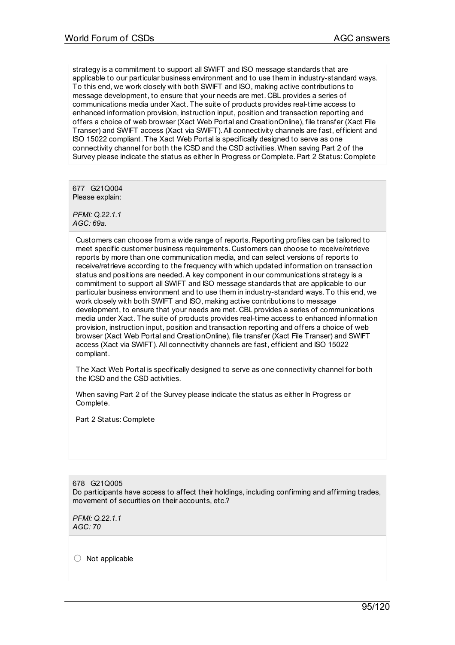strategy is a commitment to support all SWIFT and ISO message standards that are applicable to our particular business environment and to use them in industry-standard ways. To this end, we work closely with both SWIFT and ISO, making active contributions to message development, to ensure that your needs are met. CBL provides a series of communications media under Xact. The suite of products provides real-time access to enhanced information provision, instruction input, position and transaction reporting and offers a choice of web browser (Xact Web Portal and CreationOnline), file transfer (Xact File Transer) and SWIFT access (Xact via SWIFT).All connectivity channels are fast, efficient and ISO 15022 compliant. The Xact Web Portal is specifically designed to serve as one connectivity channel for both the ICSD and the CSD activities. When saving Part 2 of the Survey please indicate the status as either In Progress or Complete.Part 2 Status: Complete

677 G21Q004 Please explain:

*PFMI: Q.22.1.1 AGC: 69a.*

Customers can choose from a wide range of reports. Reporting profiles can be tailored to meet specific customer business requirements. Customers can choose to receive/retrieve reports by more than one communication media, and can select versions of reports to receive/retrieve according to the frequency with which updated information on transaction status and positions are needed. A key component in our communications strategy is a commitment to support all SWIFT and ISO message standards that are applicable to our particular business environment and to use them in industry-standard ways. To this end, we work closely with both SWIFT and ISO, making active contributions to message development, to ensure that your needs are met. CBL provides a series of communications media under Xact. The suite of products provides real-time access to enhanced information provision, instruction input, position and transaction reporting and offers a choice of web browser (Xact Web Portal and CreationOnline), file transfer (Xact File Transer) and SWIFT access (Xact via SWIFT).All connectivity channels are fast, efficient and ISO 15022 compliant.

The Xact Web Portal is specifically designed to serve as one connectivity channel for both the ICSD and the CSD activities.

When saving Part 2 of the Survey please indicate the status as either In Progress or Complete.

Part 2 Status: Complete

678 G21Q005 Do participants have access to affect their holdings, including confirming and affirming trades, movement of securities on their accounts, etc.?

*PFMI: Q.22.1.1 AGC: 70*

○ Not applicable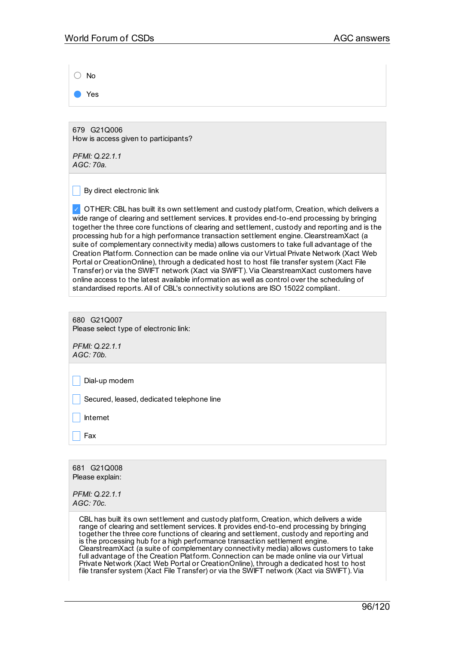| <b>No</b>                                                                                                                                                                                                                                                                                                                                                                                                                                                                                                                                                                                                                                                                                                                                                                                                                                                                                                                                                        |
|------------------------------------------------------------------------------------------------------------------------------------------------------------------------------------------------------------------------------------------------------------------------------------------------------------------------------------------------------------------------------------------------------------------------------------------------------------------------------------------------------------------------------------------------------------------------------------------------------------------------------------------------------------------------------------------------------------------------------------------------------------------------------------------------------------------------------------------------------------------------------------------------------------------------------------------------------------------|
| Yes                                                                                                                                                                                                                                                                                                                                                                                                                                                                                                                                                                                                                                                                                                                                                                                                                                                                                                                                                              |
|                                                                                                                                                                                                                                                                                                                                                                                                                                                                                                                                                                                                                                                                                                                                                                                                                                                                                                                                                                  |
| 679 G21Q006<br>How is access given to participants?                                                                                                                                                                                                                                                                                                                                                                                                                                                                                                                                                                                                                                                                                                                                                                                                                                                                                                              |
| PFMI: Q.22.1.1<br>AGC: 70a.                                                                                                                                                                                                                                                                                                                                                                                                                                                                                                                                                                                                                                                                                                                                                                                                                                                                                                                                      |
| By direct electronic link                                                                                                                                                                                                                                                                                                                                                                                                                                                                                                                                                                                                                                                                                                                                                                                                                                                                                                                                        |
| OTHER: CBL has built its own settlement and custody platform, Creation, which delivers a<br>wide range of clearing and settlement services. It provides end-to-end processing by bringing<br>together the three core functions of clearing and settlement, custody and reporting and is the<br>processing hub for a high performance transaction settlement engine. ClearstreamXact (a<br>suite of complementary connectivity media) allows customers to take full advantage of the<br>Creation Platform. Connection can be made online via our Virtual Private Network (Xact Web<br>Portal or CreationOnline), through a dedicated host to host file transfer system (Xact File<br>Transfer) or via the SWIFT network (Xact via SWIFT). Via ClearstreamXact customers have<br>online access to the latest available information as well as control over the scheduling of<br>standardised reports. All of CBL's connectivity solutions are ISO 15022 compliant. |
|                                                                                                                                                                                                                                                                                                                                                                                                                                                                                                                                                                                                                                                                                                                                                                                                                                                                                                                                                                  |
| 680 G21Q007<br>Please select type of electronic link:                                                                                                                                                                                                                                                                                                                                                                                                                                                                                                                                                                                                                                                                                                                                                                                                                                                                                                            |
| PFMI: Q.22.1.1<br>AGC: 70b.                                                                                                                                                                                                                                                                                                                                                                                                                                                                                                                                                                                                                                                                                                                                                                                                                                                                                                                                      |
| Dial-up modem                                                                                                                                                                                                                                                                                                                                                                                                                                                                                                                                                                                                                                                                                                                                                                                                                                                                                                                                                    |
| Secured, leased, dedicated telephone line                                                                                                                                                                                                                                                                                                                                                                                                                                                                                                                                                                                                                                                                                                                                                                                                                                                                                                                        |
| Internet                                                                                                                                                                                                                                                                                                                                                                                                                                                                                                                                                                                                                                                                                                                                                                                                                                                                                                                                                         |
| Fax                                                                                                                                                                                                                                                                                                                                                                                                                                                                                                                                                                                                                                                                                                                                                                                                                                                                                                                                                              |
|                                                                                                                                                                                                                                                                                                                                                                                                                                                                                                                                                                                                                                                                                                                                                                                                                                                                                                                                                                  |
| 681 G21Q008<br>Please explain:                                                                                                                                                                                                                                                                                                                                                                                                                                                                                                                                                                                                                                                                                                                                                                                                                                                                                                                                   |
| PFMI: Q.22.1.1<br>AGC: 70c.                                                                                                                                                                                                                                                                                                                                                                                                                                                                                                                                                                                                                                                                                                                                                                                                                                                                                                                                      |
| CBL has built its own settlement and custody platform, Creation, which delivers a wide<br>range of clearing and settlement services. It provides end-to-end processing by bringing<br>together the three core functions of clearing and settlement, custody and reporting and<br>is the processing hub for a high performance transaction settlement engine.<br>ClearstreamXact (a suite of complementary connectivity media) allows customers to take<br>full advantage of the Creation Platform. Connection can be made online via our Virtual                                                                                                                                                                                                                                                                                                                                                                                                                 |

Private Network (Xact Web Portal or CreationOnline), through a dedicated host to host file transfer system (Xact File Transfer) or via the SWIFT network (Xact via SWIFT).Via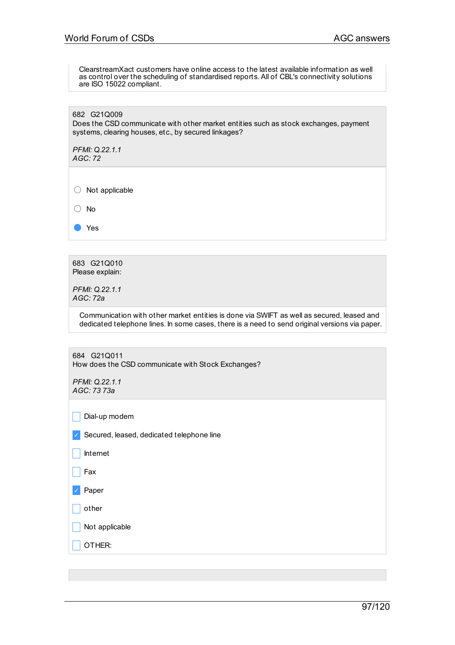ClearstreamXact customers have online access to the latest available information as well as control over the scheduling of standardised reports.All of CBL's connectivity solutions are ISO 15022 compliant.

682 G21Q009 Does the CSD communicate with other market entities such as stock exchanges, payment systems, clearing houses, etc., by secured linkages?

*PFMI: Q.22.1.1 AGC: 72*

○ Not applicable

○ No

● Yes

683 G21Q010 Please explain:

*PFMI: Q.22.1.1 AGC: 72a*

> Communication with other market entities is done via SWIFT as well as secured, leased and dedicated telephone lines. In some cases, there is a need to send original versions via paper.

684 G21Q011 How does the CSD communicate with Stock Exchanges?

*PFMI: Q.22.1.1 AGC: 73 73a*

 $\Box$  Dial-up modem

✓ Secured, leased, dedicated telephone line

 $\Box$  Internet

 $\Box$  Fax

✓ Paper

 $\Box$  other

Not applicable

\_ OTHER: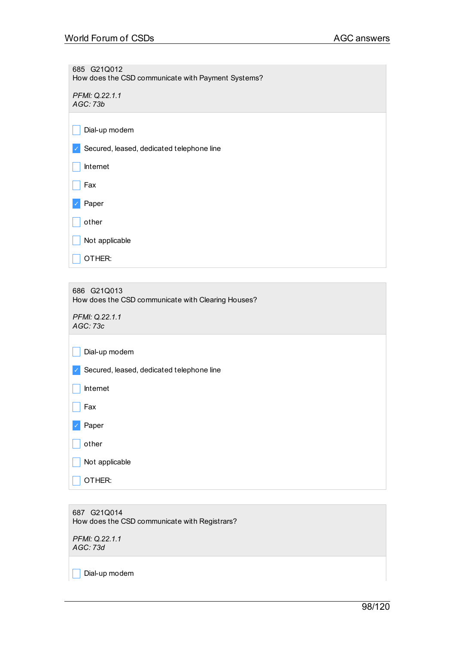685 G21Q012 How does the CSD communicate with Payment Systems?

*PFMI: Q.22.1.1 AGC: 73b*

 $\Box$  Dial-up modem

✓ Secured, leased, dedicated telephone line

| Internet |
|----------|
|----------|

 $\Box$  Fax

✓ Paper

 $\Box$  other

 $\Box$  Not applicable

 $\overline{\phantom{a}}$  OTHER:

686 G21Q013 How does the CSD communicate with Clearing Houses?

*PFMI: Q.22.1.1 AGC: 73c*

 $\Box$  Dial-up modem

✓ Secured, leased, dedicated telephone line

 $\Box$  Internet

 $\Box$  Fax

✓ Paper

 $\Box$  other

 $\Box$  Not applicable

 $\Box$  OTHER:

687 G21Q014 How does the CSD communicate with Registrars?

*PFMI: Q.22.1.1 AGC: 73d*

 $\Box$  Dial-up modem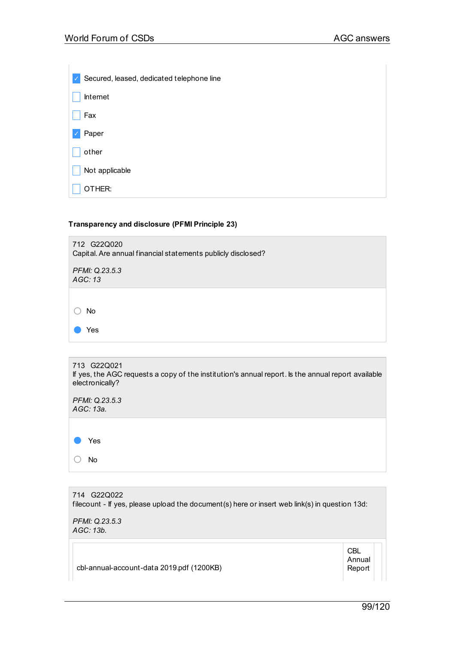| Secured, leased, dedicated telephone line<br>$\checkmark$ |  |
|-----------------------------------------------------------|--|
| Internet                                                  |  |
| Fax                                                       |  |
| Paper<br>√                                                |  |
| other                                                     |  |
| Not applicable                                            |  |
| IER:                                                      |  |

# **Transparency and disclosure (PFMI Principle 23)**



| 713 G22Q021<br>If yes, the AGC requests a copy of the institution's annual report. Is the annual report available<br>electronically? |
|--------------------------------------------------------------------------------------------------------------------------------------|
| PFMI: Q.23.5.3<br>AGC: 13a.                                                                                                          |
| Yes                                                                                                                                  |

| 714 G22Q022<br>filecount - If yes, please upload the document(s) here or insert web link(s) in question 13d: |  |
|--------------------------------------------------------------------------------------------------------------|--|
| PFMI: Q.23.5.3<br>AGC: 13b.                                                                                  |  |
|                                                                                                              |  |

cbl-annual-account-data 2019.pdf (1200KB)

○ No

Annual Report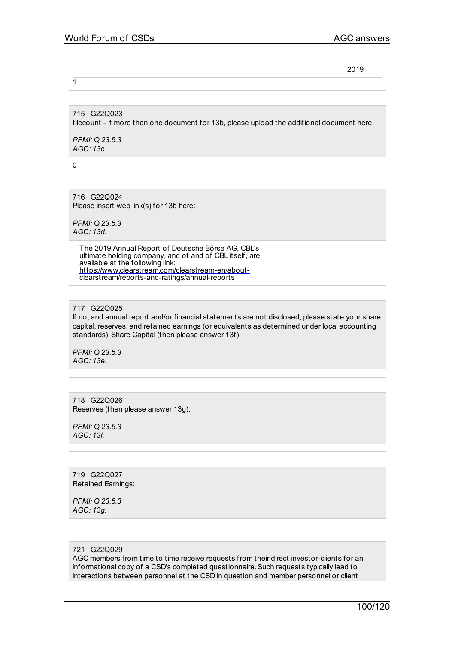2019

715 G22Q023 filecount - If more than one document for 13b, please upload the additional document here:

*PFMI: Q.23.5.3 AGC: 13c.*

 $\Omega$ 

 $\overline{1}$ 

716 G22Q024 Please insert web link(s) for 13b here:

*PFMI: Q.23.5.3 AGC: 13d.*

> The 2019 Annual Report of Deutsche Börse AG, CBL's ultimate holding company, and of and of CBL itself, are available at the following link: [https://www.clearstream.com/clearstream-en/about](http://www.clearstream.com/clearstream-en/about-clearstream/reports-and-ratings/annual-reports)clearstream/reports-and-ratings/annual-reports

## 717 G22Q025

If no, and annual report and/or financial statements are not disclosed, please state your share capital, reserves, and retained earnings (or equivalents as determined under local accounting standards). Share Capital (then please answer 13f):

*PFMI: Q.23.5.3 AGC: 13e.*

718 G22Q026 Reserves (then please answer 13g):

*PFMI: Q.23.5.3 AGC: 13f.*

719 G22Q027 Retained Earnings:

*PFMI: Q.23.5.3 AGC: 13g.*

# 721 G22Q029

AGC members from time to time receive requests from their direct investor-clients for an informational copy of a CSD's completed questionnaire.Such requests typically lead to interactions between personnel at the CSD in question and member personnel or client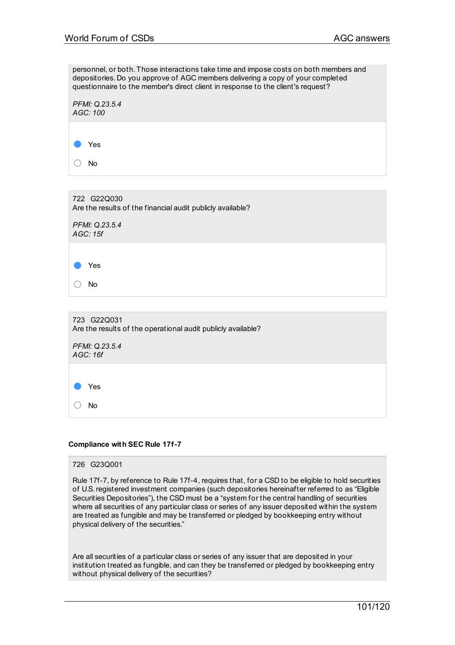personnel, or both. Those interactions take time and impose costs on both members and depositories. Do you approve of AGC members delivering a copy of your completed questionnaire to the member's direct client in response to the client's request?

| PFMI: Q.23.5.4<br>AGC: 100 |  |  |  |
|----------------------------|--|--|--|
| Yes                        |  |  |  |
| <b>No</b>                  |  |  |  |

722 G22Q030 Are the results of the financial audit publicly available? *PFMI: Q.23.5.4 AGC: 15f* ● Yes ○ No 723 G22Q031 Are the results of the operational audit publicly available? *PFMI: Q.23.5.4 AGC: 16f*

● Yes ○ No

**Compliance with SEC Rule 17f-7**

726 G23Q001

Rule 17f-7, by reference to Rule 17f-4, requires that, for a CSD to be eligible to hold securities of U.S.registered investment companies (such depositories hereinafter referred to as "Eligible Securities Depositories"), the CSD must be a "system for the central handling of securities where all securities of any particular class or series of any issuer deposited within the system are treated as fungible and may be transferred or pledged by bookkeeping entry without physical delivery of the securities."

Are all securities of a particular class or series of any issuer that are deposited in your institution treated as fungible, and can they be transferred or pledged by bookkeeping entry without physical delivery of the securities?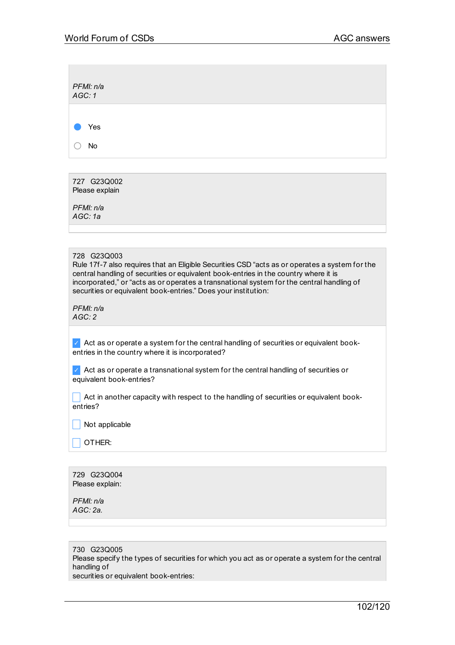| PFMI: n/a<br>AGC: 1 |  |  |  |
|---------------------|--|--|--|
| Yes<br>and i        |  |  |  |
| No                  |  |  |  |

727 G23Q002 Please explain

*PFMI: n/a AGC: 1a*

728 G23Q003

Rule 17f-7 also requires that an Eligible Securities CSD "acts as or operates a system for the central handling of securities or equivalent book-entries in the country where it is incorporated," or "acts as or operates a transnational system for the central handling of securities or equivalent book-entries." Does your institution:

*PFMI: n/a AGC: 2*

 $\vee$  Act as or operate a system for the central handling of securities or equivalent bookentries in the country where it is incorporated?

 $\vee$  Act as or operate a transnational system for the central handling of securities or equivalent book-entries?

 $\Box$  Act in another capacity with respect to the handling of securities or equivalent bookentries?

 $\Box$  Not applicable

\_ OTHER:

729 G23Q004 Please explain:

*PFMI: n/a AGC: 2a.*

730 G23Q005 Please specify the types of securities for which you act as or operate a system for the central handling of securities or equivalent book-entries: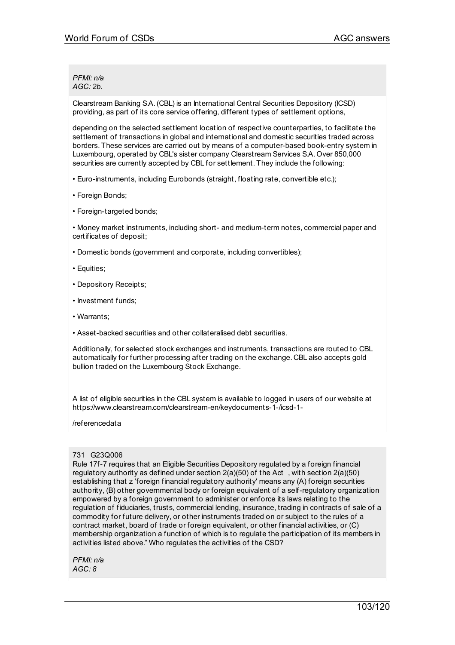*PFMI: n/a AGC: 2b.*

Clearstream Banking S.A.(CBL) is an International Central Securities Depository (ICSD) providing, as part of its core service offering, different types of settlement options,

depending on the selected settlement location of respective counterparties, to facilitate the settlement of transactions in global and international and domestic securities traded across borders. These services are carried out by means of a computer-based book-entry system in Luxembourg, operated by CBL's sister company Clearstream Services S.A. Over 850,000 securities are currently accepted by CBL for settlement. They include the following:

- Euro-instruments, including Eurobonds (straight, floating rate, convertible etc.);
- Foreign Bonds;
- Foreign-targeted bonds;

• Money market instruments, including short- and medium-term notes, commercial paper and certificates of deposit;

• Domestic bonds (government and corporate, including convertibles);

- Equities;
- Depository Receipts;
- Investment funds;
- Warrants;
- Asset-backed securities and other collateralised debt securities.

Additionally, for selected stock exchanges and instruments, transactions are routed to CBL automatically for further processing after trading on the exchange. CBL also accepts gold bullion traded on the Luxembourg Stock Exchange.

A list of eligible securities in the CBL system is available to logged in users of our website at https://www.clearstream.com/clearstream-en/keydocuments-1-/icsd-1-

#### /referencedata

#### 731 G23Q006

Rule 17f-7 requires that an Eligible Securities Depository regulated by a foreign financial regulatory authority as defined under section 2(a)(50) of the Act , with section 2(a)(50) establishing that z 'foreign financial regulatory authority' means any (A) foreign securities authority, (B) other governmental body or foreign equivalent of a self-regulatory organization empowered by a foreign government to administer or enforce its laws relating to the regulation of fiduciaries, trusts, commercial lending, insurance, trading in contracts of sale of a commodity for future delivery, or other instruments traded on or subject to the rules of a contract market, board of trade or foreign equivalent, or other financial activities, or (C) membership organization a function of which is to regulate the participation of its members in activities listed above." Who regulates the activities of the CSD?

*PFMI: n/a AGC: 8*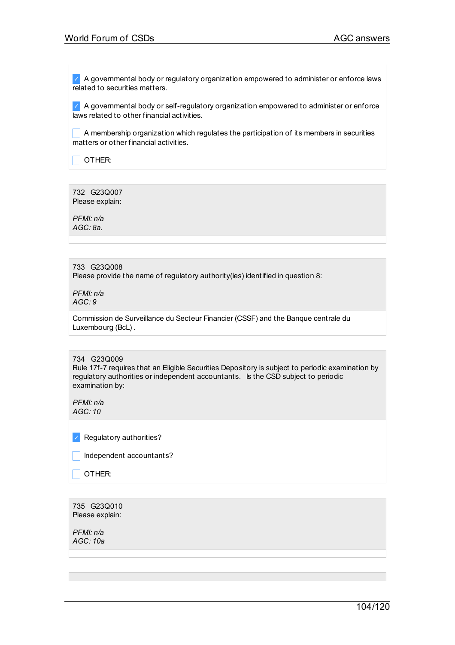$\vee$  A governmental body or regulatory organization empowered to administer or enforce laws related to securities matters.

 $\vee$  A governmental body or self-regulatory organization empowered to administer or enforce laws related to other financial activities.

\_ A membership organization which regulates the participation of its members in securities matters or other financial activities.

 $\vert$  OTHER:

732 G23Q007 Please explain:

*PFMI: n/a AGC: 8a.*

## 733 G23Q008

Please provide the name of regulatory authority(ies) identified in question 8:

*PFMI: n/a AGC: 9*

Commission de Surveillance du Secteur Financier (CSSF) and the Banque centrale du Luxembourg (BcL) .

#### 734 G23Q009

Rule 17f-7 requires that an Eligible Securities Depository is subject to periodic examination by regulatory authorities or independent accountants. Is the CSD subject to periodic examination by:

*PFMI: n/a AGC: 10*

✓ Regulatory authorities?

Independent accountants?

 $\Box$  OTHER:

735 G23Q010 Please explain:

*PFMI: n/a AGC: 10a*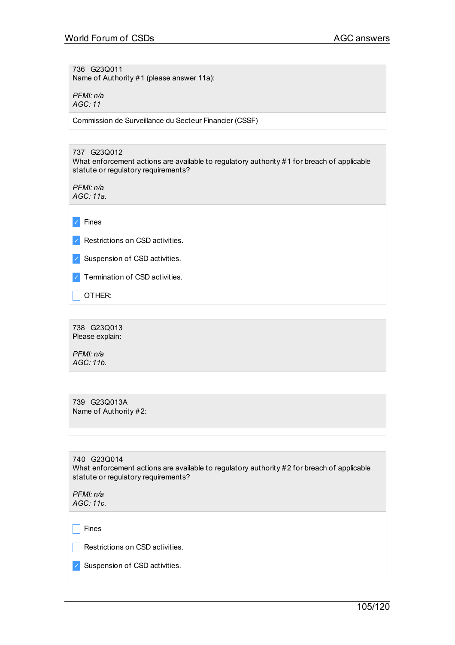736 G23Q011 Name of Authority #1 (please answer 11a):

*PFMI: n/a AGC: 11*

Commission de Surveillance du Secteur Financier (CSSF)

# 737 G23Q012

What enforcement actions are available to regulatory authority #1 for breach of applicable statute or regulatory requirements?

*PFMI: n/a AGC: 11a.*

✓ Fines

✓ Restrictions on CSD activities.

✓ Suspension of CSD activities.

✓ Termination of CSD activities.

 $\Box$  OTHER:

738 G23Q013 Please explain:

*PFMI: n/a AGC: 11b.*

739 G23Q013A Name of Authority #2:

740 G23Q014 What enforcement actions are available to regulatory authority #2 for breach of applicable statute or regulatory requirements?

*PFMI: n/a AGC: 11c.*

 $\Box$  Fines

 $\Box$  Restrictions on CSD activities.

✓ Suspension of CSD activities.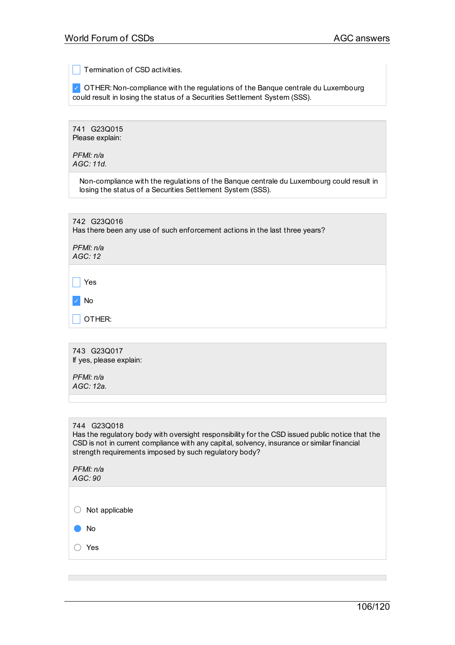**Termination of CSD activities.** 

✓ OTHER: Non-compliance with the regulations of the Banque centrale du Luxembourg could result in losing the status of a Securities Settlement System (SSS).

741 G23Q015 Please explain:

*PFMI: n/a AGC: 11d.*

> Non-compliance with the regulations of the Banque centrale du Luxembourg could result in losing the status of a Securities Settlement System (SSS).

| 742 G23Q016<br>Has there been any use of such enforcement actions in the last three years? |
|--------------------------------------------------------------------------------------------|
| PFMI: n/a<br>AGC: 12                                                                       |
| Yes                                                                                        |
| No                                                                                         |
| OTHER:                                                                                     |
|                                                                                            |

743 G23Q017 If yes, please explain: *PFMI: n/a*

*AGC: 12a.*

# 744 G23Q018

Has the regulatory body with oversight responsibility for the CSD issued public notice that the CSD is not in current compliance with any capital, solvency, insurance or similar financial strength requirements imposed by such regulatory body?

*PFMI: n/a AGC: 90*

 $\bigcirc$  Not applicable

● No

○ Yes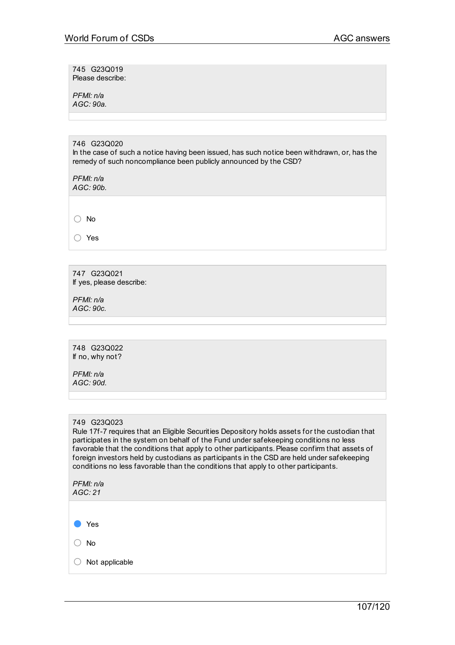745 G23Q019 Please describe:

*PFMI: n/a AGC: 90a.*

#### 746 G23Q020

In the case of such a notice having been issued, has such notice been withdrawn, or, has the remedy of such noncompliance been publicly announced by the CSD?

*PFMI: n/a AGC: 90b.*

○ No

○ Yes

747 G23Q021 If yes, please describe:

*PFMI: n/a AGC: 90c.*

748 G23Q022 If no, why not?

*PFMI: n/a AGC: 90d.*

# 749 G23Q023

Rule 17f-7 requires that an Eligible Securities Depository holds assets for the custodian that participates in the system on behalf of the Fund under safekeeping conditions no less favorable that the conditions that apply to other participants. Please confirm that assets of foreign investors held by custodians as participants in the CSD are held under safekeeping conditions no less favorable than the conditions that apply to other participants.

*PFMI: n/a AGC: 21*

● Yes

○ No

○ Not applicable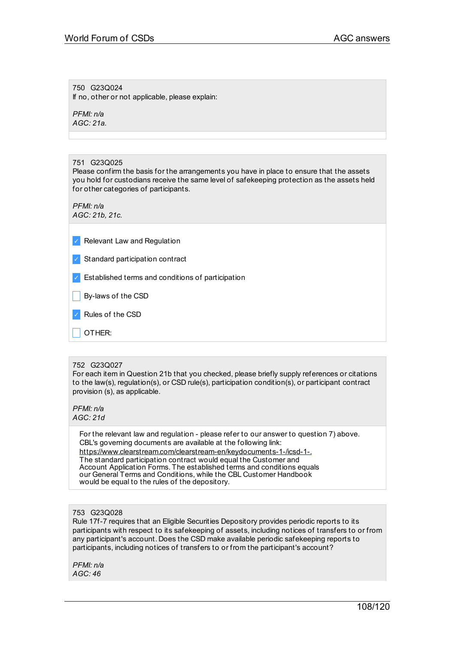750 G23Q024 If no, other or not applicable, please explain:

*PFMI: n/a AGC: 21a.*

751 G23Q025

Please confirm the basis for the arrangements you have in place to ensure that the assets you hold for custodians receive the same level of safekeeping protection as the assets held for other categories of participants.

*PFMI: n/a AGC: 21b, 21c.*

- ✓ Relevant Law and Regulation
- ✓ Standard participation contract
- ✓ Established terms and conditions of participation
- **By-laws of the CSD**
- ✓ Rules of the CSD
- \_ OTHER:

#### 752 G23Q027

For each item in Question 21b that you checked, please briefly supply references or citations to the law(s), regulation(s), or CSD rule(s), participation condition(s), or participant contract provision (s), as applicable.

*PFMI: n/a AGC: 21d*

> For the relevant law and regulation - please refer to our answer to question 7) above. CBL's governing documents are available at the following link: [https://www.clearstream.com/clearstream-en/keydocuments-1-/icsd-1-.](http://www.clearstream.com/clearstream-en/keydocuments-1-/icsd-1-) The standard participation contract would equal the Customer and Account Application Forms. The established terms and conditions equals our General Terms and Conditions, while the CBL Customer Handbook would be equal to the rules of the depository.

#### 753 G23Q028

Rule 17f-7 requires that an Eligible Securities Depository provides periodic reports to its participants with respect to its safekeeping of assets, including notices of transfers to or from any participant's account. Does the CSD make available periodic safekeeping reports to participants, including notices of transfers to or from the participant's account?

*PFMI: n/a AGC: 46*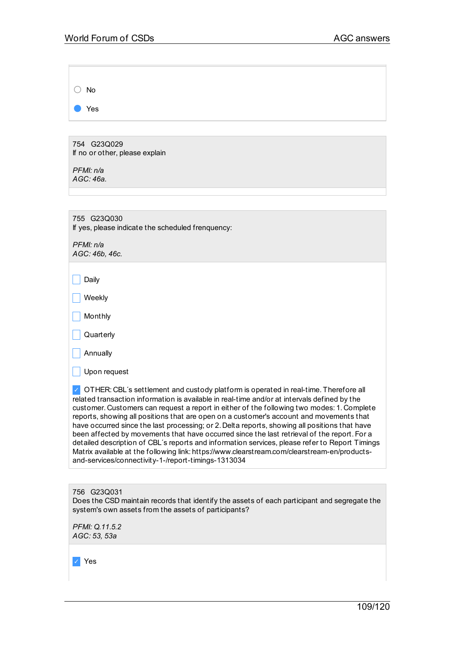| $\bigcirc$ No |  |  |  |
|---------------|--|--|--|
| ● Yes         |  |  |  |

754 G23Q029 If no or other, please explain

*PFMI: n/a AGC: 46a.*

| 755 G23Q030<br>If yes, please indicate the scheduled frenquency:                                                                                                                                                                                                                                                                                                                                                                                                                                                                                                                                                                                                                                                                                                                                                                       |
|----------------------------------------------------------------------------------------------------------------------------------------------------------------------------------------------------------------------------------------------------------------------------------------------------------------------------------------------------------------------------------------------------------------------------------------------------------------------------------------------------------------------------------------------------------------------------------------------------------------------------------------------------------------------------------------------------------------------------------------------------------------------------------------------------------------------------------------|
| PFMI: n/a<br>AGC: 46b, 46c.                                                                                                                                                                                                                                                                                                                                                                                                                                                                                                                                                                                                                                                                                                                                                                                                            |
| Daily                                                                                                                                                                                                                                                                                                                                                                                                                                                                                                                                                                                                                                                                                                                                                                                                                                  |
| Weekly                                                                                                                                                                                                                                                                                                                                                                                                                                                                                                                                                                                                                                                                                                                                                                                                                                 |
| Monthly                                                                                                                                                                                                                                                                                                                                                                                                                                                                                                                                                                                                                                                                                                                                                                                                                                |
| Quarterly                                                                                                                                                                                                                                                                                                                                                                                                                                                                                                                                                                                                                                                                                                                                                                                                                              |
| Annually                                                                                                                                                                                                                                                                                                                                                                                                                                                                                                                                                                                                                                                                                                                                                                                                                               |
| Upon request                                                                                                                                                                                                                                                                                                                                                                                                                                                                                                                                                                                                                                                                                                                                                                                                                           |
| OTHER: CBL's settlement and custody platform is operated in real-time. Therefore all<br>related transaction information is available in real-time and/or at intervals defined by the<br>customer. Customers can request a report in either of the following two modes: 1. Complete<br>reports, showing all positions that are open on a customer's account and movements that<br>have occurred since the last processing; or 2. Delta reports, showing all positions that have<br>been affected by movements that have occurred since the last retrieval of the report. For a<br>detailed description of CBL's reports and information services, please refer to Report Timings<br>Matrix available at the following link: https://www.clearstream.com/clearstream-en/products-<br>and-services/connectivity-1-/report-timings-1313034 |
|                                                                                                                                                                                                                                                                                                                                                                                                                                                                                                                                                                                                                                                                                                                                                                                                                                        |

756 G23Q031 Does the CSD maintain records that identify the assets of each participant and segregate the system's own assets from the assets of participants?

*PFMI: Q.11.5.2 AGC: 53, 53a*

✓ Yes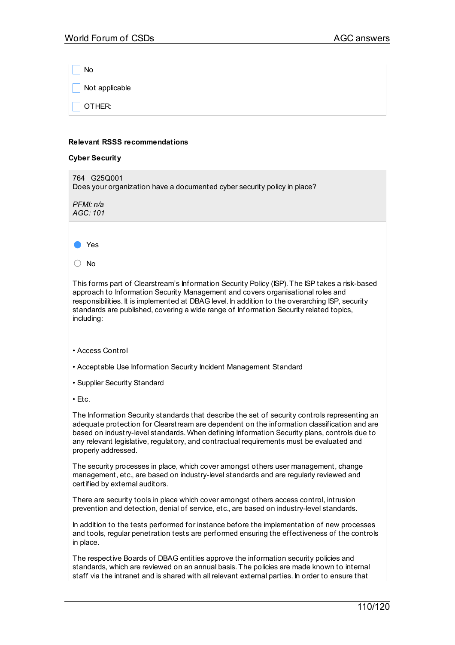$\overline{\phantom{a}}$  No  $\Box$  Not applicable  $\overline{\phantom{a}}$  OTHER:

#### **Relevant RSSS recommendations**

## **Cyber Security**

| JYNVI VUUNIIY                                                                                                                                                                                                                                                                                                                                                                                                   |
|-----------------------------------------------------------------------------------------------------------------------------------------------------------------------------------------------------------------------------------------------------------------------------------------------------------------------------------------------------------------------------------------------------------------|
| 764 G25Q001<br>Does your organization have a documented cyber security policy in place?                                                                                                                                                                                                                                                                                                                         |
| PFMI: n/a<br>AGC: 101                                                                                                                                                                                                                                                                                                                                                                                           |
|                                                                                                                                                                                                                                                                                                                                                                                                                 |
| Yes                                                                                                                                                                                                                                                                                                                                                                                                             |
| No<br>( )                                                                                                                                                                                                                                                                                                                                                                                                       |
| This forms part of Clearstream's Information Security Policy (ISP). The ISP takes a risk-based<br>approach to Information Security Management and covers organisational roles and<br>responsibilities. It is implemented at DBAG level. In addition to the overarching ISP, security<br>standards are published, covering a wide range of Information Security related topics,<br>including:                    |
| • Access Control                                                                                                                                                                                                                                                                                                                                                                                                |
| • Acceptable Use Information Security Incident Management Standard                                                                                                                                                                                                                                                                                                                                              |
| • Supplier Security Standard                                                                                                                                                                                                                                                                                                                                                                                    |
| • Etc.                                                                                                                                                                                                                                                                                                                                                                                                          |
| The Information Security standards that describe the set of security controls representing an<br>adequate protection for Clearstream are dependent on the information classification and are<br>based on industry-level standards. When defining Information Security plans, controls due to<br>any relevant legislative, regulatory, and contractual requirements must be evaluated and<br>properly addressed. |
| The security processes in place, which cover amongst others user management, change<br>management, etc., are based on industry-level standards and are regularly reviewed and<br>certified by external auditors.                                                                                                                                                                                                |
| There are security tools in place which cover amongst others access control, intrusion<br>prevention and detection, denial of service, etc., are based on industry-level standards.                                                                                                                                                                                                                             |
| In addition to the tests performed for instance before the implementation of new processes<br>and tools, regular penetration tests are performed ensuring the effectiveness of the controls<br>in place.                                                                                                                                                                                                        |
| The respective Boards of DBAG entities approve the information security policies and<br>standards, which are reviewed on an annual basis. The policies are made known to internal                                                                                                                                                                                                                               |

staff via the intranet and is shared with all relevant external parties. In order to ensure that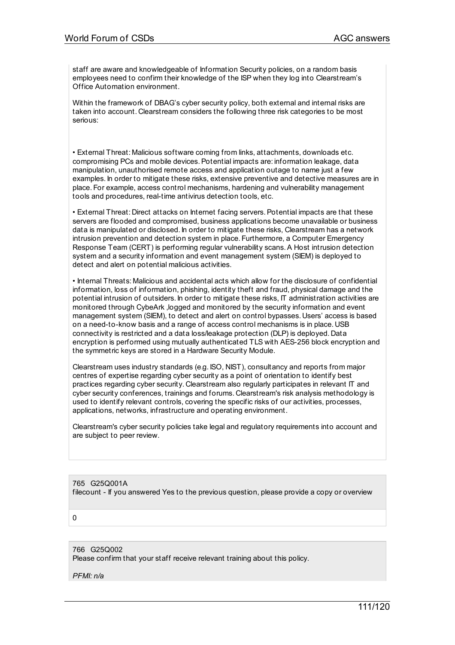staff are aware and knowledgeable of Information Security policies, on a random basis employees need to confirm their knowledge of the ISP when they log into Clearstream's Office Automation environment.

Within the framework of DBAG's cyber security policy, both external and internal risks are taken into account. Clearstream considers the following three risk categories to be most serious:

• External Threat: Malicious software coming from links, attachments, downloads etc. compromising PCs and mobile devices.Potential impacts are: information leakage, data manipulation, unauthorised remote access and application outage to name just a few examples. In order to mitigate these risks, extensive preventive and detective measures are in place. For example, access control mechanisms, hardening and vulnerability management tools and procedures, real-time antivirus detection tools, etc.

• External Threat: Direct attacks on Internet facing servers.Potential impacts are that these servers are flooded and compromised, business applications become unavailable or business data is manipulated or disclosed. In order to mitigate these risks, Clearstream has a network intrusion prevention and detection system in place. Furthermore, a Computer Emergency Response Team (CERT) is performing regular vulnerability scans. A Host intrusion detection system and a security information and event management system (SIEM) is deployed to detect and alert on potential malicious activities.

• Internal Threats: Malicious and accidental acts which allow for the disclosure of confidential information, loss of information, phishing, identity theft and fraud, physical damage and the potential intrusion of outsiders. In order to mitigate these risks, IT administration activities are monitored through CybeArk ,logged and monitored by the security information and event management system (SIEM), to detect and alert on control bypasses. Users' access is based on a need-to-know basis and a range of access control mechanisms is in place. USB connectivity is restricted and a data loss/leakage protection (DLP) is deployed. Data encryption is performed using mutually authenticated TLS with AES-256 block encryption and the symmetric keys are stored in a Hardware Security Module.

Clearstream uses industry standards (e.g. ISO, NIST), consultancy and reports from major centres of expertise regarding cyber security as a point of orientation to identify best practices regarding cyber security. Clearstream also regularly participates in relevant IT and cyber security conferences, trainings and forums. Clearstream's risk analysis methodology is used to identify relevant controls, covering the specific risks of our activities, processes, applications, networks, infrastructure and operating environment.

Clearstream's cyber security policies take legal and regulatory requirements into account and are subject to peer review.

765 G25Q001A filecount - If you answered Yes to the previous question, please provide a copy or overview

0

766 G25Q002 Please confirm that your staff receive relevant training about this policy.

*PFMI: n/a*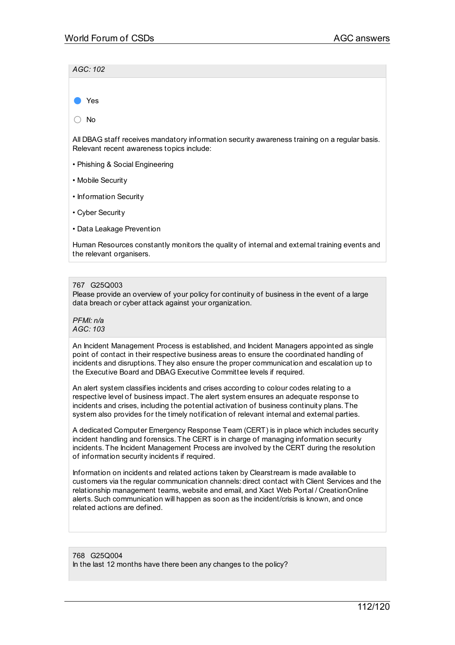*AGC: 102*

Yes

○ No

All DBAG staff receives mandatory information security awareness training on a regular basis. Relevant recent awareness topics include:

- Phishing & Social Engineering
- Mobile Security
- Information Security
- Cyber Security
- Data Leakage Prevention

Human Resources constantly monitors the quality of internal and external training events and the relevant organisers.

#### 767 G25Q003

Please provide an overview of your policy for continuity of business in the event of a large data breach or cyber attack against your organization.

*PFMI: n/a AGC: 103*

An Incident Management Process is established, and Incident Managers appointed as single point of contact in their respective business areas to ensure the coordinated handling of incidents and disruptions. They also ensure the proper communication and escalation up to the Executive Board and DBAG Executive Committee levels if required.

An alert system classifies incidents and crises according to colour codes relating to a respective level of business impact. The alert system ensures an adequate response to incidents and crises, including the potential activation of business continuity plans. The system also provides for the timely notification of relevant internal and external parties.

A dedicated Computer Emergency Response Team (CERT) is in place which includes security incident handling and forensics. The CERT is in charge of managing information security incidents. The Incident Management Process are involved by the CERT during the resolution of information security incidents if required.

Information on incidents and related actions taken by Clearstream is made available to customers via the regular communication channels: direct contact with Client Services and the relationship management teams, website and email, and Xact Web Portal / CreationOnline alerts.Such communication will happen as soon as the incident/crisis is known, and once related actions are defined.

768 G25Q004 In the last 12 months have there been any changes to the policy?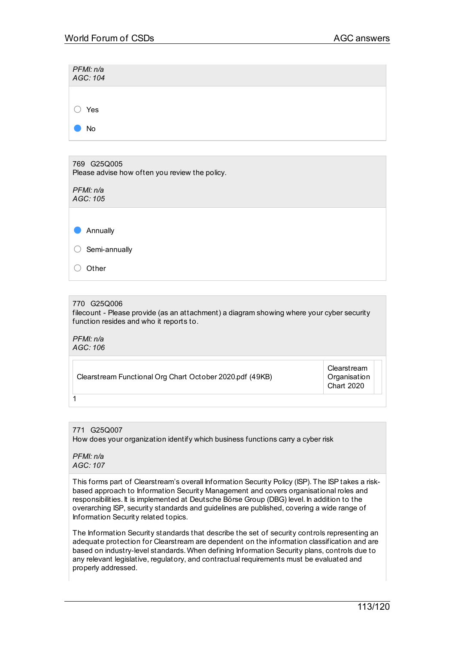| PFMI: n/a<br>AGC: 104 |  |  |  |
|-----------------------|--|--|--|
|                       |  |  |  |
| Yes                   |  |  |  |
| No                    |  |  |  |

769 G25Q005 Please advise how often you review the policy.

*PFMI: n/a AGC: 105*

● Annually

○ Semi-annually

○ Other

## 770 G25Q006

filecount - Please provide (as an attachment) a diagram showing where your cyber security function resides and who it reports to.

*PFMI: n/a AGC: 106*

1

Clearstream **Organisation** Chart 2020

771 G25Q007 How does your organization identify which business functions carry a cyber risk

*PFMI: n/a AGC: 107*

This forms part of Clearstream's overall Information Security Policy (ISP). The ISP takes a riskbased approach to Information Security Management and covers organisational roles and responsibilities. It is implemented at Deutsche Börse Group (DBG) level. In addition to the overarching ISP, security standards and guidelines are published, covering a wide range of Information Security related topics.

The Information Security standards that describe the set of security controls representing an adequate protection for Clearstream are dependent on the information classification and are based on industry-level standards. When defining Information Security plans, controls due to any relevant legislative, regulatory, and contractual requirements must be evaluated and properly addressed.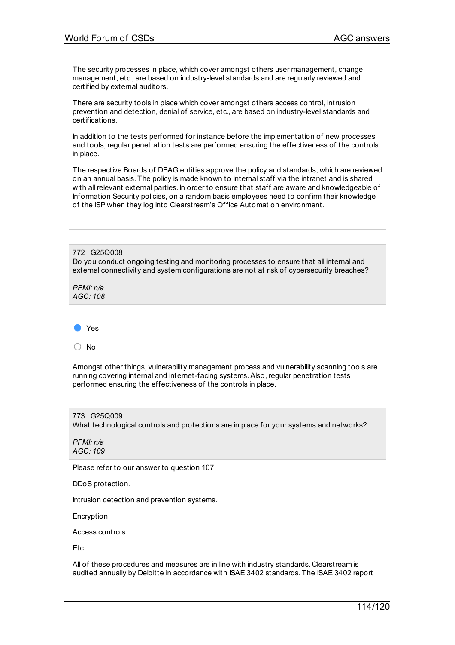The security processes in place, which cover amongst others user management, change management, etc., are based on industry-level standards and are regularly reviewed and certified by external auditors.

There are security tools in place which cover amongst others access control, intrusion prevention and detection, denial of service, etc., are based on industry-level standards and certifications.

In addition to the tests performed for instance before the implementation of new processes and tools, regular penetration tests are performed ensuring the effectiveness of the controls in place.

The respective Boards of DBAG entities approve the policy and standards, which are reviewed on an annual basis. The policy is made known to internal staff via the intranet and is shared with all relevant external parties. In order to ensure that staff are aware and knowledgeable of Information Security policies, on a random basis employees need to confirm their knowledge of the ISP when they log into Clearstream's Office Automation environment.

772 G25Q008 Do you conduct ongoing testing and monitoring processes to ensure that all internal and external connectivity and system configurations are not at risk of cybersecurity breaches?

*PFMI: n/a AGC: 108*



○ No

Amongst other things, vulnerability management process and vulnerability scanning tools are running covering internal and internet-facing systems.Also, regular penetration tests performed ensuring the effectiveness of the controls in place.

## 773 G25Q009

What technological controls and protections are in place for your systems and networks?

*PFMI: n/a AGC: 109*

Please refer to our answer to question 107.

DDoS protection.

Intrusion detection and prevention systems.

Encryption.

Access controls.

Etc.

All of these procedures and measures are in line with industry standards. Clearstream is audited annually by Deloitte in accordance with ISAE 3402 standards. The ISAE 3402 report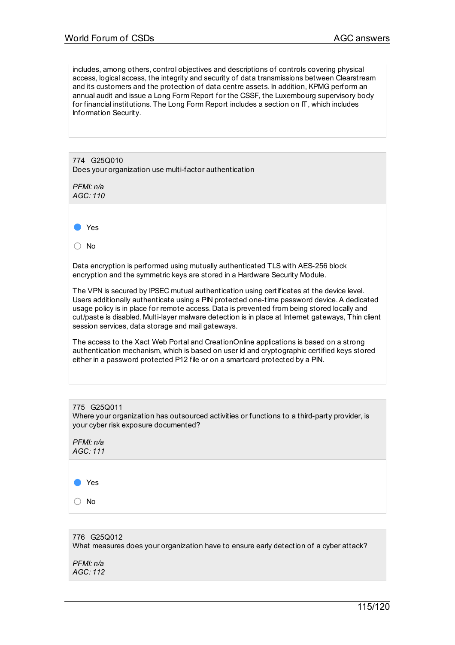includes, among others, control objectives and descriptions of controls covering physical access, logical access, the integrity and security of data transmissions between Clearstream and its customers and the protection of data centre assets. In addition, KPMG perform an annual audit and issue a Long Form Report for the CSSF, the Luxembourg supervisory body for financial institutions. The Long Form Report includes a section on IT, which includes Information Security.

| 774 G25Q010<br>Does your organization use multi-factor authentication                                                                                                                                                                                                                                                                                                                                                                              |
|----------------------------------------------------------------------------------------------------------------------------------------------------------------------------------------------------------------------------------------------------------------------------------------------------------------------------------------------------------------------------------------------------------------------------------------------------|
| PFMI: n/a<br>AGC: 110                                                                                                                                                                                                                                                                                                                                                                                                                              |
|                                                                                                                                                                                                                                                                                                                                                                                                                                                    |
| Yes                                                                                                                                                                                                                                                                                                                                                                                                                                                |
| No.                                                                                                                                                                                                                                                                                                                                                                                                                                                |
| Data encryption is performed using mutually authenticated TLS with AES-256 block<br>encryption and the symmetric keys are stored in a Hardware Security Module.                                                                                                                                                                                                                                                                                    |
| The VPN is secured by IPSEC mutual authentication using certificates at the device level.<br>Users additionally authenticate using a PIN protected one-time password device. A dedicated<br>usage policy is in place for remote access. Data is prevented from being stored locally and<br>cut/paste is disabled. Multi-layer malware detection is in place at Internet gateways, Thin client<br>session services, data storage and mail gateways. |
| $\blacksquare$                                                                                                                                                                                                                                                                                                                                                                                                                                     |

The access to the Xact Web Portal and CreationOnline applications is based on a strong authentication mechanism, which is based on user id and cryptographic certified keys stored either in a password protected P12 file or on a smartcard protected by a PIN.

| 775 G25Q011<br>Where your organization has outsourced activities or functions to a third-<br>your cyber risk exposure documented? |
|-----------------------------------------------------------------------------------------------------------------------------------|
| PFMI: n/a<br>AGC: 111                                                                                                             |

| Yes |
|-----|
| No  |

# 776 G25Q012 What measures does your organization have to ensure early detection of a cyber attack? *PFMI: n/a AGC: 112*

party provider, is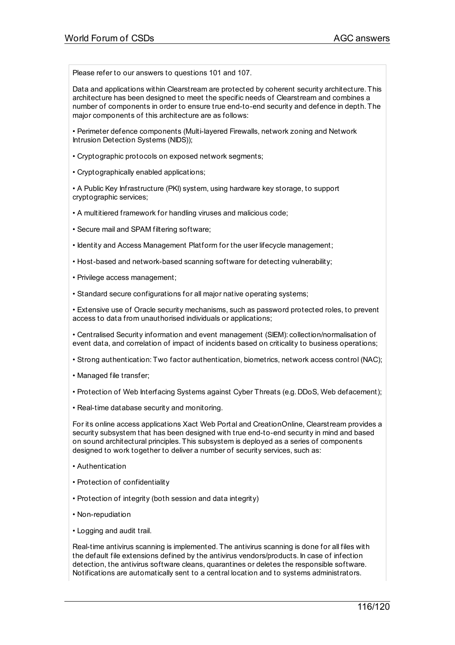Please refer to our answers to questions 101 and 107.

Data and applications within Clearstream are protected by coherent security architecture. This architecture has been designed to meet the specific needs of Clearstream and combines a number of components in order to ensure true end-to-end security and defence in depth. The major components of this architecture are as follows:

• Perimeter defence components (Multi-layered Firewalls, network zoning and Network Intrusion Detection Systems (NIDS));

• Cryptographic protocols on exposed network segments;

• Cryptographically enabled applications;

• A Public Key Infrastructure (PKI) system, using hardware key storage, to support cryptographic services;

• A multitiered framework for handling viruses and malicious code;

• Secure mail and SPAM filtering software;

• Identity and Access Management Platform for the user lifecycle management;

• Host-based and network-based scanning software for detecting vulnerability;

• Privilege access management;

• Standard secure configurations for all major native operating systems;

• Extensive use of Oracle security mechanisms, such as password protected roles, to prevent access to data from unauthorised individuals or applications;

• Centralised Security information and event management (SIEM): collection/normalisation of event data, and correlation of impact of incidents based on criticality to business operations;

• Strong authentication: Two factor authentication, biometrics, network access control (NAC);

• Managed file transfer;

• Protection of Web Interfacing Systems against Cyber Threats (e.g. DDoS, Web defacement);

• Real-time database security and monitoring.

For its online access applications Xact Web Portal and CreationOnline, Clearstream provides a security subsystem that has been designed with true end-to-end security in mind and based on sound architectural principles. This subsystem is deployed as a series of components designed to work together to deliver a number of security services, such as:

• Authentication

• Protection of confidentiality

• Protection of integrity (both session and data integrity)

• Non-repudiation

• Logging and audit trail.

Real-time antivirus scanning is implemented. The antivirus scanning is done for all files with the default file extensions defined by the antivirus vendors/products. In case of infection detection, the antivirus software cleans, quarantines or deletes the responsible software. Notifications are automatically sent to a central location and to systems administrators.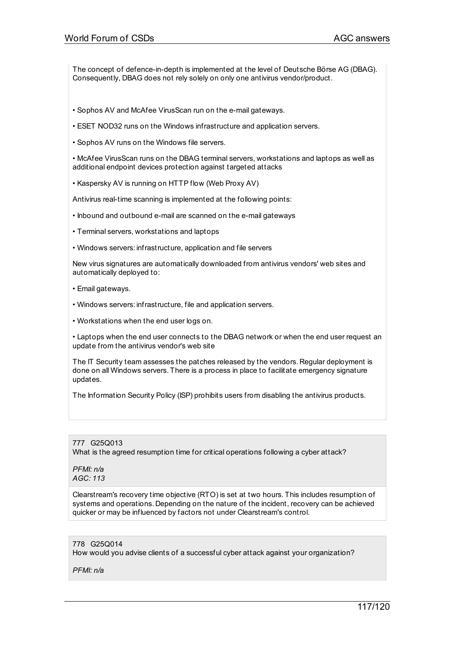The concept of defence-in-depth is implemented at the level of Deutsche Börse AG (DBAG). Consequently, DBAG does not rely solely on only one antivirus vendor/product.

- Sophos AV and McAfee VirusScan run on the e-mail gateways.
- ESET NOD32 runs on the Windows infrastructure and application servers.
- Sophos AV runs on the Windows file servers.

• McAfee VirusScan runs on the DBAG terminal servers, workstations and laptops as well as additional endpoint devices protection against targeted attacks

• Kaspersky AV is running on HTTP flow (Web Proxy AV)

Antivirus real-time scanning is implemented at the following points:

- Inbound and outbound e-mail are scanned on the e-mail gateways
- Terminal servers, workstations and laptops
- Windows servers: infrastructure, application and file servers

New virus signatures are automatically downloaded from antivirus vendors' web sites and automatically deployed to:

- Email gateways.
- Windows servers: infrastructure, file and application servers.
- Workstations when the end user logs on.

• Laptops when the end user connects to the DBAG network or when the end user request an update from the antivirus vendor's web site

The IT Security team assesses the patches released by the vendors. Regular deployment is done on all Windows servers. There is a process in place to facilitate emergency signature updates.

The Information Security Policy (ISP) prohibits users from disabling the antivirus products.

777 G25Q013 What is the agreed resumption time for critical operations following a cyber attack?

*PFMI: n/a AGC: 113*

Clearstream's recovery time objective (RTO) is set at two hours. This includes resumption of systems and operations. Depending on the nature of the incident, recovery can be achieved quicker or may be influenced by factors not under Clearstream's control.

#### 778 G25Q014

How would you advise clients of a successful cyber attack against your organization?

*PFMI: n/a*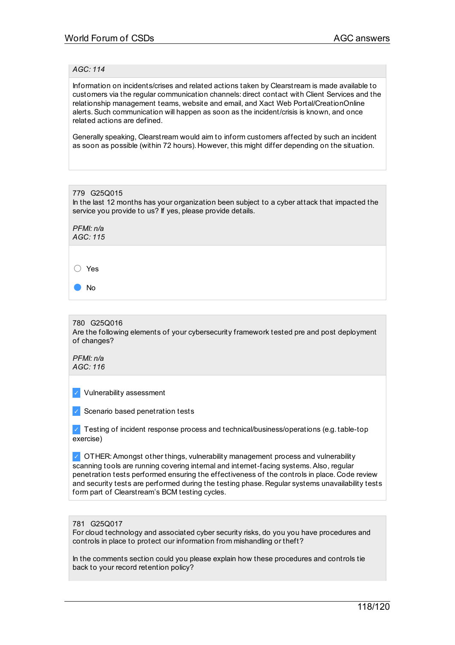#### *AGC: 114*

Information on incidents/crises and related actions taken by Clearstream is made available to customers via the regular communication channels: direct contact with Client Services and the relationship management teams, website and email, and Xact Web Portal/CreationOnline alerts.Such communication will happen as soon as the incident/crisis is known, and once related actions are defined.

Generally speaking, Clearstream would aim to inform customers affected by such an incident as soon as possible (within 72 hours). However, this might differ depending on the situation.

| 779 G25Q015<br>In the last 12 months has your organization been subject to a cyber attack that impacted the<br>service you provide to us? If yes, please provide details. |
|---------------------------------------------------------------------------------------------------------------------------------------------------------------------------|
| PFMI: n/a<br>AGC:115                                                                                                                                                      |
|                                                                                                                                                                           |
| Yes                                                                                                                                                                       |
| No                                                                                                                                                                        |
|                                                                                                                                                                           |

780 G25Q016 Are the following elements of your cybersecurity framework tested pre and post deployment of changes?

*PFMI: n/a AGC: 116*

✓ Vulnerability assessment

✓ Scenario based penetration tests

 $\vee$  Testing of incident response process and technical/business/operations (e.g. table-top exercise)

✓ OTHER:Amongst other things, vulnerability management process and vulnerability scanning tools are running covering internal and internet-facing systems.Also, regular penetration tests performed ensuring the effectiveness of the controls in place. Code review and security tests are performed during the testing phase. Regular systems unavailability tests form part of Clearstream's BCM testing cycles.

781 G25Q017

For cloud technology and associated cyber security risks, do you you have procedures and controls in place to protect our information from mishandling or theft?

In the comments section could you please explain how these procedures and controls tie back to your record retention policy?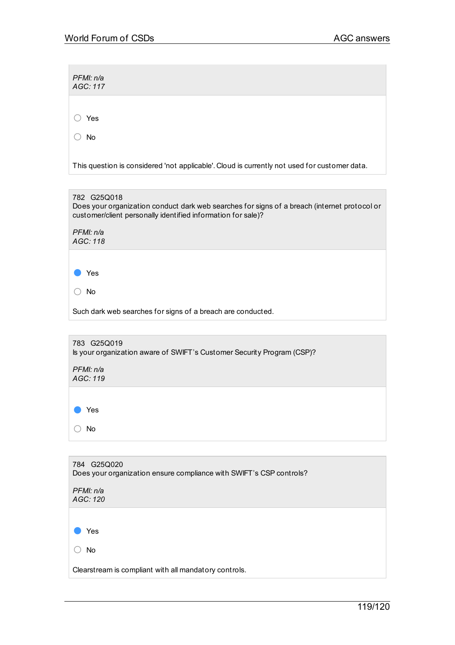*PFMI: n/a AGC: 117*

○ Yes

○ No

This question is considered 'not applicable'. Cloud is currently not used for customer data.



| 783 G25Q019<br>Is your organization aware of SWIFT's Customer Security Program (CSP)? |
|---------------------------------------------------------------------------------------|
| PFMI: n/a<br>AGC: 119                                                                 |
|                                                                                       |
| Yes                                                                                   |
| <b>No</b>                                                                             |

| 784 G25Q020<br>Does your organization ensure compliance with SWIFT's CSP controls? |
|------------------------------------------------------------------------------------|
| PFMI: n/a<br>AGC: 120                                                              |
|                                                                                    |
| Yes                                                                                |
| <b>No</b>                                                                          |
| Clearstream is compliant with all mandatory controls.                              |